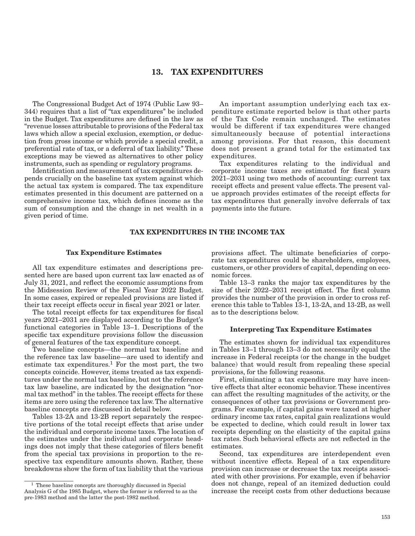# 13. TAX EXPENDITURES

The Congressional Budget Act of 1974 (Public Law 93– 344) requires that a list of "tax expenditures'' be included in the Budget. Tax expenditures are defined in the law as "revenue losses attributable to provisions of the Federal tax laws which allow a special exclusion, exemption, or deduction from gross income or which provide a special credit, a preferential rate of tax, or a deferral of tax liability.'' These exceptions may be viewed as alternatives to other policy instruments, such as spending or regulatory programs.

Identification and measurement of tax expenditures depends crucially on the baseline tax system against which the actual tax system is compared. The tax expenditure estimates presented in this document are patterned on a comprehensive income tax, which defines income as the sum of consumption and the change in net wealth in a given period of time.

An important assumption underlying each tax expenditure estimate reported below is that other parts of the Tax Code remain unchanged. The estimates would be different if tax expenditures were changed simultaneously because of potential interactions among provisions. For that reason, this document does not present a grand total for the estimated tax expenditures.

Tax expenditures relating to the individual and corporate income taxes are estimated for fiscal years 2021–2031 using two methods of accounting: current tax receipt effects and present value effects. The present value approach provides estimates of the receipt effects for tax expenditures that generally involve deferrals of tax payments into the future.

### TAX EXPENDITURES IN THE INCOME TAX

### Tax Expenditure Estimates

All tax expenditure estimates and descriptions presented here are based upon current tax law enacted as of July 31, 2021, and reflect the economic assumptions from the Midsession Review of the Fiscal Year 2022 Budget. In some cases, expired or repealed provisions are listed if their tax receipt effects occur in fiscal year 2021 or later.

The total receipt effects for tax expenditures for fiscal years 2021–2031 are displayed according to the Budget's functional categories in Table 13–1. Descriptions of the specific tax expenditure provisions follow the discussion of general features of the tax expenditure concept.

Two baseline concepts—the normal tax baseline and the reference tax law baseline—are used to identify and estimate tax expenditures.<sup>1</sup> For the most part, the two concepts coincide. However, items treated as tax expenditures under the normal tax baseline, but not the reference tax law baseline, are indicated by the designation "normal tax method'' in the tables. The receipt effects for these items are zero using the reference tax law. The alternative baseline concepts are discussed in detail below.

Tables 13-2A and 13-2B report separately the respective portions of the total receipt effects that arise under the individual and corporate income taxes. The location of the estimates under the individual and corporate headings does not imply that these categories of filers benefit from the special tax provisions in proportion to the respective tax expenditure amounts shown. Rather, these breakdowns show the form of tax liability that the various

provisions affect. The ultimate beneficiaries of corporate tax expenditures could be shareholders, employees, customers, or other providers of capital, depending on economic forces.

Table 13–3 ranks the major tax expenditures by the size of their 2022–2031 receipt effect. The first column provides the number of the provision in order to cross reference this table to Tables 13-1, 13-2A, and 13-2B, as well as to the descriptions below.

### Interpreting Tax Expenditure Estimates

The estimates shown for individual tax expenditures in Tables 13–1 through 13–3 do not necessarily equal the increase in Federal receipts (or the change in the budget balance) that would result from repealing these special provisions, for the following reasons.

First, eliminating a tax expenditure may have incentive effects that alter economic behavior. These incentives can affect the resulting magnitudes of the activity, or the consequences of other tax provisions or Government programs. For example, if capital gains were taxed at higher ordinary income tax rates, capital gain realizations would be expected to decline, which could result in lower tax receipts depending on the elasticity of the capital gains tax rates. Such behavioral effects are not reflected in the estimates.

Second, tax expenditures are interdependent even without incentive effects. Repeal of a tax expenditure provision can increase or decrease the tax receipts associated with other provisions. For example, even if behavior does not change, repeal of an itemized deduction could increase the receipt costs from other deductions because

<sup>&</sup>lt;sup>1</sup> These baseline concepts are thoroughly discussed in Special Analysis G of the 1985 Budget, where the former is referred to as the pre-1983 method and the latter the post-1982 method.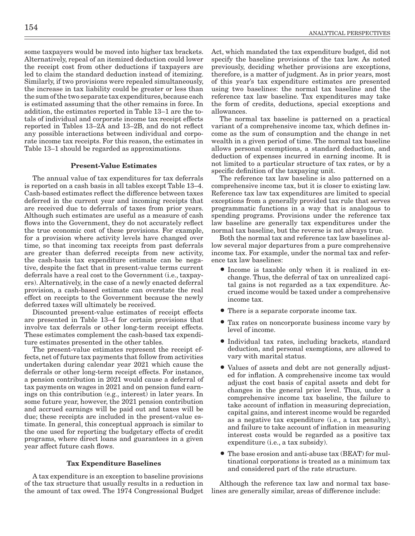some taxpayers would be moved into higher tax brackets. Alternatively, repeal of an itemized deduction could lower the receipt cost from other deductions if taxpayers are led to claim the standard deduction instead of itemizing. Similarly, if two provisions were repealed simultaneously, the increase in tax liability could be greater or less than the sum of the two separate tax expenditures, because each is estimated assuming that the other remains in force. In addition, the estimates reported in Table 13–1 are the totals of individual and corporate income tax receipt effects reported in Tables 13–2A and 13–2B, and do not reflect any possible interactions between individual and corporate income tax receipts. For this reason, the estimates in Table 13–1 should be regarded as approximations.

#### Present-Value Estimates

The annual value of tax expenditures for tax deferrals is reported on a cash basis in all tables except Table 13–4. Cash-based estimates reflect the difference between taxes deferred in the current year and incoming receipts that are received due to deferrals of taxes from prior years. Although such estimates are useful as a measure of cash flows into the Government, they do not accurately reflect the true economic cost of these provisions. For example, for a provision where activity levels have changed over time, so that incoming tax receipts from past deferrals are greater than deferred receipts from new activity, the cash-basis tax expenditure estimate can be negative, despite the fact that in present-value terms current deferrals have a real cost to the Government (i.e., taxpayers). Alternatively, in the case of a newly enacted deferral provision, a cash-based estimate can overstate the real effect on receipts to the Government because the newly deferred taxes will ultimately be received.

Discounted present-value estimates of receipt effects are presented in Table 13–4 for certain provisions that involve tax deferrals or other long-term receipt effects. These estimates complement the cash-based tax expenditure estimates presented in the other tables.

The present-value estimates represent the receipt effects, net of future tax payments that follow from activities undertaken during calendar year 2021 which cause the deferrals or other long-term receipt effects. For instance, a pension contribution in 2021 would cause a deferral of tax payments on wages in 2021 and on pension fund earnings on this contribution (e.g., interest) in later years. In some future year, however, the 2021 pension contribution and accrued earnings will be paid out and taxes will be due; these receipts are included in the present-value estimate. In general, this conceptual approach is similar to the one used for reporting the budgetary effects of credit programs, where direct loans and guarantees in a given year affect future cash flows.

#### Tax Expenditure Baselines

A tax expenditure is an exception to baseline provisions of the tax structure that usually results in a reduction in the amount of tax owed. The 1974 Congressional Budget Act, which mandated the tax expenditure budget, did not specify the baseline provisions of the tax law. As noted previously, deciding whether provisions are exceptions, therefore, is a matter of judgment. As in prior years, most of this year's tax expenditure estimates are presented using two baselines: the normal tax baseline and the reference tax law baseline. Tax expenditures may take the form of credits, deductions, special exceptions and allowances.

The normal tax baseline is patterned on a practical variant of a comprehensive income tax, which defines income as the sum of consumption and the change in net wealth in a given period of time. The normal tax baseline allows personal exemptions, a standard deduction, and deduction of expenses incurred in earning income. It is not limited to a particular structure of tax rates, or by a specific definition of the taxpaying unit.

The reference tax law baseline is also patterned on a comprehensive income tax, but it is closer to existing law. Reference tax law tax expenditures are limited to special exceptions from a generally provided tax rule that serves programmatic functions in a way that is analogous to spending programs. Provisions under the reference tax law baseline are generally tax expenditures under the normal tax baseline, but the reverse is not always true.

Both the normal tax and reference tax law baselines allow several major departures from a pure comprehensive income tax. For example, under the normal tax and reference tax law baselines:

- Income is taxable only when it is realized in exchange. Thus, the deferral of tax on unrealized capital gains is not regarded as a tax expenditure. Accrued income would be taxed under a comprehensive income tax.
- There is a separate corporate income tax.
- Tax rates on noncorporate business income vary by level of income.
- Individual tax rates, including brackets, standard deduction, and personal exemptions, are allowed to vary with marital status.
- Values of assets and debt are not generally adjusted for inflation. A comprehensive income tax would adjust the cost basis of capital assets and debt for changes in the general price level. Thus, under a comprehensive income tax baseline, the failure to take account of inflation in measuring depreciation, capital gains, and interest income would be regarded as a negative tax expenditure (i.e., a tax penalty), and failure to take account of inflation in measuring interest costs would be regarded as a positive tax expenditure (i.e., a tax subsidy).
- The base erosion and anti-abuse tax (BEAT) for multinational corporations is treated as a minimum tax and considered part of the rate structure.

Although the reference tax law and normal tax baselines are generally similar, areas of difference include: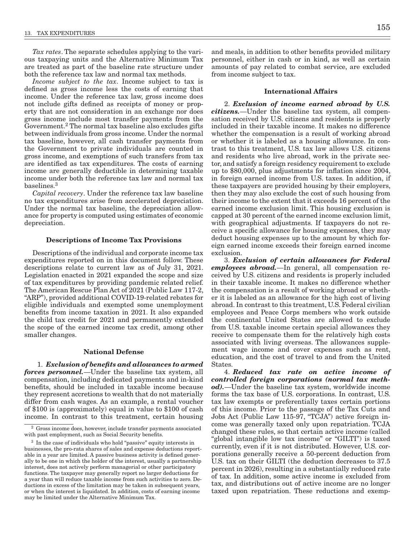*Tax rates*. The separate schedules applying to the various taxpaying units and the Alternative Minimum Tax are treated as part of the baseline rate structure under both the reference tax law and normal tax methods.

*Income subject to the tax*. Income subject to tax is defined as gross income less the costs of earning that income. Under the reference tax law, gross income does not include gifts defined as receipts of money or property that are not consideration in an exchange nor does gross income include most transfer payments from the Government.2 The normal tax baseline also excludes gifts between individuals from gross income. Under the normal tax baseline, however, all cash transfer payments from the Government to private individuals are counted in gross income, and exemptions of such transfers from tax are identified as tax expenditures. The costs of earning income are generally deductible in determining taxable income under both the reference tax law and normal tax baselines.3

*Capital recovery*. Under the reference tax law baseline no tax expenditures arise from accelerated depreciation. Under the normal tax baseline, the depreciation allowance for property is computed using estimates of economic depreciation.

#### Descriptions of Income Tax Provisions

Descriptions of the individual and corporate income tax expenditures reported on in this document follow. These descriptions relate to current law as of July 31, 2021. Legislation enacted in 2021 expanded the scope and size of tax expenditures by providing pandemic related relief. The American Rescue Plan Act of 2021 (Public Law 117-2, "ARP"), provided additional COVID-19-related rebates for eligible individuals and exempted some unemployment benefits from income taxation in 2021. It also expanded the child tax credit for 2021 and permanently extended the scope of the earned income tax credit, among other smaller changes.

#### National Defense

1. *Exclusion of benefits and allowances to armed forces personnel.*—Under the baseline tax system, all compensation, including dedicated payments and in-kind benefits, should be included in taxable income because they represent accretions to wealth that do not materially differ from cash wages. As an example, a rental voucher of \$100 is (approximately) equal in value to \$100 of cash income. In contrast to this treatment, certain housing

and meals, in addition to other benefits provided military personnel, either in cash or in kind, as well as certain amounts of pay related to combat service, are excluded from income subject to tax.

#### International Affairs

2. *Exclusion of income earned abroad by U.S. citizens.*—Under the baseline tax system, all compensation received by U.S. citizens and residents is properly included in their taxable income. It makes no difference whether the compensation is a result of working abroad or whether it is labeled as a housing allowance. In contrast to this treatment, U.S. tax law allows U.S. citizens and residents who live abroad, work in the private sector, and satisfy a foreign residency requirement to exclude up to \$80,000, plus adjustments for inflation since 2004, in foreign earned income from U.S. taxes. In addition, if these taxpayers are provided housing by their employers, then they may also exclude the cost of such housing from their income to the extent that it exceeds 16 percent of the earned income exclusion limit. This housing exclusion is capped at 30 percent of the earned income exclusion limit, with geographical adjustments. If taxpayers do not receive a specific allowance for housing expenses, they may deduct housing expenses up to the amount by which foreign earned income exceeds their foreign earned income exclusion.

3. *Exclusion of certain allowances for Federal employees abroad.*—In general, all compensation received by U.S. citizens and residents is properly included in their taxable income. It makes no difference whether the compensation is a result of working abroad or whether it is labeled as an allowance for the high cost of living abroad. In contrast to this treatment, U.S. Federal civilian employees and Peace Corps members who work outside the continental United States are allowed to exclude from U.S. taxable income certain special allowances they receive to compensate them for the relatively high costs associated with living overseas. The allowances supplement wage income and cover expenses such as rent, education, and the cost of travel to and from the United States.

4. *Reduced tax rate on active income of controlled foreign corporations (normal tax method).*—Under the baseline tax system, worldwide income forms the tax base of U.S. corporations. In contrast, U.S. tax law exempts or preferentially taxes certain portions of this income. Prior to the passage of the Tax Cuts and Jobs Act (Public Law 115-97, "TCJA") active foreign income was generally taxed only upon repatriation. TCJA changed these rules, so that certain active income (called "global intangible low tax income" or "GILTI") is taxed currently, even if it is not distributed. However, U.S. corporations generally receive a 50-percent deduction from U.S. tax on their GILTI (the deduction decreases to 37.5 percent in 2026), resulting in a substantially reduced rate of tax. In addition, some active income is excluded from tax, and distributions out of active income are no longer taxed upon repatriation. These reductions and exemp-

<sup>2</sup> Gross income does, however, include transfer payments associated with past employment, such as Social Security benefits.

 $^3\,$  In the case of individuals who hold "passive" equity interests in businesses, the pro-rata shares of sales and expense deductions reportable in a year are limited. A passive business activity is defined generally to be one in which the holder of the interest, usually a partnership interest, does not actively perform managerial or other participatory functions. The taxpayer may generally report no larger deductions for a year than will reduce taxable income from such activities to zero. Deductions in excess of the limitation may be taken in subsequent years, or when the interest is liquidated. In addition, costs of earning income may be limited under the Alternative Minimum Tax.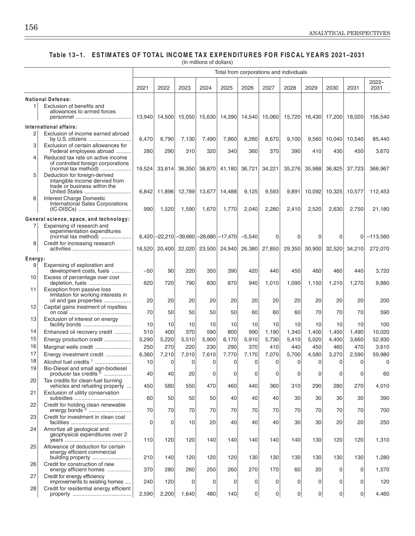# Table 13-1. ESTIMATES OF TOTAL INCOME TAX EXPENDITURES FOR FISCAL YEARS 2021-2031

|          |                                                                                                                  |           |                 |           |          |                                                 |                |             | Total from corporations and individuals |                |           |                |                  |
|----------|------------------------------------------------------------------------------------------------------------------|-----------|-----------------|-----------|----------|-------------------------------------------------|----------------|-------------|-----------------------------------------|----------------|-----------|----------------|------------------|
|          |                                                                                                                  | 2021      | 2022            | 2023      | 2024     | 2025                                            | 2026           | 2027        | 2028                                    | 2029           | 2030      | 2031           | $2022 -$<br>2031 |
|          | <b>National Defense:</b>                                                                                         |           |                 |           |          |                                                 |                |             |                                         |                |           |                |                  |
| 1        | Exclusion of benefits and<br>allowances to armed forces                                                          | 13,940    | 14,500          | 15,050    |          | 15,630 14,390 14,540                            |                | 15,060      | 15,720                                  | 16,430         |           | 17,200 18,020  | 156,540          |
|          | International affairs:                                                                                           |           |                 |           |          |                                                 |                |             |                                         |                |           |                |                  |
| 2        | Exclusion of income earned abroad<br>by U.S. citizens                                                            | 6,470     | 6,790           | 7,130     | 7,490    | 7,860                                           | 8,260          | 8,670       | 9,100                                   | 9,560          |           | 10.040 10.540  | 85,440           |
| 3        | Exclusion of certain allowances for<br>Federal employees abroad                                                  | 280       | 290             | 310       | 320      | 340                                             | 360            | 370         | 390                                     | 410            | 430       | 450            | 3,670            |
| 4        | Reduced tax rate on active income<br>of controlled foreign corporations                                          | 19,524    | 33,814          | 36,350    |          | 38,870 41,180                                   | 36,721         | 34,221      | 35,276                                  | 35,988         | 36,825    | 37,723         | 366,967          |
| 5        | Deduction for foreign-derived<br>intangible income dervied from<br>trade or business within the<br>United States | 6,842     | 11,896          | 12,789    | 13,677   | 14,488                                          | 9,125          | 9,593       | 9,891                                   | 10,092         | 10,325    | 10,577         | 112,453          |
| 6        | Interest Charge Domestic<br>International Sales Corporations                                                     | 990       | 1,520           | 1,590     | 1.670    | 1,770                                           | 2,040          | 2,280       | 2,410                                   | 2,520          | 2,630     | 2,750          | 21,180           |
|          | General science, space, and technology:                                                                          |           |                 |           |          |                                                 |                |             |                                         |                |           |                |                  |
| 7        | Expensing of research and<br>experimentation expenditures<br>(normal tax method)                                 |           |                 |           |          | $6,420$ $-22,210$ $-39,660$ $-28,680$ $-17,470$ | $-5,540$       | $\Omega$    | 0                                       | $\Omega$       | $\Omega$  | $\overline{0}$ | $-113,560$       |
| 8        | Credit for increasing research                                                                                   | 18,520    | 20,400          | 22,020    |          | 23,500 24,940                                   | 26,380         | 27,850      | 29,350                                  | 30,900         | 32,520    | 34,210         | 272,070          |
| Energy:  |                                                                                                                  |           |                 |           |          |                                                 |                |             |                                         |                |           |                |                  |
| 9        | Expensing of exploration and<br>development costs, fuels                                                         | $-50$     | 90 <sub>1</sub> | 220       | 350      | 390                                             | 420            | 440         | 450                                     | 460            | 460       | 440            | 3,720            |
| 10       | Excess of percentage over cost<br>depletion, fuels                                                               | 620       | 720             | 790       | 830      | 870                                             | 940            | 1,010       | 1,090                                   | 1,150          | 1,210     | 1,270          | 9,880            |
| 11       | Exception from passive loss<br>limitation for working interests in<br>oil and gas properties                     | 20        | 20              | 20        | 20       | 20                                              | 20             | 20          | 20                                      | 20             | 20        | 20             | 200              |
| 12       | Capital gains treatment of royalties                                                                             | 70        | 50              | 50        | 50       | 50                                              | 60             | 60          | 60                                      | 70             | 70        | 70             | 590              |
| 13       | Exclusion of interest on energy                                                                                  | 10        | 10              | 10        | 10       | 10                                              | 10             | 10          | 10                                      | 10             | 10        | 10             | 100              |
| 14       | Enhanced oil recovery credit                                                                                     | 510       | 400             | 370       | 590      | 800                                             | 990            | 1,190       | 1,340                                   | 1,400          | 1,450     | 1,490          | 10,020           |
| 15       | Energy production credit                                                                                         | 5,290     | 5,220           | 5,510     | 5,900    | 6,170                                           | 5,910          | 5,730       | 5,410                                   | 5,020          | 4,400     | 3,660          | 52,930           |
| 16       | Marginal wells credit                                                                                            | 250       | 270             | 220       | 230      | 290                                             | 370            | 410         | 440                                     | 450            | 460       | 470            | 3,610            |
| 17       | Energy investment credit                                                                                         | 6,360     | 7,210           | 7,010     | 7,610    | 7,770                                           | 7,170          | 7,070       | 5,700                                   | 4,580          | 3,270     | 2,590          | 59,980           |
| 18<br>19 | Alcohol fuel credits <sup>1</sup><br>Bio-Diesel and small agri-biodiesel                                         | 10        | $\Omega$        | $\Omega$  | $\Omega$ | 0                                               | $\Omega$       | $\Omega$    | $\Omega$                                | $\Omega$       | $\Omega$  | $\Omega$       | $\Omega$         |
| 20       | producer tax credits <sup>2</sup><br>Tax credits for clean-fuel burning                                          | 40        | 40              | 20        | 0<br>470 | 0                                               | 0<br>440       | 0           | 0                                       | 0              | 0         | 0              | 60               |
| 21       | vehicles and refueling property<br>Exclusion of utility conservation                                             | 450<br>60 | 580<br>50       | 550<br>50 | 50       | 460<br>40                                       | 40             | 360<br>40   | 310<br>30                               | 290<br>30      | 280<br>30 | 270<br>30      | 4,010<br>390     |
| 22       | Credit for holding clean renewable<br>energy bonds <sup>3</sup>                                                  | 70        | 70              | 70        | 70       | 70                                              | 70             | 70          | 70                                      | 70             | 70        | 70             | 700              |
| 23       | Credit for investment in clean coal                                                                              | $\Omega$  | $\Omega$        | 10        | 20       | 40                                              | 40             | 40          | 30                                      | 30             | 20        | 20             | 250              |
| 24       | Amortize all geological and<br>geophysical expenditures over 2                                                   |           |                 |           |          |                                                 |                |             |                                         |                |           |                |                  |
| 25       | Allowance of deduction for certain<br>energy efficient commercial                                                | 110       | 120             | 120       | 140      | 140                                             | 140            | 140         | 140                                     | 130            | 120       | 120            | 1,310            |
| 26       | building property<br>Credit for construction of new                                                              | 210       | 140             | 120       | 120      | 120                                             | 130            | 130         | 130                                     | 130            | 130       | 130            | 1,280            |
| 27       | energy efficient homes<br>Credit for energy efficiency                                                           | 370       | 280             | 260       | 250      | 260                                             | 270            | 170         | 60                                      | 20             | 0         | $\mathbf 0$    | 1,570            |
| 28       | improvements to existing homes<br>Credit for residential energy efficient                                        | 240       | 120             | 0         | 0        | 0                                               | 0              | $\mathbf 0$ | $\mathbf 0$                             | $\mathbf 0$    | 0         | 0              | 120              |
|          |                                                                                                                  | 2,590     | 2,200           | 1,640     | 480      | 140                                             | $\overline{0}$ | 0           | $\mathsf 0$                             | $\overline{0}$ | $\Omega$  | $\Omega$       | 4,460            |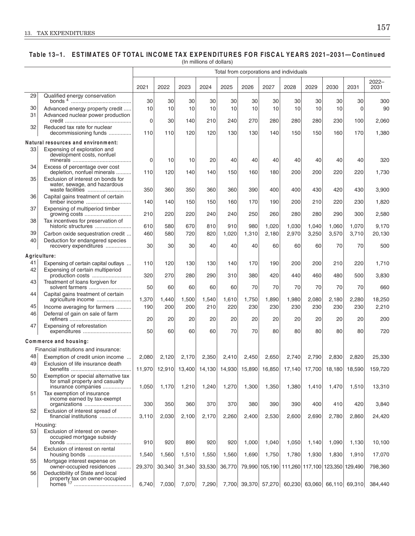#### Table 13-1. ESTIMATES OF TOTAL INCOME TAX EXPENDITURES FOR FISCAL YEARS 2021-2031-Continued (In millions of dollars)

|          |                                                                         |            |            |            |            |              |              |                | Total from corporations and individuals                                      |                |                |                |                  |
|----------|-------------------------------------------------------------------------|------------|------------|------------|------------|--------------|--------------|----------------|------------------------------------------------------------------------------|----------------|----------------|----------------|------------------|
|          |                                                                         | 2021       | 2022       | 2023       | 2024       | 2025         | 2026         | 2027           | 2028                                                                         | 2029           | 2030           | 2031           | $2022 -$<br>2031 |
| 29       | Qualified energy conservation                                           | 30         | 30         | 30         | 30         | 30           | 30           | 30             | 30                                                                           | 30             | 30             | 30             | 300              |
| 30       | Advanced energy property credit                                         | 10         | 10         | 10         | 10         | 10           | 10           | 10             | 10                                                                           | 10             | 10             | $\Omega$       | 90               |
| 31       | Advanced nuclear power production                                       |            |            |            |            |              |              |                |                                                                              |                |                |                |                  |
| 32       | Reduced tax rate for nuclear                                            | $\Omega$   | 30         | 140        | 210        | 240          | 270          | 280            | 280                                                                          | 280            | 230            | 100            | 2,060            |
|          | decommissioning funds                                                   | 110        | 110        | 120        | 120        | 130          | 130          | 140            | 150                                                                          | 150            | 160            | 170            | 1,380            |
|          | Natural resources and environment:                                      |            |            |            |            |              |              |                |                                                                              |                |                |                |                  |
| 33       | Expensing of exploration and<br>development costs, nonfuel              |            |            |            |            |              |              |                |                                                                              |                |                |                |                  |
|          |                                                                         | $\Omega$   | 10         | 10         | 20         | 40           | 40           | 40             | 40                                                                           | 40             | 40             | 40             | 320              |
| 34       | Excess of percentage over cost<br>depletion, nonfuel minerals           | 110        | 120        | 140        | 140        | 150          | 160          | 180            | 200                                                                          | 200            | 220            | 220            | 1,730            |
| 35       | Exclusion of interest on bonds for                                      |            |            |            |            |              |              |                |                                                                              |                |                |                |                  |
|          | water, sewage, and hazardous<br>waste facilities                        | 350        | 360        | 350        | 360        | 360          | 390          | 400            | 400                                                                          | 430            | 420            | 430            | 3,900            |
| 36       | Capital gains treatment of certain                                      |            |            |            |            |              |              |                |                                                                              |                |                |                |                  |
| 37       | timber income<br>Expensing of multiperiod timber                        | 140        | 140        | 150        | 150        | 160          | 170          | 190            | 200                                                                          | 210            | 220            | 230            | 1,820            |
|          | growing costs                                                           | 210        | 220        | 220        | 240        | 240          | 250          | 260            | 280                                                                          | 280            | 290            | 300            | 2,580            |
| 38       | Tax incentives for preservation of                                      |            |            |            |            |              |              |                |                                                                              |                |                |                | 9,170            |
| 39       | historic structures<br>Carbon oxide sequestration credit                | 610<br>460 | 580<br>580 | 670<br>720 | 810<br>820 | 910<br>1,020 | 980<br>1,310 | 1,020<br>2,180 | 1,030<br>2,970                                                               | 1,040<br>3,250 | 1,060<br>3,570 | 1,070<br>3,710 | 20,130           |
| 40       | Deduction for endangered species                                        |            |            |            |            |              |              |                |                                                                              |                |                |                |                  |
|          | recovery expenditures                                                   | 30         | 30         | 30         | 40         | 40           | 40           | 60             | 60                                                                           | 60             | 70             | 70             | 500              |
|          | Agriculture:                                                            |            |            |            |            |              |              |                |                                                                              |                |                |                |                  |
| 41       | Expensing of certain capital outlays                                    | 110        | 120        | 130        | 130        | 140          | 170          | 190            | 200                                                                          | 200            | 210            | 220            | 1,710            |
| 42       | Expensing of certain multiperiod<br>production costs                    | 320        | 270        | 280        | 290        | 310          | 380          | 420            | 440                                                                          | 460            | 480            | 500            | 3,830            |
| 43       | Treatment of loans forgiven for                                         |            |            |            |            |              |              |                |                                                                              |                |                |                |                  |
| 44       | solvent farmers<br>Capital gains treatment of certain                   | 50         | 60         | 60         | 60         | 60           | 70           | 70             | 70                                                                           | 70             | 70             | 70             | 660              |
|          | agriculture income                                                      | 1,370      | 1,440      | 1,500      | 1,540      | 1,610        | 1,750        | 1,890          | 1,980                                                                        | 2,080          | 2,180          | 2,280          | 18,250           |
| 45       | Income averaging for farmers                                            | 190        | 200        | 200        | 210        | 220          | 230          | 230            | 230                                                                          | 230            | 230            | 230            | 2,210            |
| 46       | Deferral of gain on sale of farm                                        | 20         | 20         | 20         | 20         | 20           | 20           | 20             | 20                                                                           | 20             | 20             | 20             | 200              |
| 47       | Expensing of reforestation                                              |            |            |            |            |              |              |                |                                                                              |                |                |                |                  |
|          | expenditures                                                            | 50         | 60         | 60         | 60         | 70           | 70           | 80             | 80                                                                           | 80             | 80             | 80             | 720              |
|          | Commerce and housing:                                                   |            |            |            |            |              |              |                |                                                                              |                |                |                |                  |
|          | Financial institutions and insurance:                                   |            |            |            |            |              |              |                |                                                                              |                |                |                |                  |
| 48<br>49 | Exemption of credit union income<br>Exclusion of life insurance death   | 2,080      | 2,120      | 2,170      | 2,350      | 2.410        | 2,450        | 2,650          | 2,740                                                                        | 2,790          | 2,830          | 2.820          | 25.330           |
|          |                                                                         |            |            |            |            |              |              |                | 11,970 12,910 13,400 14,130 14,930 15,890 16,850 17,140 17,700 18,180 18,590 |                |                |                | 159,720          |
| 50       | Exemption or special alternative tax<br>for small property and casualty |            |            |            |            |              |              |                |                                                                              |                |                |                |                  |
|          | insurance companies                                                     | 1,050      | 1,170      | 1,210      | 1,240      | 1,270        | 1,300        | 1,350          | 1,380                                                                        | 1,410          | 1,470          | 1,510          | 13,310           |
| 51       | Tax exemption of insurance<br>income earned by tax-exempt               |            |            |            |            |              |              |                |                                                                              |                |                |                |                  |
|          | organizations                                                           | 330        | 350        | 360        | 370        | 370          | 380          | 390            | 390                                                                          | 400            | 410            | 420            | 3,840            |
| 52       | Exclusion of interest spread of<br>financial institutions               | 3,110      | 2,030      | 2,100      | 2,170      | 2,260        | 2,400        | 2,530          | 2,600                                                                        | 2,690          | 2,780          | 2,860          | 24,420           |
|          | Housing:                                                                |            |            |            |            |              |              |                |                                                                              |                |                |                |                  |
| 53       | Exclusion of interest on owner-                                         |            |            |            |            |              |              |                |                                                                              |                |                |                |                  |
|          | occupied mortgage subsidy                                               | 910        | 920        | 890        | 920        | 920          | 1,000        | 1,040          | 1,050                                                                        | 1,140          | 1,090          | 1,130          | 10,100           |
| 54       | Exclusion of interest on rental                                         |            |            |            |            |              |              |                |                                                                              |                |                |                |                  |
|          | housing bonds                                                           | 1,540      | 1,560      | 1,510      | 1,550      | 1,560        | 1,690        | 1,750          | 1,780                                                                        | 1,930          | 1,830          | 1,910          | 17,070           |
| 55       | Mortgage interest expense on<br>owner-occupied residences               | 29,370     | 30,340     | 31,340     | 33,530     | 36,770       |              |                | 79,990 105,190 111,260 117,100 123,350 129,490                               |                |                |                | 798,360          |
| 56       | Deductibility of State and local                                        |            |            |            |            |              |              |                |                                                                              |                |                |                |                  |
|          | property tax on owner-occupied                                          | 6,740      | 7,030      | 7,070      | 7,290      |              |              |                | 7,700 39,370 57,270 60,230 63,060 66,110 69,310                              |                |                |                | 384,440          |
|          |                                                                         |            |            |            |            |              |              |                |                                                                              |                |                |                |                  |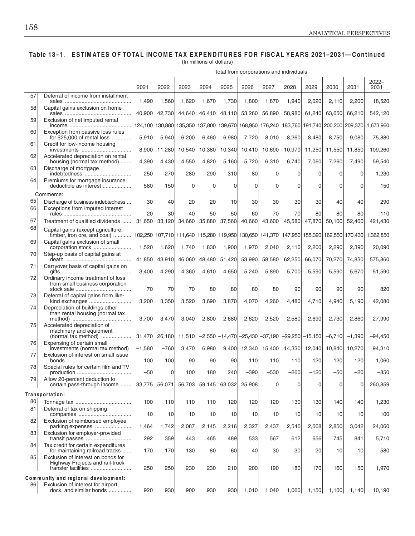#### Table 13-1. ESTIMATES OF TOTAL INCOME TAX EXPENDITURES FOR FISCAL YEARS 2021-2031-Continued (In millions of dollars)

|          |                                                                                              |          |        |                                                                                         | (In millions of dollars) |        |          |                 |                                                            |          |          |             |                  |
|----------|----------------------------------------------------------------------------------------------|----------|--------|-----------------------------------------------------------------------------------------|--------------------------|--------|----------|-----------------|------------------------------------------------------------|----------|----------|-------------|------------------|
|          |                                                                                              |          |        |                                                                                         |                          |        |          |                 | Total from corporations and individuals                    |          |          |             |                  |
|          |                                                                                              | 2021     | 2022   | 2023                                                                                    | 2024                     | 2025   | 2026     | 2027            | 2028                                                       | 2029     | 2030     | 2031        | $2022 -$<br>2031 |
| 57       | Deferral of income from installment                                                          | 1,490    | 1,560  | 1,620                                                                                   | 1,670                    | 1,730  | 1,800    | 1,870           | 1,940                                                      | 2,020    | 2,110    | 2,200       | 18,520           |
| 58       | Capital gains exclusion on home                                                              | 40,900   | 42,730 | 44,640                                                                                  | 46,410                   | 48,110 | 53,260   | 56,890          | 58,980                                                     | 61,240   | 63,650   | 66,210      | 542,120          |
| 59       | Exclusion of net imputed rental                                                              |          |        | 124,100 130,880 135,350 137,800 139,670 168,950                                         |                          |        |          |                 | 176,240 183,760 191,740 200,200 209,370                    |          |          |             | 1,673,960        |
| 60       | Exception from passive loss rules                                                            |          |        |                                                                                         |                          |        |          |                 |                                                            |          |          |             |                  |
| 61       | for \$25,000 of rental loss<br>Credit for low-income housing                                 | 5,910    | 5,940  | 6,200                                                                                   | 6,460                    | 6,980  | 7,720    | 8,010           | 8,260                                                      | 8,480    | 8,750    | 9,080       | 75,880           |
| 62       | investments<br>Accelerated depreciation on rental                                            | 8,900    | 11,280 | 10,540                                                                                  | 10.380                   | 10,340 | 10,410   | 10,690          | 10,970                                                     | 11,250   | 11,550   | 11,850      | 109,260          |
| 63       | housing (normal tax method)<br>Discharge of mortgage                                         | 4,390    | 4,430  | 4,550                                                                                   | 4,820                    | 5,160  | 5,720    | 6,310           | 6,740                                                      | 7,060    | 7,260    | 7,490       | 59,540           |
|          | indebtedness                                                                                 | 250      | 270    | 280                                                                                     | 290                      | 310    | 80       | $\Omega$        | 0                                                          | $\Omega$ | $\Omega$ | $\Omega$    | 1,230            |
| 64       | Premiums for mortgage insurance<br>deductible as interest                                    | 580      | 150    | 0                                                                                       | 0                        | 0      | $\Omega$ | $\Omega$        | 0                                                          | 0        | $\Omega$ | $\Omega$    | 150              |
| 65       | Commerce:                                                                                    |          |        |                                                                                         |                          |        |          |                 |                                                            |          |          |             |                  |
| 66       | Discharge of business indebtedness<br>Exceptions from imputed interest                       | 30       | 40     | 20                                                                                      | 20                       | 10     | 30       | 30              | 30                                                         | 30       | 40       | 40          | 290              |
| 67       |                                                                                              | 20       | 30     | 40                                                                                      | 50                       | 50     | 60       | 70              | 70                                                         | 80       | 80       | 80          | 110              |
| 68       | Treatment of qualified dividends<br>Capital gains (except agriculture,                       | 31,650   | 33,120 | 34,660                                                                                  | 35,880                   | 37,560 | 40.660   | 43,600          | 45,580                                                     | 47,870   | 50,100   | 52,400      | 421,430          |
|          | timber, iron ore, and coal)                                                                  |          |        | 102,250 107,710 111,640 115,280 119,950 130,650 141,370 147,950 155,320 162,550 170,430 |                          |        |          |                 |                                                            |          |          |             | 1,362,850        |
| 69       | Capital gains exclusion of small<br>corporation stock                                        | 1,520    | 1,620  | 1,740                                                                                   | 1,830                    | 1,900  | 1,970    | 2,040           | 2,110                                                      | 2.200    | 2,290    | 2,390       | 20.090           |
| 70       | Step-up basis of capital gains at                                                            | 41,850   | 43,910 | 46,060                                                                                  | 48,480                   | 51,420 | 53,990   | 58,580          | 62,250                                                     | 66,070   | 70,270   | 74,830      | 575,860          |
| 71       | Carryover basis of capital gains on                                                          | 3,400    | 4,290  | 4,360                                                                                   | 4,610                    | 4,650  | 5,240    | 5,890           | 5,700                                                      | 5,590    | 5,590    | 5,670       | 51,590           |
| 72       | Ordinary income treatment of loss<br>from small business corporation                         |          |        |                                                                                         |                          |        |          |                 |                                                            |          |          |             |                  |
|          |                                                                                              | 70       | 70     | 70                                                                                      | 80                       | 80     | 80       | 80              | 90                                                         | 90       | 90       | 90          | 820              |
| 73       | Deferral of capital gains from like-<br>kind exchanges                                       | 3,200    | 3,350  | 3,520                                                                                   | 3,690                    | 3,870  | 4,070    | 4,260           | 4,480                                                      | 4,710    | 4,940    | 5,190       | 42,080           |
| 74       | Depreciation of buildings other<br>than rental housing (normal tax                           | 3,700    | 3,470  | 3,040                                                                                   | 2,800                    | 2,680  | 2,620    | 2,520           | 2,580                                                      | 2,690    | 2,730    | 2,860       | 27,990           |
| 75       | Accelerated depreciation of                                                                  |          |        |                                                                                         |                          |        |          |                 |                                                            |          |          |             |                  |
|          | machinery and equipment<br>(normal tax method)                                               | 31,470   | 26,180 | 11.510                                                                                  |                          |        |          |                 | $-2,550$ $-14,470$ $-25,430$ $-37,190$ $-29,250$ $-15,150$ |          | $-6.710$ | $-1.390$    | $-94,450$        |
| 76       | Expensing of certain small<br>investments (normal tax method)                                | $-1,580$ | $-760$ | 3,470                                                                                   | 6,980                    | 9,400  | 12,340   | 15,400          | 14,330                                                     | 12,040   | 10,840   | 10,270      | 94,310           |
| 77       | Exclusion of interest on small issue                                                         | 100      | 100    | 90                                                                                      | 90                       | 90     | 110      | 110             | 110                                                        | 120      | 120      | 120         | 1,060            |
| 78       | Special rules for certain film and TV                                                        |          |        |                                                                                         |                          |        |          |                 |                                                            |          |          |             |                  |
| 79       | Allow 20-percent deduction to                                                                | -50      | 0      | 100                                                                                     | 180                      | 240    | $-390$   | –530            | –260                                                       | $-120$   | -50      | $-20$       | –850             |
|          | certain pass-through income                                                                  | 33,775   | 56,071 | 56,703                                                                                  | 59,145                   | 63,032 | 25,908   | $\Omega$        | $\mathbf 0$                                                | $\Omega$ | $\Omega$ | $\mathbf 0$ | 260,859          |
|          | Transportation:                                                                              |          |        |                                                                                         |                          |        |          |                 |                                                            |          |          |             |                  |
| 80<br>81 | Deferral of tax on shipping                                                                  | 100      | 110    | 110                                                                                     | 110                      | 120    | 120      | 120             | 130                                                        | 130      | 140      | 140         | 1,230            |
|          | Exclusion of reimbursed employee                                                             | 10       | 10     | 10                                                                                      | 10                       | 10     | 10       | 10 <sup>1</sup> | 10                                                         | 10       | 10       | 10          | 100              |
| 82       | parking expenses                                                                             | 1,464    | 1,742  | 2,087                                                                                   | 2,145                    | 2,216  | 2,327    | 2,437           | 2,546                                                      | 2,668    | 2,850    | 3,042       | 24,060           |
| 83       | Exclusion for employer-provided<br>transit passes                                            | 292      | 359    | 443                                                                                     | 465                      | 489    | 533      | 567             | 612                                                        | 656      | 745      | 841         | 5,710            |
| 84       | Tax credit for certain expenditures<br>for maintaining railroad tracks                       | 170      | 170    | 130                                                                                     | 80                       | 60     | 40       | 30              | 30                                                         | 20       | 10       | 10          | 580              |
| 85       | Exclusion of interest on bonds for<br>Highway Projects and rail-truck<br>transfer facilities | 250      | 250    | 230                                                                                     | 230                      | 210    | 200      | 190             | 180                                                        | 170      | 160      | 150         | 1,970            |
|          |                                                                                              |          |        |                                                                                         |                          |        |          |                 |                                                            |          |          |             |                  |
| 86       | Community and regional development:<br>Exclusion of interest for airport,                    |          |        |                                                                                         |                          |        |          |                 |                                                            |          |          |             |                  |
|          | dock, and similar bonds                                                                      | 920      | 930    | 900                                                                                     | 930                      | 930    | 1,010    | 1,040           | 1,060                                                      | 1,150    | 1,100    | 1,140       | 10,190           |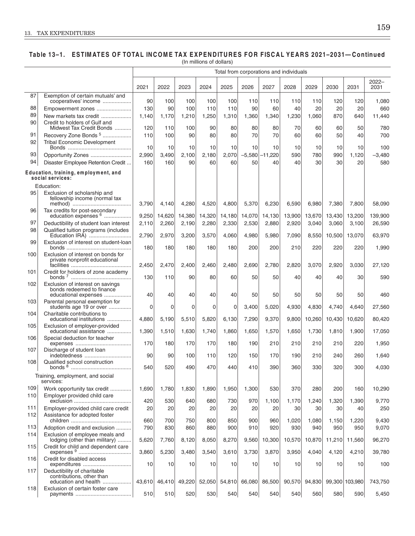#### Table 13-1. ESTIMATES OF TOTAL INCOME TAX EXPENDITURES FOR FISCAL YEARS 2021-2031-Continued (In millions of dollars)

|          |                                                                                |            |            |            | (111 11111110115 UI GUILAIS) |            |               |             |                                         |              |              |                |                |
|----------|--------------------------------------------------------------------------------|------------|------------|------------|------------------------------|------------|---------------|-------------|-----------------------------------------|--------------|--------------|----------------|----------------|
|          |                                                                                |            |            |            |                              |            |               |             | Total from corporations and individuals |              |              |                |                |
|          |                                                                                | 2021       | 2022       | 2023       | 2024                         | 2025       | 2026          | 2027        | 2028                                    | 2029         | 2030         | 2031           | 2022-<br>2031  |
| 87       | Exemption of certain mutuals' and<br>cooperatives' income                      | 90         | 100        | 100        | 100                          | 100        | 110           | 110         | 110                                     | 110          | 120          | 120            | 1,080          |
| 88       | Empowerment zones                                                              | 130        | 90         | 100        | 110                          | 110        | 90            | 60          | 40                                      | 20           | 20           | 20             | 660            |
| 89       | New markets tax credit                                                         | 1,140      | 1,170      | 1,210      | 1,250                        | 1,310      | 1,360         | 1,340       | 1,230                                   | 1,060        | 870          | 640            | 11,440         |
| 90       | Credit to holders of Gulf and<br>Midwest Tax Credit Bonds                      | 120        | 110        | 100        | 90                           | 80         | 80            | 80          | 70                                      | 60           | 60           | 50             | 780            |
| 91       | Recovery Zone Bonds <sup>5</sup>                                               | 110        | 100        | 90         | 80                           | 80         | 70            | 70          | 60                                      | 60           | 50           | 40             | 700            |
| 92       | Tribal Economic Development                                                    | 10         | 10         | 10         | 10                           | 10         | 10            | 10          | 10                                      | 10           | 10           | 10             | 100            |
| 93       | Opportunity Zones                                                              | 2,990      | 3,490      | 2,100      | 2,180                        | 2.070      | $-5,580$      | $-11.220$   | 590                                     | 780          | 990          | 1,120          | $-3,480$       |
| 94       | Disaster Employee Retention Credit                                             | 160        | 160        | 90         | 60                           | 60         | 50            | 40          | 40                                      | 30           | 30           | 20             | 580            |
|          | Education, training, employment, and<br>social services:                       |            |            |            |                              |            |               |             |                                         |              |              |                |                |
|          | Education:                                                                     |            |            |            |                              |            |               |             |                                         |              |              |                |                |
| 95       | Exclusion of scholarship and<br>fellowship income (normal tax                  | 3,790      | 4,140      | 4,280      | 4,520                        | 4,800      | 5,370         | 6,230       | 6,590                                   | 6,980        | 7,380        | 7,800          | 58,090         |
| 96       | Tax credits for post-secondary                                                 |            |            |            |                              |            |               |             |                                         |              |              |                |                |
|          | education expenses 6                                                           | 9,250      | 14,620     | 14,380     | 14,320                       | 14,180     | 14,070        | 14,130      | 13,900                                  | 13.670       | 13,430       | 13,200         | 139,900        |
| 97<br>98 | Deductibility of student loan interest<br>Qualified tuition programs (includes | 2,110      | 2,260      | 2,190      | 2,280                        | 2,330      | 2,530         | 2,880       | 2,920                                   | 3,040        | 3,060        | 3,100          | 26,590         |
| 99       | Education IRA)<br>Exclusion of interest on student-loan                        | 2.790      | 2,970      | 3,200      | 3,570                        | 4,060      | 4,980         | 5,980       | 7,090                                   | 8,550        | 10,500       | 13.070         | 63,970         |
|          |                                                                                | 180        | 180        | 180        | 180                          | 180        | 200           | 200         | 210                                     | 220          | 220          | 220            | 1,990          |
| 100      | Exclusion of interest on bonds for<br>private nonprofit educational            |            |            |            |                              |            |               |             |                                         |              |              |                |                |
| 101      | Credit for holders of zone academy                                             | 2,450      | 2,470      | 2,400      | 2,460                        | 2,480      | 2,690         | 2,780       | 2,820                                   | 3,070        | 2,920        | 3,030          | 27,120         |
|          |                                                                                | 130        | 110        | 90         | 80                           | 60         | 50            | 50          | 40                                      | 40           | 40           | 30             | 590            |
| 102      | Exclusion of interest on savings<br>bonds redeemed to finance                  | 40         | 40         | 40         | 40                           | 40         |               |             |                                         |              | 50           |                | 460            |
| 103      | educational expenses<br>Parental personal exemption for                        | $\Omega$   | 0          | $\Omega$   | $\Omega$                     | $\Omega$   | 50<br>3,400   | 50<br>5,020 | 50<br>4,930                             | 50<br>4,830  | 4,740        | 50             | 27,560         |
| 104      | students age 19 or over<br>Charitable contributions to                         |            |            |            |                              |            |               |             |                                         |              |              | 4,640          |                |
| 105      | educational institutions<br>Exclusion of employer-provided                     | 4,880      | 5,190      | 5,510      | 5,820                        | 6,130      | 7,290         | 9,370       | 9,800                                   | 10,260       | 10,430       | 10,620         | 80,420         |
| 106      | educational assistance<br>Special deduction for teacher                        | 1,390      | 1,510      | 1,630      | 1,740                        | 1,860      | 1,650         | 1,570       | 1,650                                   | 1,730        | 1,810        | 1,900          | 17,050         |
|          |                                                                                | 170        | 180        | 170        | 170                          | 180        | 190           | 210         | 210                                     | 210          | 210          | 220            | 1,950          |
| 107      | Discharge of student loan<br>indebtedness                                      | 90         | 90         | 100        | 110                          | 120        | 150           | 170         | 190                                     | 210          | 240          | 260            | 1,640          |
| 108      | Qualified school construction                                                  | 540        | 520        | 490        | 470                          | 440        | 410           | 390         | 360                                     | 330          | 320          | 300            | 4,030          |
|          | Training, employment, and social<br>services:                                  |            |            |            |                              |            |               |             |                                         |              |              |                |                |
| 109      | Work opportunity tax credit                                                    | 1,690      | 1,780      | 1,830      | 1,890                        | 1,950      | 1,300         | 530         | 370                                     | 280          | 200          | 160            | 10,290         |
| 110      | Employer provided child care                                                   | 420        | 530        | 640        | 680                          | 730        | 970           | 1,100       | 1,170                                   | 1,240        | 1,320        | 1,390          | 9,770          |
| 111      | Employer-provided child care credit                                            | 20         | 20         | 20         | 20                           | 20         | 20            | 20          | 30                                      | 30           | 30           | 40             | 250            |
| 112      | Assistance for adopted foster                                                  |            |            |            |                              |            |               |             |                                         |              |              |                |                |
| 113      | Adoption credit and exclusion                                                  | 660<br>790 | 700<br>830 | 750<br>860 | 800<br>880                   | 850<br>900 | 900<br>910    | 960<br>920  | 1,020<br>930                            | 1,080<br>940 | 1,150<br>950 | 1,220<br>950   | 9,430<br>9,070 |
| 114      | Exclusion of employee meals and                                                |            |            |            |                              |            |               |             |                                         |              |              |                |                |
| 115      | lodging (other than military)<br>Credit for child and dependent care           | 5,620      | 7,760      | 8,120      | 8,050                        | 8,270      | 9,560         | 10,300      | 10,570                                  | 10,870       | 11,210       | 11.560         | 96,270         |
| 116      | Credit for disabled access                                                     | 3,860      | 5,230      | 3,480      | 3,540                        | 3,610      | 3,730         | 3,870       | 3,950                                   | 4,040        | 4,120        | 4,210          | 39,780         |
| 117      | expenditures<br>Deductibility of charitable                                    | 10         | 10         | 10         | 10                           | 10         | 10            | 10          | 10                                      | 10           | 10           | 10             | 100            |
|          | contributions, other than<br>education and health                              | 43,610     | 46,410     | 49,220     | 52,050                       |            | 54,810 66,080 | 86,500      | 90,570                                  | 94,830       |              | 99,300 103,980 | 743,750        |
| 118      | Exclusion of certain foster care                                               | 510        | 510        | 520        | 530                          | 540        | 540           | 540         | 540                                     | 560          | 580          | 590            | 5,450          |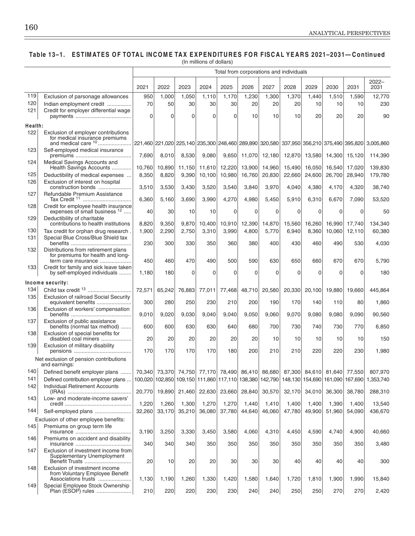|            |                                                                                                    |                 |                 |                                                 | (In millions of dollars) |                 |          |          |                                         |                  |          |                  |                                                                                                   |
|------------|----------------------------------------------------------------------------------------------------|-----------------|-----------------|-------------------------------------------------|--------------------------|-----------------|----------|----------|-----------------------------------------|------------------|----------|------------------|---------------------------------------------------------------------------------------------------|
|            |                                                                                                    |                 |                 |                                                 |                          |                 |          |          | Total from corporations and individuals |                  |          |                  |                                                                                                   |
|            |                                                                                                    | 2021            | 2022            | 2023                                            | 2024                     | 2025            | 2026     | 2027     | 2028                                    | 2029             | 2030     | 2031             | $2022 -$<br>2031                                                                                  |
| 119        | Exclusion of parsonage allowances                                                                  | 950             | 1,000           | 1,050                                           | 1,110                    | 1,170           | 1,230    | 1,300    | 1,370                                   | 1,440            | 1,510    | 1,590            | 12,770                                                                                            |
| 120        | Indian employment credit                                                                           | 70              | 50              | 30                                              | 30                       | 30              | 20       | 20       | 20                                      | 10               | 10       | 10               | 230                                                                                               |
| 121        | Credit for employer differential wage                                                              | $\Omega$        | $\Omega$        | $\Omega$                                        | 0                        | $\Omega$        | 10       | 10       | 10                                      | 20               | 20       | 20               | 90                                                                                                |
| Health:    |                                                                                                    |                 |                 |                                                 |                          |                 |          |          |                                         |                  |          |                  |                                                                                                   |
| 122        | Exclusion of employer contributions<br>for medical insurance premiums<br>and medical care $10$     |                 |                 |                                                 |                          |                 |          |          |                                         |                  |          |                  | 221,460 221,020 225,140 235,300 248,460 289,890 320,580 337,950 356,210 375,490 395,820 3,005,860 |
| 123        | Self-employed medical insurance                                                                    | 7.690           |                 |                                                 | 9,080                    |                 | 11,070   | 12,180   |                                         |                  | 14,300   |                  |                                                                                                   |
| 124        | Medical Savings Accounts and<br>Health Savings Accounts                                            | 10,760          | 8,010<br>10,890 | 8,530<br>11,150                                 | 11,610                   | 9,650<br>12,220 | 13,900   | 14,960   | 12,870<br>15,490                        | 13,580<br>16,050 | 16,540   | 15,120<br>17,020 | 114,390<br>139,830                                                                                |
| 125        | Deductibility of medical expenses                                                                  | 8,350           | 8,820           | 9,390                                           | 10,100                   | 10,980          | 16,760   | 20,830   | 22,660                                  | 24,600           | 26,700   | 28,940           | 179,780                                                                                           |
| 126        | Exclusion of interest on hospital<br>construction bonds                                            | 3,510           | 3,530           | 3,430                                           | 3,520                    | 3,540           | 3,840    | 3,970    | 4,040                                   | 4,380            | 4,170    | 4,320            | 38,740                                                                                            |
| 127        | Refundable Premium Assistance<br>Tax Credit <sup>11</sup>                                          | 6,360           | 5,160           | 3,690                                           | 3,990                    | 4,270           | 4,980    | 5,450    | 5,910                                   | 6,310            | 6,670    | 7,090            | 53,520                                                                                            |
| 128        | Credit for employee health insurance                                                               |                 |                 |                                                 |                          |                 |          |          |                                         |                  |          |                  |                                                                                                   |
| 129        | expenses of small business $12$<br>Deductibility of charitable                                     | 40              | 30              | 10                                              | 10                       | $\Omega$        | $\Omega$ | $\Omega$ | $\Omega$                                | 0                | $\Omega$ | $\Omega$         | 50                                                                                                |
|            | contributions to health institutions                                                               | 8,820           | 9,350           | 9,870                                           | 10,400                   | 10,910          | 12,390   | 14,870   | 15,560                                  | 16,260           | 16,990   | 17,740           | 134,340                                                                                           |
| 130<br>131 | Tax credit for orphan drug research.<br>Special Blue Cross/Blue Shield tax                         | 1,900           | 2,290           | 2,750                                           | 3.310                    | 3,990           | 4,800    | 5.770    | 6,940                                   | 8,360            | 10,060   | 12,110           | 60,380                                                                                            |
| 132        | Distributions from retirement plans                                                                | 230             | 300             | 330                                             | 350                      | 360             | 380      | 400      | 430                                     | 460              | 490      | 530              | 4,030                                                                                             |
| 133        | for premiums for health and long-<br>term care insurance<br>Credit for family and sick leave taken | 450             | 460             | 470                                             | 490                      | 500             | 590      | 630      | 650                                     | 660              | 670      | 670              | 5,790                                                                                             |
|            | by self-employed individuals                                                                       | 1,180           | 180             | $\Omega$                                        | 0                        | $\Omega$        | $\Omega$ | $\Omega$ | $\Omega$                                | $\Omega$         | $\Omega$ | $\Omega$         | 180                                                                                               |
|            | Income security:                                                                                   |                 |                 |                                                 |                          |                 |          |          |                                         |                  |          |                  |                                                                                                   |
| 134        | Child tax credit <sup>13</sup>                                                                     | 72,571          | 65,242          | 76,883                                          | 77,011                   | 77,468          | 48,710   | 20,580   | 20,330                                  | 20,100           | 19,880   | 19,660           | 445,864                                                                                           |
| 135        | Exclusion of railroad Social Security<br>equivalent benefits                                       | 300             | 280             | 250                                             | 230                      | 210             | 200      | 190      | 170                                     | 140              | 110      | 80               | 1,860                                                                                             |
| 136        | Exclusion of workers' compensation                                                                 | 9,010           | 9,020           | 9.030                                           | 9,040                    | 9,040           | 9,050    | 9.060    | 9.070                                   | 9,080            | 9.080    | 9,090            | 90,560                                                                                            |
| 137        | Exclusion of public assistance<br>benefits (normal tax method)                                     | 600             | 600             | 630                                             | 630                      | 640             | 680      | 700      | 730                                     | 740              | 730      | 770              | 6,850                                                                                             |
| 138        | Exclusion of special benefits for<br>disabled coal miners                                          | 20              | 20              | 20                                              | 20                       | 20              | 20       | 10       | 10                                      | 10               | 10       | 10               | 150                                                                                               |
| 139        | Exclusion of military disability                                                                   | 170             |                 |                                                 | 170                      |                 | 200      |          | 210                                     | 220              | 220      | 230              |                                                                                                   |
|            | Net exclusion of pension contributions                                                             |                 | 170             | 170                                             |                          | 180             |          | 210      |                                         |                  |          |                  | 1,980                                                                                             |
| 140        | and earnings:<br>Defined benefit employer plans                                                    | 70,340          | 73,370          | 74,750                                          |                          | 77,170 78,490   | 86,410   | 86,680   | 87,300                                  | 84,610           | 81,640   | 77,550           | 807,970                                                                                           |
| 141        | Defined contribution employer plans                                                                |                 |                 | 100,020 102,850 109,150 111,860 117,110 138,380 |                          |                 |          |          | 142,790 148,130 154,690 161,090 167,690 |                  |          |                  | 1,353,740                                                                                         |
| 142        | Individual Retirement Accounts                                                                     |                 | 19,890          | 21,460                                          | 22,630                   | 23,660          | 28,840   | 30,570   | 32,170                                  | 34,010           | 36,300   | 38,780           | 288,310                                                                                           |
| 143        | Low- and moderate-income savers'                                                                   | 20,770<br>1,220 | 1,260           | 1,300                                           | 1,270                    | 1,270           | 1,440    | 1,410    | 1,400                                   | 1,400            | 1,390    | 1,400            | 13,540                                                                                            |
| 144        | Self-employed plans                                                                                | 32,260          | 33,170          | 35,210                                          | 36,080                   | 37,780          | 44,640   | 46,060   | 47,780                                  | 49,900           | 51,960   | 54,090           | 436,670                                                                                           |
|            | Exclusion of other employee benefits:                                                              |                 |                 |                                                 |                          |                 |          |          |                                         |                  |          |                  |                                                                                                   |
| 145        | Premiums on group term life                                                                        | 3,190           | 3,250           | 3,330                                           | 3,450                    | 3,580           | 4,060    | 4.310    | 4,450                                   | 4,590            | 4,740    | 4,900            | 40,660                                                                                            |
| 146        | Premiums on accident and disability                                                                | 340             | 340             | 340                                             | 350                      | 350             | 350      | 350      | 350                                     | 350              | 350      | 350              | 3,480                                                                                             |
| 147        | Exclusion of investment income from<br>Supplementary Unemployment                                  |                 |                 |                                                 |                          |                 |          |          |                                         |                  |          |                  |                                                                                                   |
| 148        | Benefit Trusts<br>Exclusion of investment income<br>from Voluntary Employee Benefit                | 20              | 10              | 20                                              | 20                       | 30              | 30       | 30       | 40                                      | 40               | 40       | 40               | 300                                                                                               |
|            | Associations trusts                                                                                | 1,130           | 1,190           | 1,260                                           | 1,330                    | 1,420           | 1,580    | 1,640    | 1,720                                   | 1,810            | 1,900    | 1,990            | 15,840                                                                                            |
| 149        | Special Employee Stock Ownership<br>Plan (ESOP) rules                                              | 210             | 220             | 220                                             | 230                      | 230             | 240      | 240      | 250                                     | 250              | 270      | 270              | 2,420                                                                                             |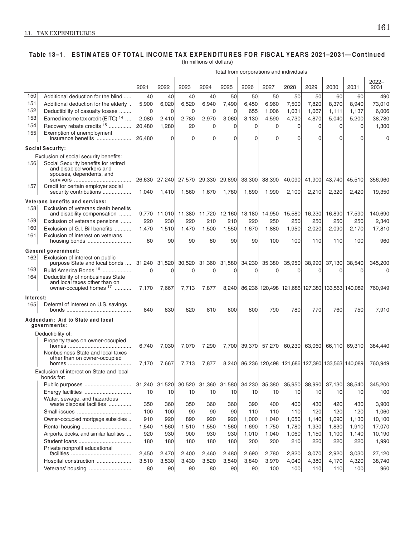#### Table 13-1. ESTIMATES OF TOTAL INCOME TAX EXPENDITURES FOR FISCAL YEARS 2021-2031-Continued ر<br>ماللان alloh <del>1</del>

|                                                                                                                   |                                                                                                          |                                         |             |          | (in millions of dollars) |          |          |          |                                                      |          |          |                                                      |               |  |
|-------------------------------------------------------------------------------------------------------------------|----------------------------------------------------------------------------------------------------------|-----------------------------------------|-------------|----------|--------------------------|----------|----------|----------|------------------------------------------------------|----------|----------|------------------------------------------------------|---------------|--|
|                                                                                                                   |                                                                                                          | Total from corporations and individuals |             |          |                          |          |          |          |                                                      |          |          |                                                      |               |  |
|                                                                                                                   |                                                                                                          | 2021                                    | 2022        | 2023     | 2024                     | 2025     | 2026     | 2027     | 2028                                                 | 2029     | 2030     | 2031                                                 | 2022-<br>2031 |  |
| 150                                                                                                               | Additional deduction for the blind                                                                       | 40                                      | 40          | 40       | 40                       | 50       | 50       | 50       | 50                                                   | 50       | 60       | 60                                                   | 490           |  |
| 151                                                                                                               | Additional deduction for the elderly                                                                     | 5,900                                   | 6,020       | 6,520    | 6,940                    | 7,490    | 6,450    | 6,960    | 7,500                                                | 7,820    | 8,370    | 8,940                                                | 73,010        |  |
| 152                                                                                                               | Deductibility of casualty losses                                                                         | $\Omega$                                | $\mathbf 0$ | 0        | $\mathbf 0$              | 0        | 655      | 1,006    | 1,031                                                | 1,067    | 1,111    | 1,137                                                | 6,006         |  |
| 153                                                                                                               | Earned income tax credit (EITC) <sup>14</sup>                                                            | 2,080                                   | 2,410       | 2,780    | 2,970                    | 3,060    | 3,130    | 4,590    | 4,730                                                | 4,870    | 5,040    | 5,200                                                | 38,780        |  |
| 154                                                                                                               | Recovery rebate credits <sup>15</sup>                                                                    | 20,480                                  | 1,280       | 20       | $\Omega$                 | 0        | $\Omega$ | 0        | $\Omega$                                             | 0        | $\Omega$ | $\Omega$                                             | 1,300         |  |
| 155                                                                                                               | Exemption of unemployment<br>insurance benefits                                                          | 26,480                                  | $\Omega$    | $\Omega$ | $\Omega$                 | 0        | $\Omega$ | $\Omega$ | $\Omega$                                             | $\Omega$ | $\Omega$ | $\Omega$                                             | 0             |  |
|                                                                                                                   | Social Security:                                                                                         |                                         |             |          |                          |          |          |          |                                                      |          |          |                                                      |               |  |
|                                                                                                                   | Exclusion of social security benefits:                                                                   |                                         |             |          |                          |          |          |          |                                                      |          |          |                                                      |               |  |
| 156                                                                                                               | Social Security benefits for retired<br>and disabled workers and<br>spouses, dependents, and             | 26,630                                  | 27,240      | 27,570   | 29,330                   | 29,890   | 33,300   | 38,390   | 40,090                                               | 41,900   | 43,740   | 45,510                                               | 356,960       |  |
| 157                                                                                                               | Credit for certain employer social<br>security contributions                                             | 1,040                                   | 1,410       | 1,560    | 1,670                    | 1,780    | 1,890    | 1,990    | 2,100                                                | 2,210    | 2,320    | 2,420                                                | 19,350        |  |
|                                                                                                                   | Veterans benefits and services:                                                                          |                                         |             |          |                          |          |          |          |                                                      |          |          |                                                      |               |  |
| 158                                                                                                               | Exclusion of veterans death benefits                                                                     |                                         |             |          |                          |          |          |          |                                                      |          |          |                                                      |               |  |
|                                                                                                                   | and disability compensation                                                                              | 9,770                                   | 11,010      | 11,380   | 11,720                   | 12,160   | 13,180   | 14,950   | 15,580                                               | 16.230   | 16.890   | 17.590                                               | 140,690       |  |
| 159                                                                                                               | Exclusion of veterans pensions                                                                           | 220                                     | 230         | 220      | 210                      | 210      | 220      | 250      | 250                                                  | 250      | 250      | 250                                                  | 2,340         |  |
| 160                                                                                                               | Exclusion of G.I. Bill benefits                                                                          | 1,470                                   | 1,510       | 1,470    | 1,500                    | 1,550    | 1,670    | 1,880    | 1,950                                                | 2,020    | 2.090    | 2,170                                                | 17,810        |  |
| 161                                                                                                               | Exclusion of interest on veterans<br>housing bonds                                                       | 80                                      | 90          | 90       | 80                       | 90       | 90       | 100      | 100                                                  | 110      | 110      | 100                                                  | 960           |  |
|                                                                                                                   | General government:                                                                                      |                                         |             |          |                          |          |          |          |                                                      |          |          |                                                      |               |  |
| 162                                                                                                               | Exclusion of interest on public<br>purpose State and local bonds                                         | 31,240                                  | 31,520      | 30,520   | 31,360                   | 31,580   | 34,230   | 35,380   | 35,950                                               | 38,990   | 37,130   | 38,540                                               | 345,200       |  |
| 163<br>164                                                                                                        | Build America Bonds <sup>16</sup><br>Deductibility of nonbusiness State<br>and local taxes other than on | 0                                       | $\Omega$    | $\Omega$ | $\Omega$                 | $\Omega$ | $\Omega$ | $\Omega$ | $\Omega$                                             | 0        | $\Omega$ | $\Omega$                                             | $\Omega$      |  |
|                                                                                                                   | owner-occupied homes <sup>17</sup>                                                                       | 7,170                                   | 7,667       | 7,713    | 7,877                    |          |          |          | 8,240 86,236 120,498 121,686 127,380 133,563 140,089 |          |          |                                                      | 760,949       |  |
| Interest:                                                                                                         |                                                                                                          |                                         |             |          |                          |          |          |          |                                                      |          |          |                                                      |               |  |
| 165                                                                                                               | Deferral of interest on U.S. savings                                                                     | 840                                     | 830         | 820      | 810                      | 800      | 800      | 790      | 780                                                  | 770      | 760      | 750                                                  | 7,910         |  |
|                                                                                                                   | Addendum: Aid to State and local<br>governments:                                                         |                                         |             |          |                          |          |          |          |                                                      |          |          |                                                      |               |  |
|                                                                                                                   | Deductibility of:                                                                                        |                                         |             |          |                          |          |          |          |                                                      |          |          |                                                      |               |  |
|                                                                                                                   | Property taxes on owner-occupied                                                                         | 6,740                                   | 7,030       | 7,070    | 7.290                    | 7,700    | 39,370   | 57,270   | 60,230                                               | 63,060   |          | 66.110 69.310                                        | 384,440       |  |
|                                                                                                                   | Nonbusiness State and local taxes<br>other than on owner-occupied                                        |                                         |             |          | 7,877                    |          |          |          |                                                      |          |          | 8,240 86,236 120,498 121,686 127,380 133,563 140,089 |               |  |
|                                                                                                                   |                                                                                                          | 7,170                                   | 7,667       | 7,713    |                          |          |          |          |                                                      |          |          |                                                      | 760,949       |  |
|                                                                                                                   | Exclusion of interest on State and local<br>bonds for:                                                   |                                         |             |          |                          |          |          |          |                                                      |          |          |                                                      |               |  |
|                                                                                                                   | Public purposes                                                                                          | 31,240                                  | 31,520      | 30,520   | 31,360                   | 31,580   | 34,230   | 35,380   | 35,950                                               | 38,990   | 37,130   | 38,540                                               | 345,200       |  |
|                                                                                                                   | Energy facilities                                                                                        | 10                                      | 10          | 10       | 10                       | 10       | 10       | 10       | 10                                                   | 10       | 10       | 10                                                   | 100           |  |
|                                                                                                                   | Water, sewage, and hazardous<br>waste disposal facilities                                                | 350                                     | 360         | 350      | 360                      | 360      | 390      | 400      | 400                                                  | 430      | 420      | 430                                                  | 3,900         |  |
|                                                                                                                   |                                                                                                          | 100                                     | 100         | 90       | 90                       | 90       | 110      | 110      | 110                                                  | 120      | 120      | 120                                                  | 1,060         |  |
|                                                                                                                   | Owner-occupied mortgage subsidies                                                                        | 910                                     | 920         | 890      | 920                      | 920      | 1,000    | 1,040    | 1,050                                                | 1,140    | 1,090    | 1,130                                                | 10,100        |  |
| 1,930<br>Rental housing<br>1,540<br>1,510<br>1,550<br>1,690<br>1,750<br>1,780<br>1,830<br>1,910<br>1,560<br>1,560 |                                                                                                          |                                         |             |          |                          |          |          |          |                                                      |          |          | 17,070                                               |               |  |
| Airports, docks, and similar facilities<br>920<br>900<br>930<br>1,150<br>930<br>930<br>1,010<br>1,040<br>1,060    |                                                                                                          |                                         |             |          |                          |          |          |          |                                                      |          | 1,100    | 1,140                                                | 10,190        |  |
|                                                                                                                   |                                                                                                          | 180                                     | 180         | 180      | 180                      | 180      | 200      | 200      | 210                                                  | 220      | 220      | 220                                                  | 1,990         |  |
|                                                                                                                   | Private nonprofit educational                                                                            | 2,450                                   | 2,470       | 2,400    | 2,460                    | 2,480    | 2,690    | 2,780    | 2,820                                                | 3,070    | 2,920    | 3,030                                                | 27,120        |  |
|                                                                                                                   | Hospital construction                                                                                    | 3,510                                   | 3,530       | 3,430    | 3,520                    | 3,540    | 3,840    | 3,970    | 4,040                                                | 4,380    | 4,170    | 4,320                                                | 38,740        |  |
|                                                                                                                   | Veterans' housing                                                                                        | 80                                      | 90          | 90       | 80                       | 90       | 90       | 100      | 100                                                  | 110      | 110      | 100                                                  | 960           |  |

 $=$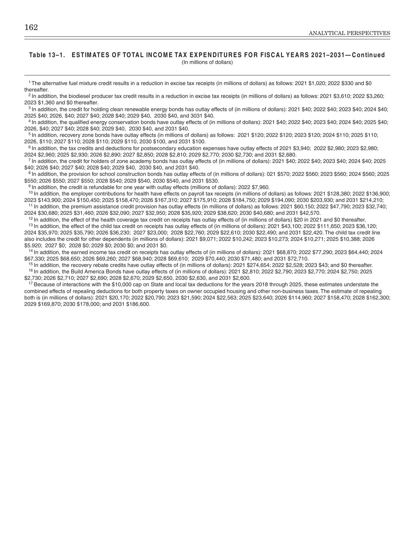### **Table 13–1. ESTIMATES OF TOTAL INCOME TAX EXPENDITURES FOR FISCAL YEARS 2021–2031—Continued** (In millions of dollars)

 $^1$ The alternative fuel mixture credit results in a reduction in excise tax receipts (in millions of dollars) as follows: 2021 \$1,020; 2022 \$330 and \$0 thereafter.

3 In addition, the credit for holding clean renewable energy bonds has outlay effects of (in millions of dollars): 2021 \$40; 2022 \$40; 2023 \$40; 2024 \$40; 2025 \$40; 2026, \$40; 2027 \$40; 2028 \$40; 2029 \$40, 2030 \$40, and 3031 \$40.

4 In addition, the qualified energy conservation bonds have outlay effects of (in millions of dollars): 2021 \$40; 2022 \$40; 2023 \$40; 2024 \$40; 2025 \$40; 2026, \$40; 2027 \$40; 2028 \$40; 2029 \$40, 2030 \$40, and 2031 \$40.

5 In addition, recovery zone bonds have outlay effects (in millions of dollars) as follows: 2021 \$120; 2022 \$120; 2023 \$120; 2024 \$110; 2025 \$110; 2026, \$110; 2027 \$110; 2028 \$110; 2029 \$110, 2030 \$100, and 2031 \$100.

 $6$  In addition, the tax credits and deductions for postsecondary education expenses have outlay effects of 2021 \$3,940; 2022 \$2,980; 2023 \$2,980; 2024 \$2,960; 2025 \$2,930; 2026 \$2,890; 2027 \$2,850; 2028 \$2,810; 2029 \$2,770; 2030 \$2,730; and 2031 \$2,680.

 $^7$  In addition, the credit for holders of zone academy bonds has outlay effects of (in millions of dollars): 2021 \$40; 2022 \$40; 2023 \$40; 2024 \$40; 2025 \$40; 2026 \$40; 2027 \$40; 2028 \$40; 2029 \$40, 2030 \$40, and 2031 \$40.

8 In addition, the provision for school construction bonds has outlay effects of (in millions of dollars): 021 \$570; 2022 \$560; 2023 \$560; 2024 \$560; 2025 \$550; 2026 \$550; 2027 \$550; 2028 \$540; 2029 \$540, 2030 \$540, and 2031 \$530.

9 In addition, the credit is refundable for one year with outlay effects (millions of dollars): 2022 \$7,960.

<sup>10</sup> In addition, the employer contributions for health have effects on payroll tax receipts (in millions of dollars) as follows: 2021 \$128,380; 2022 \$136,900; 2023 \$143,900; 2024 \$150,450; 2025 \$158,470; 2026 \$167,310; 2027 \$175,910; 2028 \$184,750; 2029 \$194,090; 2030 \$203,930; and 2031 \$214,210; 11 In addition, the premium assistance credit provision has outlay effects (in millions of dollars) as follows: 2021 \$60,150; 2022 \$47,790; 2023 \$32,740;

2024 \$30,680; 2025 \$31,460; 2026 \$32,090; 2027 \$32,950; 2028 \$35,920; 2029 \$38,620; 2030 \$40,680; and 2031 \$42,570.

<sup>12</sup> In addition, the effect of the health coverage tax credit on receipts has outlay effects of (in millions of dollars) \$20 in 2021 and \$0 thereafter. 13 In addition, the effect of the child tax credit on receipts has outlay effects of (in millions of dollars): 2021 \$43,100; 2022 \$111,650; 2023 \$36,120; 2024 \$35,970; 2025 \$35,790; 2026 \$36,230; 2027 \$23,000; 2028 \$22,760; 2029 \$22,610; 2030 \$22,490; and 2031 \$22,420. The child tax credit line also includes the credit for other dependents (in millions of dollars): 2021 \$9,071; 2022 \$10,242; 2023 \$10,273; 2024 \$10,271; 2025 \$10,388; 2026 \$5.920; 2027 \$0; 2028 \$0; 2029 \$0; 2030 \$0; and 2031 \$0.

<sup>14</sup> In addition, the earned income tax credit on receipts has outlay effects of (in millions of dollars): 2021 \$68,870; 2022 \$77,290; 2023 \$64,440; 2024 \$67,330; 2025 \$68,650; 2026 \$69,260; 2027 \$68,940; 2028 \$69,610; 2029 \$70,440; 2030 \$71,480; and 2031 \$72,710.

15 In addition, the recovery rebate credits have outlay effects of (in millions of dollars): 2021 \$274,654; 2022 \$2,528; 2023 \$43; and \$0 thereafter. 16 In addition, the Build America Bonds have outlay effects of (in millions of dollars): 2021 \$2,810; 2022 \$2,790; 2023 \$2,770; 2024 \$2,750; 2025 \$2,730; 2026 \$2,710; 2027 \$2,690; 2028 \$2,670; 2029 \$2,650, 2030 \$2,630, and 2031 \$2,600.

<sup>17</sup> Because of interactions with the \$10,000 cap on State and local tax deductions for the years 2018 through 2025, these estimates understate the combined effects of repealing deductions for both property taxes on owner occupied housing and other non-business taxes. The estimate of repealing both is (in millions of dollars): 2021 \$20,170; 2022 \$20,790; 2023 \$21,590; 2024 \$22,563; 2025 \$23,640; 2026 \$114,960; 2027 \$158,470; 2028 \$162,300; 2029 \$169,870; 2030 \$178,000; and 2031 \$186,600.

 $^2$  In addition, the biodiesel producer tax credit results in a reduction in excise tax receipts (in millions of dollars) as follows: 2021 \$3,610; 2022 \$3,260; 2023 \$1,360 and \$0 thereafter.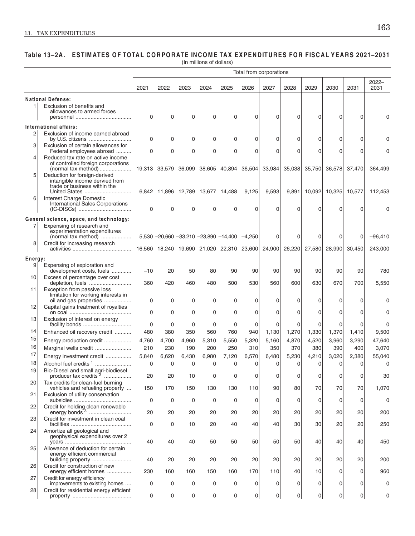(In millions of dollars)

|          |                                                                                                                  |                |                |                                                 |        |                 |               | Total from corporations |                |               |               |               |                   |
|----------|------------------------------------------------------------------------------------------------------------------|----------------|----------------|-------------------------------------------------|--------|-----------------|---------------|-------------------------|----------------|---------------|---------------|---------------|-------------------|
|          |                                                                                                                  | 2021           | 2022           | 2023                                            | 2024   | 2025            | 2026          | 2027                    | 2028           | 2029          | 2030          | 2031          | $2022 -$<br>2031  |
|          | <b>National Defense:</b>                                                                                         |                |                |                                                 |        |                 |               |                         |                |               |               |               |                   |
| 1        | Exclusion of benefits and<br>allowances to armed forces                                                          | $\Omega$       | 0              | $\Omega$                                        | 0      | $\Omega$        | $\Omega$      | $\Omega$                | 0              | 0             | 0             | $\Omega$      |                   |
|          | International affairs:                                                                                           |                |                |                                                 |        |                 |               |                         |                |               |               |               |                   |
| 2        | Exclusion of income earned abroad<br>by U.S. citizens                                                            | $\Omega$       | 0              | 0                                               | 0      | $\Omega$        | $\Omega$      | $\Omega$                | 0              | 0             | $\Omega$      | 0             |                   |
| 3<br>4   | Exclusion of certain allowances for<br>Federal employees abroad<br>Reduced tax rate on active income             | $\Omega$       | $\Omega$       | $\Omega$                                        | 0      | $\Omega$        | 0             | 0                       | 0              | $\Omega$      | 0             | 0             | C                 |
|          | of controlled foreign corporations                                                                               | 19,313         | 33,579         | 36,099                                          | 38,605 | 40,894          | 36,504        | 33,984                  |                | 35,038 35,750 | 36,578        | 37,470        | 364,499           |
| 5        | Deduction for foreign-derived<br>intangible income dervied from<br>trade or business within the<br>United States | 6,842          | 11,896         | 12,789                                          | 13,677 | 14,488          | 9,125         | 9,593                   | 9,891          | 10,092        | 10,325        | 10,577        | 112,453           |
| 6        | Interest Charge Domestic<br>International Sales Corporations                                                     | $\Omega$       | 0              | $\Omega$                                        | O      | $\Omega$        | $\Omega$      | $\Omega$                | 0              | $\Omega$      | 0             |               |                   |
|          | General science, space, and technology:                                                                          |                |                |                                                 |        |                 |               |                         |                |               |               |               |                   |
| 7        | Expensing of research and<br>experimentation expenditures<br>(normal tax method)                                 |                |                | $5,530$ $-20,660$ $-33,210$ $-23,890$ $-14,400$ |        |                 | $-4,250$      | $\Omega$                | 0              | 0             | $\Omega$      | $\Omega$      | $-96,410$         |
| 8        | Credit for increasing research                                                                                   | 16,560         | 18,240         | 19,690                                          | 21,020 |                 | 22,310 23,600 | 24,900                  | 26,220         | 27,580        | 28,990        | 30,450        | 243,000           |
| Energy:  |                                                                                                                  |                |                |                                                 |        |                 |               |                         |                |               |               |               |                   |
| 9        | Expensing of exploration and                                                                                     |                |                |                                                 |        |                 |               |                         |                |               |               |               |                   |
| 10       | development costs, fuels<br>Excess of percentage over cost                                                       | $-10$          | 20             | 50                                              | 80     | 90 <sub>1</sub> | 90            | 90                      | 90             | 90            | 90            | 90            | 780               |
|          | depletion, fuels                                                                                                 | 360            | 420            | 460                                             | 480    | 500             | 530           | 560                     | 600            | 630           | 670           | 700           | 5,550             |
| 11       | Exception from passive loss<br>limitation for working interests in<br>oil and gas properties                     | 0              | 0              | $\Omega$                                        | 0      | $\Omega$        | $\Omega$      | 0                       | 0              | 0             | 0             | O             | 0                 |
| 12       | Capital gains treatment of royalties                                                                             | $\mathbf 0$    | 0              | $\Omega$                                        | 0      | $\Omega$        | 0             | $\Omega$                | 0              | ი             | 0             | O             |                   |
| 13       | Exclusion of interest on energy                                                                                  | 0              | 0              | $\Omega$                                        | 0      | $\Omega$        | 0             | $\Omega$                | 0              | 0             | $\Omega$      | 0             | O                 |
| 14       | Enhanced oil recovery credit                                                                                     | 480            | 380            | 350                                             | 560    | 760             | 940           | 1,130                   | 1,270          | 1,330         | 1,370         | 1,410         | 9,500             |
| 15       | Energy production credit                                                                                         | 4,760          | 4,700          | 4,960                                           | 5,310  | 5,550           | 5,320         | 5,160                   | 4,870          | 4,520         | 3,960         | 3,290         | 47,640            |
| 16       | Marginal wells credit                                                                                            | 210            | 230            | 190                                             | 200    | 250             | 310           | 350                     | 370            | 380           | 390           | 400           | 3,070             |
| 17       | Energy investment credit                                                                                         | 5,840          | 6,620          | 6,430                                           | 6,980  | 7,120           | 6,570         | 6,480                   | 5,230          | 4,210         | 3,020         | 2.380         | 55,040            |
| 18<br>19 | Alcohol fuel credits <sup>1</sup><br>Bio-Diesel and small agri-biodiesel<br>producer tax credits <sup>2</sup>    | $\Omega$<br>20 | $\Omega$<br>20 | $\Omega$<br>10                                  | 0<br>0 | $\Omega$        | $\Omega$<br>0 | $\Omega$<br>0           | $\Omega$<br>0  | 0<br>ი        | $\Omega$<br>0 | $\Omega$<br>O | $\mathbf 0$<br>30 |
| 20       | Tax credits for clean-fuel burning<br>vehicles and refueling property                                            | 150            | 170            | 150                                             | 130    | 130             | 110           | 90                      | 80             | 70            | 70            | 70            | 1,070             |
| 21       | Exclusion of utility conservation                                                                                | $\mathbf 0$    | $\mathbf 0$    | 0                                               | 0      | 0               | $\Omega$      | $\Omega$                | 0              | 0             | $\mathbf 0$   | $\Omega$      | $\Omega$          |
| 22       | Credit for holding clean renewable<br>energy bonds <sup>3</sup>                                                  | 20             | 20             | 20                                              | 20     | 20 <sup>2</sup> | 20            | 20                      | 20             | 20            | 20            | 20            | 200               |
| 23       | Credit for investment in clean coal                                                                              | $\Omega$       | $\Omega$       | 10                                              | 20     | 40              | 40            | 40                      | 30             | 30            | 20            | 20            | 250               |
| 24       | Amortize all geological and<br>geophysical expenditures over 2                                                   | 40             | 40             | 40                                              | 50     | 50              | 50            | 50                      | 50             | 40            | 40            | 40            | 450               |
| 25       | Allowance of deduction for certain<br>energy efficient commercial                                                |                |                |                                                 |        |                 |               |                         |                |               |               |               |                   |
| 26       | building property<br>Credit for construction of new                                                              | 40             | 20             | 20                                              | 20     | 20              | 20            | 20                      | 20             | 20            | 20            | 20            | 200               |
| 27       | energy efficient homes<br>Credit for energy efficiency                                                           | 230            | 160            | 160                                             | 150    | 160             | 170           | 110                     | 40             | 10            | $\Omega$      | 0             | 960               |
| 28       | improvements to existing homes<br>Credit for residential energy efficient                                        | $\mathbf 0$    | $\mathbf 0$    | 0                                               | 0      | 0               | 0             | $\Omega$                | 0              | 0             | 0             | 0             | 0                 |
|          |                                                                                                                  | 0              | $\overline{0}$ | 0                                               | 0      | 0               | 0             | $\Omega$                | $\overline{0}$ | 0             | 0             | $\Omega$      |                   |

ż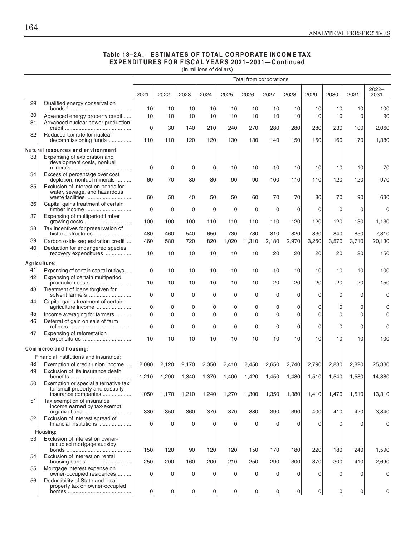|          |                                                                                                |           |             |           |                |             | Total from corporations |             |             |                |             |             |                  |
|----------|------------------------------------------------------------------------------------------------|-----------|-------------|-----------|----------------|-------------|-------------------------|-------------|-------------|----------------|-------------|-------------|------------------|
|          |                                                                                                | 2021      | 2022        | 2023      | 2024           | 2025        | 2026                    | 2027        | 2028        | 2029           | 2030        | 2031        | $2022 -$<br>2031 |
| 29       | Qualified energy conservation                                                                  | 10        | 10          | 10        | 10             | 10          | 10                      | 10          | 10          | 10             | 10          | 10          | 100              |
| 30<br>31 | Advanced energy property credit<br>Advanced nuclear power production                           | 10        | 10          | 10        | 10             | 10          | 10                      | 10          | 10          | 10             | 10          | $\Omega$    | 90               |
| 32       | Reduced tax rate for nuclear                                                                   | $\Omega$  | 30          | 140       | 210            | 240         | 270                     | 280         | 280         | 280            | 230         | 100         | 2,060            |
|          | decommissioning funds                                                                          | 110       | 110         | 120       | 120            | 130         | 130                     | 140         | 150         | 150            | 160         | 170         | 1,380            |
| 33       | Natural resources and environment:<br>Expensing of exploration and                             |           |             |           |                |             |                         |             |             |                |             |             |                  |
|          | development costs, nonfuel                                                                     | 0         | $\mathbf 0$ | $\Omega$  | $\Omega$       | 10          | 10                      | 10          | 10          | 10             | 10          | 10          | 70               |
| 34       | Excess of percentage over cost<br>depletion, nonfuel minerals                                  | 60        | 70          | 80        | 80             | 90          | 90                      | 100         | 110         | 110            | 120         | 120         | 970              |
| 35       | Exclusion of interest on bonds for<br>water, sewage, and hazardous<br>waste facilities         | 60        | 50          | 40        | 50             | 50          | 60                      | 70          | 70          | 80             | 70          | 90          | 630              |
| 36       | Capital gains treatment of certain<br>timber income                                            | $\Omega$  | $\Omega$    | $\Omega$  | $\Omega$       | $\Omega$    | $\Omega$                | $\Omega$    | $\Omega$    | $\Omega$       | $\Omega$    | 0           | $\Omega$         |
| 37       | Expensing of multiperiod timber                                                                |           |             |           |                |             |                         |             |             |                |             |             |                  |
| 38       | growing costs<br>Tax incentives for preservation of                                            | 100       | 100         | 100       | 110            | 110         | 110                     | 110         | 120         | 120            | 120         | 130         | 1,130            |
|          | historic structures                                                                            | 480       | 460         | 540       | 650            | 730         | 780                     | 810         | 820         | 830            | 840         | 850         | 7,310            |
| 39<br>40 | Carbon oxide sequestration credit<br>Deduction for endangered species<br>recovery expenditures | 460<br>10 | 580<br>10   | 720<br>10 | 820<br>10      | 1,020<br>10 | 1,310<br>10             | 2,180<br>20 | 2,970<br>20 | 3,250<br>20    | 3,570<br>20 | 3,710<br>20 | 20,130<br>150    |
|          |                                                                                                |           |             |           |                |             |                         |             |             |                |             |             |                  |
| 41       | Agriculture:<br>Expensing of certain capital outlays                                           | 0         | 10          | 10        | 10             | 10          | 10                      | 10          | 10          | 10             | 10          | 10          | 100              |
| 42       | Expensing of certain multiperiod                                                               |           |             |           |                |             |                         |             |             |                |             |             |                  |
| 43       | production costs<br>Treatment of loans forgiven for                                            | 10        | 10          | 10        | 10             | 10          | 10                      | 20          | 20          | 20             | 20          | 20          | 150              |
| 44       | solvent farmers<br>Capital gains treatment of certain                                          | 0         | 0           | 0         | 0              | 0           | $\Omega$                | $\mathbf 0$ | 0           | 0              | $\Omega$    | $\Omega$    | $\mathbf 0$      |
|          | agriculture income                                                                             | 0         | 0           | 0         | $\Omega$       | 0           | $\Omega$                | $\Omega$    | 0           | 0              | 0           | $\Omega$    | 0                |
| 45<br>46 | Income averaging for farmers<br>Deferral of gain on sale of farm                               | 0         | $\Omega$    | 0         | 0              | $\Omega$    | $\Omega$                | $\Omega$    | 0           | 0              | 0           | $\Omega$    | 0                |
|          |                                                                                                | 0         | 0           | 0         | $\Omega$       | 0           | $\Omega$                | $\Omega$    | $\mathbf 0$ | 0              | $\Omega$    | $\Omega$    | $\mathbf 0$      |
| 47       | Expensing of reforestation<br>expenditures                                                     | 10        | 10          | 10        | 10             | 10          | 10                      | 10          | 10          | 10             | 10          | 10          | 100              |
|          | Commerce and housing:                                                                          |           |             |           |                |             |                         |             |             |                |             |             |                  |
|          | Financial institutions and insurance:                                                          |           |             |           |                |             |                         |             |             |                |             |             |                  |
| 48<br>49 | Exemption of credit union income<br>Exclusion of life insurance death                          | 2,080     | 2,120       | 2,170     | 2,350          | 2.410       | 2,450                   | 2,650       | 2,740       | 2,790          | 2,830       | 2,820       | 25.330           |
| 50       | Exemption or special alternative tax<br>for small property and casualty                        | 1,210     | 1,290       | 1,340     | 1,370          | 1,400       | 1,420                   | 1,450       | 1,480       | 1,510          | 1,540       | 1,580       | 14,380           |
| 51       | insurance companies<br>Tax exemption of insurance                                              | 1,050     | 1,170       | 1,210     | 1,240          | 1,270       | 1,300                   | 1,350       | 1,380       | 1,410          | 1,470       | 1,510       | 13,310           |
|          | income earned by tax-exempt<br>organizations                                                   | 330       | 350         | 360       | 370            | 370         | 380                     | 390         | 390         | 400            | 410         | 420         | 3,840            |
| 52       | Exclusion of interest spread of<br>financial institutions                                      | $\Omega$  | $\Omega$    | $\Omega$  | $\Omega$       | 0           | $\Omega$                | $\Omega$    | $\Omega$    | $\Omega$       | $\Omega$    | $\Omega$    | $\mathbf 0$      |
|          | Housing:                                                                                       |           |             |           |                |             |                         |             |             |                |             |             |                  |
| 53       | Exclusion of interest on owner-<br>occupied mortgage subsidy                                   |           |             |           |                |             |                         |             |             |                |             |             |                  |
| 54       | Exclusion of interest on rental                                                                | 150       | 120         | 90        | 120            | 120         | 150                     | 170         | 180         | 220            | 180         | 240         | 1,590            |
| 55       | housing bonds<br>Mortgage interest expense on                                                  | 250       | 200         | 160       | 200            | 210         | 250                     | 290         | 300         | 370            | 300         | 410         | 2,690            |
| 56       | owner-occupied residences<br>Deductibility of State and local                                  | 0         | 0           | 0         | 0              | 0           | 0                       | 0           | $\mathbf 0$ | $\mathbf{O}$   | 0           | 0           | 0                |
|          | property tax on owner-occupied                                                                 | 0         | $\mathbf 0$ | 0         | $\overline{0}$ | 0           | 0                       | $\mathbf 0$ | 0           | $\overline{0}$ | 0           | $\Omega$    | $\Omega$         |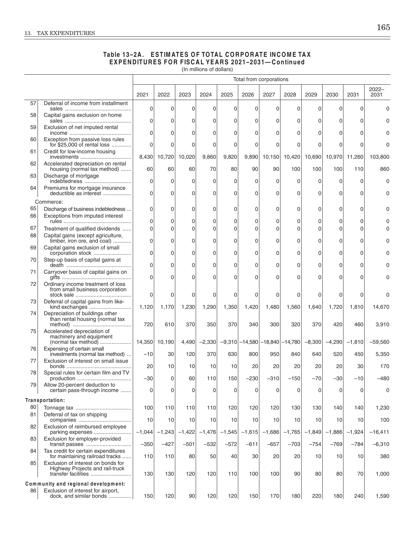|          |                                                                                                      |                 |               |          |             |          | Total from corporations                |          |          |             |          |          |               |
|----------|------------------------------------------------------------------------------------------------------|-----------------|---------------|----------|-------------|----------|----------------------------------------|----------|----------|-------------|----------|----------|---------------|
|          |                                                                                                      | 2021            | 2022          | 2023     | 2024        | 2025     | 2026                                   | 2027     | 2028     | 2029        | 2030     | 2031     | 2022-<br>2031 |
| 57       | Deferral of income from installment                                                                  | $\Omega$        | $\mathbf 0$   | $\Omega$ | $\mathbf 0$ | 0        | 0                                      | 0        | 0        | $\Omega$    | $\Omega$ | 0        |               |
| 58       | Capital gains exclusion on home                                                                      | 0               | 0             | $\Omega$ | $\mathbf 0$ | 0        | 0                                      | 0        | 0        | $\Omega$    | 0        | 0        |               |
| 59       | Exclusion of net imputed rental                                                                      | $\Omega$        | 0             | $\Omega$ | $\Omega$    | 0        | 0                                      | 0        | 0        | 0           | 0        | 0        |               |
| 60       | Exception from passive loss rules<br>for \$25,000 of rental loss                                     | $\Omega$        | $\Omega$      | $\Omega$ | $\Omega$    | 0        | 0                                      | $\Omega$ | 0        | $\Omega$    | $\Omega$ | 0        |               |
| 61       | Credit for low-income housing<br>investments                                                         | 8,430           | 10,720        | 10,020   | 9,860       | 9,820    | 9,890                                  | 10,150   | 10,420   | 10,690      | 10,970   | 11,260   | 103,800       |
| 62       | Accelerated depreciation on rental<br>housing (normal tax method)                                    | 60              | 60            | 60       | 70          | 80       | 90                                     | 90       | 100      | 100         | 100      | 110      | 860           |
| 63       | Discharge of mortgage<br>indebtedness                                                                | $\Omega$        | $\Omega$      | $\Omega$ | $\Omega$    | 0        | 0                                      | 0        | 0        | $\Omega$    | $\Omega$ | 0        |               |
| 64       | Premiums for mortgage insurance<br>deductible as interest                                            | 0               | 0             | $\Omega$ | $\Omega$    | 0        | $\Omega$                               | 0        | 0        | $\Omega$    | 0        | 0        |               |
|          | Commerce:                                                                                            |                 |               |          |             |          |                                        |          |          |             |          |          |               |
| 65<br>66 | Discharge of business indebtedness                                                                   | 0               | 0             | 0        | $\Omega$    | 0        | 0                                      | 0        | 0        | 0           | 0        | 0        |               |
|          | Exceptions from imputed interest                                                                     | 0               | 0             | 0        | 0           | 0        | 0                                      | 0        | 0        | 0           | 0        | 0        |               |
| 67       | Treatment of qualified dividends                                                                     | 0               | 0             | $\Omega$ | 0           | 0        | $\Omega$                               | 0        | 0        | $\Omega$    | 0        | 0        | Ω             |
| 68       | Capital gains (except agriculture,<br>timber, iron ore, and coal)                                    | $\Omega$        | 0             | $\Omega$ | $\Omega$    | 0        | 0                                      | 0        | 0        | $\Omega$    | 0        | 0        |               |
| 69       | Capital gains exclusion of small<br>corporation stock                                                | $\Omega$        | 0             | $\Omega$ | $\Omega$    | 0        | 0                                      | 0        | 0        | 0           | 0        | 0        |               |
| 70       | Step-up basis of capital gains at                                                                    | 0               | 0             | $\Omega$ | $\Omega$    | 0        | 0                                      | 0        | 0        | 0           | 0        | 0        |               |
| 71       | Carryover basis of capital gains on                                                                  | 0               | $\Omega$      | 0        | 0           | 0        | 0                                      | 0        | 0        | 0           | U        | 0        | O             |
| 72       | Ordinary income treatment of loss<br>from small business corporation                                 | $\Omega$        | 0             | 0        | $\Omega$    | 0        | 0                                      | $\Omega$ | 0        | O           | 0        | O        |               |
| 73       | Deferral of capital gains from like-<br>kind exchanges                                               | 1,120           | 1,170         | 1,230    | 1,290       | 1,350    | 1,420                                  | 1,480    | 1,560    | 1,640       | 1,720    | 1,810    | 14,670        |
| 74       | Depreciation of buildings other<br>than rental housing (normal tax                                   | 720             | 610           | 370      | 350         | 370      | 340                                    | 300      | 320      | 370         | 420      | 460      | 3,910         |
| 75       | Accelerated depreciation of<br>machinery and equipment                                               |                 |               |          |             |          |                                        |          |          |             |          |          |               |
| 76       | (normal tax method)<br>Expensing of certain small                                                    |                 | 14,350 10,190 | 4,490    | $-2,330$    |          | $-9,310$ $-14,580$ $-18,840$ $-14,780$ |          |          | $-8,300$    | $-4,290$ | $-1,810$ | $-59,560$     |
| 77       | investments (normal tax method)<br>Exclusion of interest on small issue                              | -10             | 30            | 120      | 370         | 630      | 800                                    | 950      | 840      | 640         | 520      | 450      | 5,350         |
| 78       | Special rules for certain film and TV                                                                | 20              | 10            | 10       | 10          | 10       | 20                                     | 20       | 20       | 20          | 20       | 30       | 170           |
| 79       | production<br>Allow 20-percent deduction to                                                          | $-30$           | $\Omega$      | 60       | 110         | 150      | $-230$                                 | $-310$   | $-150$   | $-70$       | $-30$    | $-10$    | $-480$        |
|          | certain pass-through income                                                                          | $\Omega$        | 0             | 0        | $\mathbf 0$ | 0        | 0                                      | $\Omega$ | $\Omega$ | $\mathbf 0$ | 0        | 0        | 0             |
| 80       | Transportation:                                                                                      |                 |               |          |             |          |                                        |          |          |             |          |          |               |
| 81       | Deferral of tax on shipping                                                                          | 100             | 110           | 110      | 110         | 120      | 120                                    | 120      | 130      | 130         | 140      | 140      | 1,230         |
| 82       | Exclusion of reimbursed employee                                                                     | 10 <sup>1</sup> | 10            | 10       | 10          | 10       | 10 <sup>1</sup>                        | 10       | 10       | 10          | 10       | 10       | 100           |
| 83       | parking expenses<br>Exclusion for employer-provided                                                  | $-1,044$        | $-1,243$      | $-1.422$ | $-1,476$    | $-1,545$ | $-1,615$                               | $-1,686$ | $-1,765$ | $-1.849$    | $-1,886$ | $-1.924$ | $-16,411$     |
| 84       | transit passes<br>Tax credit for certain expenditures                                                | $-350$          | $-427$        | $-501$   | $-532$      | $-572$   | $-611$                                 | $-657$   | $-703$   | $-754$      | $-769$   | $-784$   | $-6,310$      |
| 85       | for maintaining railroad tracks<br>Exclusion of interest on bonds for                                | 110             | 110           | 80       | 50          | 40       | 30                                     | 20       | 20       | 10          | 10       | 10       | 380           |
|          | Highway Projects and rail-truck<br>transfer facilities                                               | 130             | 130           | 120      | 120         | 110      | 100                                    | 100      | 90       | 80          | 80       | 70       | 1,000         |
| 86       | Community and regional development:<br>Exclusion of interest for airport,<br>dock, and similar bonds | 150             | 120           | 90       | 120         | 120      | 150                                    | 170      | 180      | 220         | 180      | 240      | 1,590         |
|          |                                                                                                      |                 |               |          |             |          |                                        |          |          |             |          |          |               |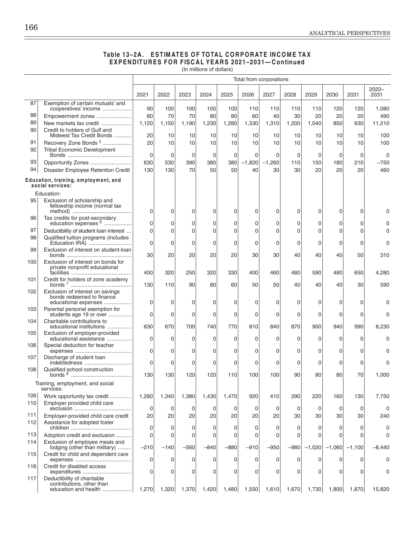|     |                                                                            |                |                |             |             |             | Total from corporations |          |             |          |             |                |               |
|-----|----------------------------------------------------------------------------|----------------|----------------|-------------|-------------|-------------|-------------------------|----------|-------------|----------|-------------|----------------|---------------|
|     |                                                                            | 2021           | 2022           | 2023        | 2024        | 2025        | 2026                    | 2027     | 2028        | 2029     | 2030        | 2031           | 2022-<br>2031 |
| 87  | Exemption of certain mutuals' and<br>cooperatives' income                  | 90             | 100            | 100         | 100         | 100         | 110                     | 110      | 110         | 110      | 120         | 120            | 1,080         |
| 88  | Empowerment zones                                                          | 80             | 70             | 70          | 80          | 80          | 60                      | 40       | 30          | 20       | 20          | 20             | 490           |
| 89  | New markets tax credit                                                     | 1,120          | 1,150          | 1,190       | 1,230       | 1,280       | 1,330                   | 1,310    | 1,200       | 1,040    | 850         | 630            | 11,210        |
| 90  | Credit to holders of Gulf and                                              |                |                |             |             |             |                         |          |             |          |             |                |               |
|     | Midwest Tax Credit Bonds                                                   | 20             | 10             | 10          | 10          | 10          | 10                      | 10       | 10          | 10       | 10          | 10             | 100           |
| 91  | Recovery Zone Bonds <sup>5</sup>                                           | 20             | 10             | 10          | 10          | 10          | 10                      | 10       | 10          | 10       | 10          | 10             | 100           |
| 92  | Tribal Economic Development                                                | 0              | 0              | $\mathbf 0$ | 0           | $\mathbf 0$ | $\Omega$                | $\Omega$ | $\mathbf 0$ | $\Omega$ | $\mathbf 0$ | $\Omega$       | $\mathbf 0$   |
| 93  | Opportunity Zones                                                          | 630            | 530            | 390         | 380         | 380         | $-1,820$                | $-1,260$ | 110         | 150      | 180         | 210            | $-750$        |
| 94  |                                                                            | 130            | 130            | 70          | 50          | 50          | 40                      | 30       | 30          | 20       | 20          | 20             | 460           |
|     | Disaster Employee Retention Credit<br>Education, training, employment, and |                |                |             |             |             |                         |          |             |          |             |                |               |
|     | social services:<br>Education:                                             |                |                |             |             |             |                         |          |             |          |             |                |               |
| 95  | Exclusion of scholarship and                                               |                |                |             |             |             |                         |          |             |          |             |                |               |
|     | fellowship income (normal tax                                              |                |                |             |             |             |                         |          |             |          |             |                |               |
|     |                                                                            | $\mathbf 0$    | 0              | 0           | $\Omega$    | 0           | 0                       | 0        | 0           | 0        | 0           | 0              |               |
| 96  | Tax credits for post-secondary<br>education expenses <sup>6</sup>          | 0              | 0              | 0           | 0           | $\mathbf 0$ | 0                       | 0        | 0           | 0        | 0           | 0              |               |
| 97  | Deductibility of student loan interest                                     | 0              | $\Omega$       | $\Omega$    | 0           | $\Omega$    | $\Omega$                | $\Omega$ | $\Omega$    | $\Omega$ | 0           | U              |               |
| 98  | Qualified tuition programs (includes                                       |                |                |             |             |             |                         |          |             |          |             |                |               |
|     |                                                                            | $\Omega$       | $\Omega$       | 0           | $\Omega$    | $\Omega$    | 0                       | $\Omega$ | 0           | $\Omega$ | $\Omega$    | 0              | 0             |
| 99  | Exclusion of interest on student-loan                                      |                |                |             |             |             |                         |          |             |          |             |                |               |
|     |                                                                            | 30             | 20             | 20          | 20          | 20          | 30                      | 30       | 40          | 40       | 40          | 50             | 310           |
| 100 | Exclusion of interest on bonds for<br>private nonprofit educational        |                |                |             |             |             |                         |          |             |          |             |                |               |
|     |                                                                            | 400            | 320            | 250         | 320         | 330         | 400                     | 460      | 480         | 590      | 480         | 650            | 4,280         |
| 101 | Credit for holders of zone academy                                         |                |                |             |             |             |                         |          |             |          |             |                |               |
|     |                                                                            | 130            | 110            | 90          | 80          | 60          | 50                      | 50       | 40          | 40       | 40          | 30             | 590           |
| 102 | Exclusion of interest on savings<br>bonds redeemed to finance              |                |                |             |             |             |                         |          |             |          |             |                |               |
|     | educational expenses                                                       | 0              | 0              | 0           | $\mathbf 0$ | 0           | 0                       | $\Omega$ | 0           | $\Omega$ | 0           | 0              |               |
| 103 | Parental personal exemption for                                            |                |                |             |             |             |                         |          |             |          |             |                |               |
|     | students age 19 or over                                                    | $\Omega$       | 0              | 0           | $\Omega$    | $\Omega$    | $\Omega$                | $\Omega$ | $\mathbf 0$ | $\Omega$ | $\Omega$    | 0              |               |
| 104 | Charitable contributions to<br>educational institutions                    | 630            | 670            | 700         | 740         | 770         | 810                     | 840      | 870         | 900      | 940         | 990            | 8,230         |
| 105 | Exclusion of employer-provided                                             |                |                |             |             |             |                         |          |             |          |             |                |               |
|     | educational assistance                                                     | $\Omega$       | 0              | $\Omega$    | $\Omega$    | 0           | 0                       | $\Omega$ | 0           | $\Omega$ | 0           | 0              |               |
| 106 | Special deduction for teacher                                              |                |                |             |             |             |                         |          |             |          |             |                |               |
| 107 | Discharge of student loan                                                  | $\Omega$       | $\Omega$       | $\Omega$    | $\Omega$    | $\Omega$    | 0                       | $\Omega$ | 0           | $\Omega$ | 0           | 0              |               |
|     | indebtedness                                                               | 0              | $\Omega$       | 0           | 0           | $\Omega$    | 0                       | $\Omega$ | 0           | $\Omega$ | 0           | 0              |               |
| 108 | Qualified school construction                                              |                |                |             |             |             |                         |          |             |          |             |                |               |
|     |                                                                            | 130            | 130            | 120         | 120         | 110         | 100                     | 100      | 90          | 80       | 80          | 70             | 1,000         |
|     | Training, employment, and social                                           |                |                |             |             |             |                         |          |             |          |             |                |               |
|     | services:                                                                  |                |                |             |             |             |                         |          |             |          |             |                |               |
| 109 | Work opportunity tax credit                                                | 1,280          | 1,340          | 1,380       | 1,430       | 1,470       | 920                     | 410      | 290         | 220      | 160         | 130            | 7,750         |
| 110 | Employer provided child care                                               | $\overline{0}$ | $\overline{0}$ | 0           | 0           | 0           | 0                       | 0        | $\mathbf 0$ | 0        | 0           | $\overline{0}$ | 0             |
| 111 | Employer-provided child care credit                                        | 20             | 20             | 20          | 20          | 20          | 20                      | 20       | 30          | 30       | 30          | 30             | 240           |
| 112 | Assistance for adopted foster                                              |                |                |             |             |             |                         |          |             |          |             |                |               |
|     |                                                                            | $\Omega$       | 0              | 0           | $\Omega$    | 0           | $\Omega$                | $\Omega$ | 0           | $\Omega$ | $\Omega$    | 0              | $\Omega$      |
| 113 | Adoption credit and exclusion                                              | $\Omega$       | $\Omega$       | $\Omega$    | $\Omega$    | $\mathbf 0$ | $\Omega$                | $\Omega$ | $\Omega$    | $\Omega$ | 0           | 0              | $\Omega$      |
| 114 | Exclusion of employee meals and                                            |                |                |             |             |             |                         |          |             |          |             |                |               |
|     | lodging (other than military)                                              | $-210$         | $-140$         | $-560$      | $-840$      | $-880$      | $-910$                  | $-950$   | $-980$      | $-1,020$ | $-1,060$    | $-1,100$       | $-8,440$      |
| 115 | Credit for child and dependent care                                        | $\Omega$       | 0              | $\mathbf 0$ | $\Omega$    | $\Omega$    | $\Omega$                | $\Omega$ | $\mathbf 0$ | $\Omega$ | $\Omega$    | 0              | 0             |
| 116 | Credit for disabled access                                                 |                |                |             |             |             |                         |          |             |          |             |                |               |
|     | expenditures                                                               | $\Omega$       | $\Omega$       | $\Omega$    | $\Omega$    | $\Omega$    | $\Omega$                | $\Omega$ | $\Omega$    | $\Omega$ | $\Omega$    | O              | 0             |
| 117 | Deductibility of charitable                                                |                |                |             |             |             |                         |          |             |          |             |                |               |
|     | contributions, other than<br>education and health                          | 1,270          | 1,320          | 1,370       | 1,420       | 1,480       | 1,550                   | 1,610    | 1,670       | 1,730    | 1,800       | 1,870          | 15,820        |
|     |                                                                            |                |                |             |             |             |                         |          |             |          |             |                |               |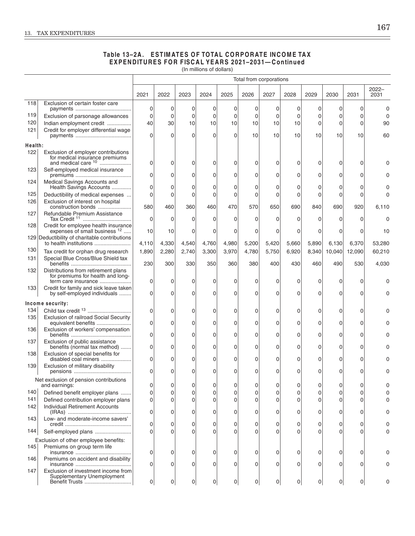|         |                                                                                                         |          |                |             |             |             | Total from corporations |             |             |             |             |          |                  |
|---------|---------------------------------------------------------------------------------------------------------|----------|----------------|-------------|-------------|-------------|-------------------------|-------------|-------------|-------------|-------------|----------|------------------|
|         |                                                                                                         | 2021     | 2022           | 2023        | 2024        | 2025        | 2026                    | 2027        | 2028        | 2029        | 2030        | 2031     | $2022 -$<br>2031 |
| 118     | Exclusion of certain foster care                                                                        | 0        | $\mathbf 0$    | $\mathbf 0$ | 0           | $\mathbf 0$ | 0                       | $\mathbf 0$ | $\mathbf 0$ | $\mathbf 0$ | $\mathbf 0$ | 0        | U                |
| 119     | Exclusion of parsonage allowances                                                                       | 0        | 0              | $\mathbf 0$ | $\mathbf 0$ | $\Omega$    | 0                       | $\mathbf 0$ | 0           | $\mathbf 0$ | 0           | 0        |                  |
| 120     | Indian employment credit                                                                                | 40       | 30             | 10          | 10          | 10          | 10                      | 10          | 10          | $\mathbf 0$ | $\Omega$    | $\Omega$ | 90               |
| 121     | Credit for employer differential wage                                                                   | 0        | $\Omega$       | 0           | $\Omega$    | 0           | 10                      | 10          | 10          | 10          | 10          | 10       | 60               |
|         |                                                                                                         |          |                |             |             |             |                         |             |             |             |             |          |                  |
| Health: |                                                                                                         |          |                |             |             |             |                         |             |             |             |             |          |                  |
| 122     | Exclusion of employer contributions<br>for medical insurance premiums<br>and medical care <sup>10</sup> | $\Omega$ | 0              | 0           | $\Omega$    | 0           | 0                       | 0           | 0           | 0           | 0           | O        |                  |
| 123     | Self-employed medical insurance                                                                         |          |                |             |             |             |                         |             |             |             |             |          |                  |
| 124     | Medical Savings Accounts and                                                                            | 0        | 0              | $\Omega$    | $\Omega$    | 0           | $\Omega$                | O           | 0           | $\Omega$    | $\Omega$    | U        |                  |
|         | Health Savings Accounts                                                                                 | $\Omega$ | 0              | 0           | $\Omega$    | 0           | 0                       | 0           | 0           | 0           | 0           | O        |                  |
| 125     | Deductibility of medical expenses                                                                       | $\Omega$ | $\Omega$       | $\Omega$    | $\Omega$    | $\Omega$    | $\Omega$                | 0           | $\Omega$    | $\Omega$    | 0           | O        |                  |
| 126     | Exclusion of interest on hospital                                                                       |          |                |             |             |             |                         |             |             |             |             |          |                  |
|         | construction bonds                                                                                      | 580      | 460            | 360         | 460         | 470         | 570                     | 650         | 690         | 840         | 690         | 920      | 6,110            |
| 127     | Refundable Premium Assistance<br>Tax Credit <sup>11</sup>                                               | 0        | 0              | 0           | $\Omega$    | 0           | 0                       | O           | 0           | $\Omega$    | 0           | U        | Ω                |
| 128     | Credit for employee health insurance                                                                    |          |                |             |             |             |                         |             |             |             |             |          |                  |
|         | expenses of small business <sup>12</sup>                                                                | 10       | 10             | 0           | $\Omega$    | 0           | 0                       | 0           | 0           | $\Omega$    | 0           |          | 10               |
|         | 129 Deductibility of charitable contributions<br>to health institutions                                 | 4,110    | 4,330          | 4,540       | 4,760       | 4,980       | 5,200                   | 5,420       | 5,660       | 5,890       | 6,130       | 6,370    | 53,280           |
| 130     | Tax credit for orphan drug research                                                                     | 1,890    | 2,280          | 2,740       | 3,300       | 3.970       | 4,780                   | 5,750       | 6,920       | 8,340       | 10.040      | 12,090   | 60,210           |
| 131     | Special Blue Cross/Blue Shield tax                                                                      | 230      | 300            | 330         | 350         | 360         | 380                     | 400         | 430         | 460         | 490         | 530      | 4,030            |
| 132     | Distributions from retirement plans<br>for premiums for health and long-                                |          |                |             |             |             |                         |             |             |             |             |          |                  |
| 133     | term care insurance<br>Credit for family and sick leave taken                                           | $\Omega$ | 0              | $\Omega$    | $\Omega$    | 0           | 0                       | 0           | $\Omega$    | $\Omega$    | $\Omega$    | O        |                  |
|         | by self-employed individuals                                                                            | 0        | $\Omega$       | $\Omega$    | $\Omega$    | $\Omega$    | $\Omega$                | 0           | $\Omega$    | $\Omega$    | $\Omega$    | ი        |                  |
|         | Income security:                                                                                        |          |                |             |             |             |                         |             |             |             |             |          |                  |
| 134     | Child tax credit <sup>13</sup>                                                                          | 0        | 0              | $\Omega$    | $\Omega$    | 0           | 0                       | 0           | $\Omega$    | 0           | $\Omega$    | 0        |                  |
| 135     | Exclusion of railroad Social Security<br>equivalent benefits                                            | 0        | 0              | $\Omega$    | $\Omega$    | 0           | 0                       | $\Omega$    | $\Omega$    | 0           | $\Omega$    | 0        |                  |
| 136     | Exclusion of workers' compensation                                                                      |          |                |             |             |             |                         |             |             |             |             |          |                  |
| 137     | Exclusion of public assistance                                                                          | 0        | 0              | $\Omega$    | $\Omega$    | 0           | 0                       | $\Omega$    | $\Omega$    | $\Omega$    | $\Omega$    | 0        |                  |
|         | benefits (normal tax method)<br>Exclusion of special benefits for                                       | 0        | 0              | 0           | $\Omega$    | 0           | 0                       | 0           | 0           | 0           | 0           | 0        |                  |
| 138     | disabled coal miners                                                                                    | 0        | 0              | 0           | $\Omega$    | 0           | 0                       | 0           | 0           | 0           | 0           | U        |                  |
| 139     | Exclusion of military disability                                                                        | $\Omega$ | $\Omega$       | 0           | O           | 0           | ი                       | 0           | 0           | $\Omega$    | 0           |          |                  |
|         | Net exclusion of pension contributions                                                                  |          |                |             |             |             |                         |             |             |             |             |          |                  |
|         | and earnings:                                                                                           | 0        | 0              | 0           | $\Omega$    |             | Ω                       | 0           | 0           | 0           | 0           | 0        |                  |
| 140     | Defined benefit employer plans                                                                          | 0        | 0              | $\mathbf 0$ | $\Omega$    | 0           | 0                       | 0           | 0           | $\mathbf 0$ | $\mathbf 0$ | $\Omega$ |                  |
| 141     | Defined contribution employer plans                                                                     | $\Omega$ | $\Omega$       | $\Omega$    | $\Omega$    | $\Omega$    | $\Omega$                | $\Omega$    | $\Omega$    | $\Omega$    | $\Omega$    | $\Omega$ |                  |
| 142     | Individual Retirement Accounts                                                                          | $\Omega$ | $\Omega$       | $\Omega$    | $\Omega$    | 0           | 0                       | $\Omega$    | $\Omega$    | $\mathbf 0$ | $\Omega$    | 0        |                  |
| 143     | Low- and moderate-income savers'                                                                        |          |                |             |             |             |                         |             |             |             |             |          |                  |
|         |                                                                                                         | 0        | 0              | 0           | $\Omega$    | 0           | 0                       | 0           | $\Omega$    | $\mathbf 0$ | 0           | 0        | Ω                |
| 144     | Self-employed plans                                                                                     | $\Omega$ | $\Omega$       | $\Omega$    | $\Omega$    | $\Omega$    | O                       | $\Omega$    | $\Omega$    | $\Omega$    | $\Omega$    | 0        | 0                |
|         | Exclusion of other employee benefits:                                                                   |          |                |             |             |             |                         |             |             |             |             |          |                  |
| 145     | Premiums on group term life                                                                             | 0        | 0              | $\mathbf 0$ | $\Omega$    | 0           | 0                       | 0           | 0           | $\mathbf 0$ | $\mathbf 0$ | 0        |                  |
| 146     | Premiums on accident and disability                                                                     |          |                |             |             |             |                         |             |             |             |             |          |                  |
|         |                                                                                                         | 0        | $\Omega$       | $\mathbf 0$ | $\Omega$    | $\Omega$    | 0                       | 0           | $\Omega$    | $\mathbf 0$ | $\Omega$    | 0        |                  |
| 147     | Exclusion of investment income from<br>Supplementary Unemployment<br>Benefit Trusts                     | 0        | $\overline{0}$ | 0           | 0           | 0           | $\Omega$                | 0           | 0           | 0           | $\mathbf 0$ | 0        | ი                |
|         |                                                                                                         |          |                |             |             |             |                         |             |             |             |             |          |                  |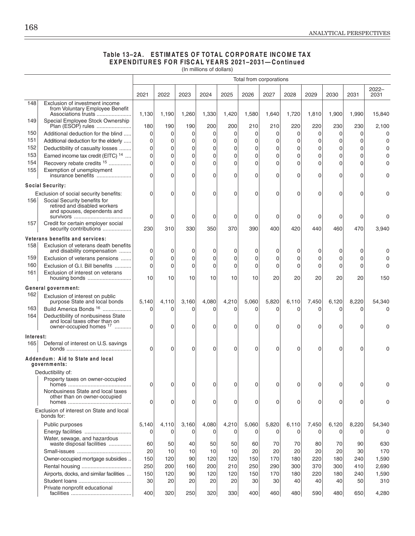|                  |                                                                                                           |              |              |              |              |                | Total from corporations |              |              |              |              |              |                  |
|------------------|-----------------------------------------------------------------------------------------------------------|--------------|--------------|--------------|--------------|----------------|-------------------------|--------------|--------------|--------------|--------------|--------------|------------------|
|                  |                                                                                                           | 2021         | 2022         | 2023         | 2024         | 2025           | 2026                    | 2027         | 2028         | 2029         | 2030         | 2031         | $2022 -$<br>2031 |
| 148              | Exclusion of investment income<br>from Voluntary Employee Benefit                                         |              |              |              |              |                |                         |              |              |              |              |              |                  |
| 149              | Associations trusts<br>Special Employee Stock Ownership<br>Plan (ESOP) rules                              | 1,130<br>180 | 1,190<br>190 | 1,260<br>190 | 1,330<br>200 | 1,420<br>200   | 1,580<br>210            | 1,640<br>210 | 1,720<br>220 | 1,810<br>220 | 1,900<br>230 | 1,990<br>230 | 15,840<br>2,100  |
| 150              | Additional deduction for the blind                                                                        | $\mathbf 0$  | 0            | 0            | $\mathbf 0$  | 0              | 0                       | $\Omega$     | $\mathbf 0$  | $\Omega$     | $\mathbf 0$  | $\Omega$     | $\Omega$         |
| 151              | Additional deduction for the elderly                                                                      | 0            | 0            | 0            | 0            | 0              | 0                       | $\mathbf 0$  | $\mathbf 0$  | $\Omega$     | 0            | $\Omega$     |                  |
| 152              | Deductibility of casualty losses                                                                          | 0            | $\mathbf 0$  | 0            | $\mathbf 0$  | 0              | ი                       | $\Omega$     | 0            | $\Omega$     | 0            | 0            | ∩                |
| 153              | Earned income tax credit (EITC) <sup>14</sup>                                                             | $\Omega$     | $\mathbf 0$  | 0            | $\mathbf 0$  | 0              | 0                       | $\Omega$     | $\mathbf 0$  | $\Omega$     | 0            | $\Omega$     |                  |
| 154              | Recovery rebate credits <sup>15</sup>                                                                     | $\Omega$     | $\Omega$     | $\Omega$     | $\Omega$     | $\Omega$       | 0                       | $\Omega$     | $\mathbf 0$  | $\Omega$     | $\Omega$     | $\Omega$     |                  |
| 155              | Exemption of unemployment<br>insurance benefits                                                           | $\Omega$     | $\Omega$     | 0            | $\Omega$     | $\overline{0}$ | 0                       | $\Omega$     | 0            | 0            | $\Omega$     | $\Omega$     |                  |
|                  | <b>Social Security:</b>                                                                                   |              |              |              |              |                |                         |              |              |              |              |              |                  |
|                  | Exclusion of social security benefits:                                                                    | $\Omega$     | 0            | 0            | $\mathbf 0$  | $\overline{0}$ | 0                       | $\Omega$     | 0            | 0            | $\Omega$     | $\Omega$     |                  |
| 156              | Social Security benefits for<br>retired and disabled workers<br>and spouses, dependents and               | $\Omega$     | 0            | 0            | $\Omega$     | 0              | 0                       | $\Omega$     | $\mathbf 0$  | $\Omega$     | $\Omega$     | $\Omega$     | O                |
| 157              | Credit for certain employer social<br>security contributions                                              | 230          | 310          | 330          | 350          | 370            | 390                     | 400          | 420          | 440          | 460          | 470          | 3,940            |
|                  |                                                                                                           |              |              |              |              |                |                         |              |              |              |              |              |                  |
| 158              | Veterans benefits and services:<br>Exclusion of veterans death benefits<br>and disability compensation    | 0            | 0            | 0            | 0            | 0              | 0                       | 0            | 0            | 0            | 0            | 0            |                  |
| 159              | Exclusion of veterans pensions                                                                            | 0            | 0            | 0            | $\mathbf 0$  | 0              | 0                       | $\mathbf 0$  | 0            | $\Omega$     | 0            | $\Omega$     |                  |
| 160              | Exclusion of G.I. Bill benefits                                                                           | $\Omega$     | $\Omega$     | $\Omega$     | $\Omega$     | $\Omega$       | $\Omega$                | $\Omega$     | $\mathbf 0$  | $\Omega$     | $\Omega$     | $\Omega$     | 0                |
| 161              | Exclusion of interest on veterans<br>housing bonds                                                        | 10           | 10           | 10           | 10           | 10             | 10                      | 20           | 20           | 20           | 20           | 20           | 150              |
|                  | General government:                                                                                       |              |              |              |              |                |                         |              |              |              |              |              |                  |
| 162              | Exclusion of interest on public<br>purpose State and local bonds                                          | 5,140        | 4,110        | 3,160        | 4,080        | 4,210          | 5,060                   | 5,820        | 6,110        | 7,450        | 6,120        | 8,220        | 54,340           |
| 163              | Build America Bonds <sup>16</sup>                                                                         | $\Omega$     | 0            | $\Omega$     | $\Omega$     | 0              | 0                       | $\Omega$     | $\Omega$     | $\Omega$     | $\Omega$     | $\Omega$     | 0                |
| 164              | Deductibility of nonbusiness State<br>and local taxes other than on<br>owner-occupied homes <sup>17</sup> | $\Omega$     | 0            | 0            | $\mathbf 0$  | 0              | 0                       | $\Omega$     | 0            | 0            | 0            | $\Omega$     |                  |
|                  |                                                                                                           |              |              |              |              |                |                         |              |              |              |              |              |                  |
| Interest:<br>165 | Deferral of interest on U.S. savings                                                                      | $\Omega$     | $\Omega$     | $\Omega$     | $\Omega$     | 0              | $\Omega$                | $\Omega$     | $\Omega$     | $\Omega$     | $\Omega$     | $\Omega$     |                  |
|                  | Addendum: Aid to State and local<br>governments:                                                          |              |              |              |              |                |                         |              |              |              |              |              |                  |
|                  | Deductibility of:                                                                                         |              |              |              |              |                |                         |              |              |              |              |              |                  |
|                  | Property taxes on owner-occupied                                                                          | 0            | 0            | $\Omega$     | 0            | ი              | ი                       | $\Omega$     | $\Omega$     | $\Omega$     | 0            | 0            | 0                |
|                  | Nonbusiness State and local taxes<br>other than on owner-occupied                                         | $\Omega$     | $\Omega$     | $\Omega$     | $\Omega$     | $\Omega$       | 0                       | $\Omega$     | 0            | $\Omega$     | $\Omega$     | 0            | 0                |
|                  | Exclusion of interest on State and local<br>bonds for:                                                    |              |              |              |              |                |                         |              |              |              |              |              |                  |
|                  | Public purposes                                                                                           | 5,140        | 4,110        | 3,160        | 4,080        | 4,210          | 5,060                   | 5,820        | 6,110        | 7,450        | 6,120        | 8,220        | 54,340           |
|                  | Energy facilities                                                                                         | $\Omega$     | 0            | 0            | $\Omega$     | $\Omega$       | $\Omega$                | $\Omega$     | $\Omega$     | $\Omega$     | $\Omega$     | $\Omega$     | $\Omega$         |
|                  | Water, sewage, and hazardous<br>waste disposal facilities                                                 | 60           | 50           | 40           | 50           | 50             | 60                      | 70           | 70           | 80           | 70           | 90           | 630              |
|                  |                                                                                                           | 20           | 10           | 10           | 10           | 10             | 20                      | 20           | 20           | 20           | 20           | 30           | 170              |
|                  | Owner-occupied mortgage subsidies                                                                         | 150          | 120          | 90           | 120          | 120            | 150                     | 170          | 180          | 220          | 180          | 240          | 1,590            |
|                  |                                                                                                           | 250          | 200          | 160          | 200          | 210            | 250                     | 290          | 300          | 370          | 300          | 410          | 2,690            |
|                  | Airports, docks, and similar facilities                                                                   | 150          | 120          | 90           | 120          | 120            | 150                     | 170          | 180          | 220          | 180          | 240          | 1,590            |
|                  | Private nonprofit educational                                                                             | 30<br>400    | 20<br>320    | 20<br>250    | 20<br>320    | 20<br>330      | 30<br>400               | 30<br>460    | 40<br>480    | 40<br>590    | 40<br>480    | 50<br>650    | 310<br>4,280     |
|                  |                                                                                                           |              |              |              |              |                |                         |              |              |              |              |              |                  |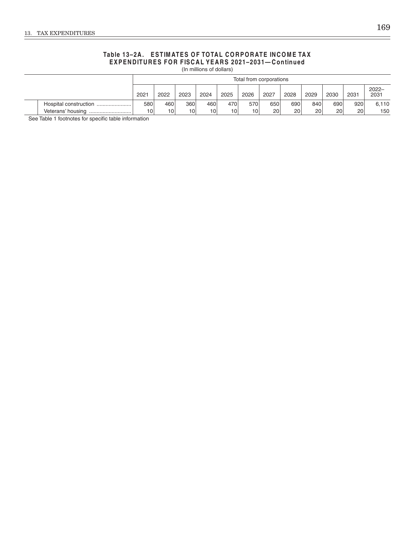(In millions of dollars)

|                       |                 | Total from corporations |      |                 |                 |                 |      |      |      |      |      |                  |
|-----------------------|-----------------|-------------------------|------|-----------------|-----------------|-----------------|------|------|------|------|------|------------------|
|                       | 2021            | 2022                    | 2023 | 2024            | 2025            | 2026            | 2027 | 2028 | 2029 | 2030 | 2031 | $2022 -$<br>2031 |
| Hospital construction | 580             | 460                     | 360  | 460             | 470             | 570             | 650  | 690  | 840  | 690  | 920  | 6,110            |
|                       | 10 <sub>1</sub> | 10 <sub>1</sub>         | 10   | 10 <sub>1</sub> | 10 <sup>1</sup> | 10 <sup>1</sup> | 20   | 20   | 20   | 20   | 20   | 150              |

See Table 1 footnotes for specific table information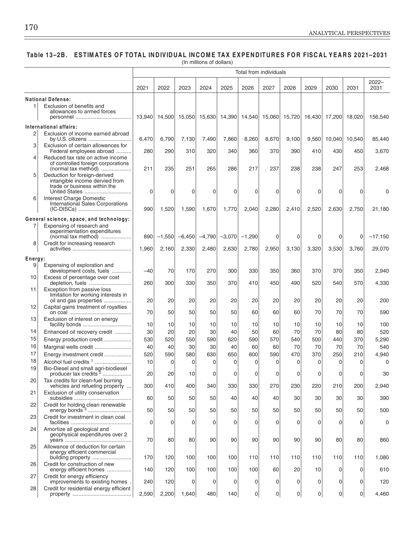| (In millions of dollars) |
|--------------------------|
|--------------------------|

|          |                                                                                                                                            |          |               |             | Total from individuals |          |                             |             |             |                      |             |               |               |
|----------|--------------------------------------------------------------------------------------------------------------------------------------------|----------|---------------|-------------|------------------------|----------|-----------------------------|-------------|-------------|----------------------|-------------|---------------|---------------|
|          |                                                                                                                                            | 2021     | 2022          | 2023        | 2024                   | 2025     | 2026                        | 2027        | 2028        | 2029                 | 2030        | 2031          | 2022-<br>2031 |
|          | <b>National Defense:</b>                                                                                                                   |          |               |             |                        |          |                             |             |             |                      |             |               |               |
| 1.       | Exclusion of benefits and<br>allowances to armed forces                                                                                    |          | 13,940 14,500 |             |                        |          | 15,050 15,630 14,390 14,540 |             |             | 15,060 15,720 16,430 |             | 17,200 18,020 | 156.540       |
|          | International affairs:                                                                                                                     |          |               |             |                        |          |                             |             |             |                      |             |               |               |
| 2        | Exclusion of income earned abroad<br>by U.S. citizens                                                                                      | 6,470    | 6,790         | 7,130       | 7,490                  | 7,860    | 8,260                       | 8,670       | 9,100       | 9,560                | 10,040      | 10,540        | 85,440        |
| 3        | Exclusion of certain allowances for<br>Federal employees abroad                                                                            | 280      | 290           | 310         | 320                    | 340      | 360                         | 370         | 390         | 410                  | 430         | 450           | 3,670         |
| 4<br>5   | Reduced tax rate on active income<br>of controlled foreign corporations<br>Deduction for foreign-derived<br>intangible income dervied from | 211      | 235           | 251         | 265                    | 286      | 217                         | 237         | 238         | 238                  | 247         | 253           | 2,468         |
|          | trade or business within the<br>United States                                                                                              | 0        | 0             | 0           | 0                      | $\Omega$ | 0                           | $\Omega$    | $\Omega$    | $\Omega$             | $\Omega$    | $\Omega$      |               |
| 6        | Interest Charge Domestic<br>International Sales Corporations                                                                               | 990      | 1,520         | 1,590       | 1,670                  | 1,770    | 2,040                       | 2,280       | 2,410       | 2,520                | 2,630       | 2,750         | 21,180        |
|          | General science, space, and technology:                                                                                                    |          |               |             |                        |          |                             |             |             |                      |             |               |               |
| 7        | Expensing of research and<br>experimentation expenditures<br>(normal tax method)                                                           | 890      | $-1.550$      | $-6,450$    | $-4,790$               | $-3,070$ | $-1,290$                    | $\Omega$    | $\Omega$    | $\Omega$             | $\Omega$    | $\Omega$      | $-17,150$     |
| 8        | Credit for increasing research                                                                                                             | 1,960    | 2,160         | 2,330       | 2,480                  | 2,630    | 2,780                       | 2,950       | 3,130       | 3,320                | 3,530       | 3,760         | 29,070        |
| Energy:  |                                                                                                                                            |          |               |             |                        |          |                             |             |             |                      |             |               |               |
| 9        | Expensing of exploration and<br>development costs, fuels                                                                                   | $-40$    | 70            | 170         | 270                    | 300      | 330                         | 350         | 360         | 370                  | 370         | 350           | 2,940         |
| 10       | Excess of percentage over cost<br>depletion, fuels                                                                                         | 260      | 300           | 330         | 350                    | 370      | 410                         | 450         | 490         | 520                  | 540         | 570           | 4,330         |
| 11       | Exception from passive loss<br>limitation for working interests in<br>oil and gas properties                                               | 20       | 20            | 20          | 20                     | 20       | 20                          | 20          | 20          | 20                   | 20          | 20            | 200           |
| 12       | Capital gains treatment of royalties                                                                                                       | 70       | 50            | 50          | 50                     | 50       | 60                          | 60          | 60          | 70                   | 70          | 70            | 590           |
| 13       | Exclusion of interest on energy<br>facility bonds                                                                                          | 10       | 10            | 10          | 10                     | 10       | 10                          | 10          | 10          | 10                   | 10          | 10            | 100           |
| 14       | Enhanced oil recovery credit                                                                                                               | 30       | 20            | 20          | 30                     | 40       | 50                          | 60          | 70          | 70                   | 80          | 80            | 520           |
| 15       | Energy production credit                                                                                                                   | 530      | 520           | 550         | 590                    | 620      | 590                         | 570         | 540         | 500                  | 440         | 370           | 5,290         |
| 16       | Marginal wells credit                                                                                                                      | 40       | 40            | 30          | 30                     | 40       | 60                          | 60          | 70          | 70                   | 70          | 70            | 540           |
| 17       | Energy investment credit                                                                                                                   | 520      | 590           | 580         | 630                    | 650      | 600                         | 590         | 470         | 370                  | 250         | 210           | 4,940         |
| 18       | Alcohol fuel credits <sup>1</sup>                                                                                                          | 10       | $\Omega$      | $\Omega$    | 0                      | $\Omega$ | O                           | $\Omega$    | 0           | 0                    | $\Omega$    | $\Omega$      | $\Omega$      |
| 19<br>20 | Bio-Diesel and small agri-biodiesel<br>producer tax credits <sup>2</sup><br>Tax credits for clean-fuel burning                             | 20       | 20            | 10          | 0                      | 0        | 0                           | 0           | 0           | 0                    | 0           | U             | 30            |
| 21       | vehicles and refueling property<br>Exclusion of utility conservation                                                                       | 300      | 410           | 400         | 340                    | 330      | 330                         | 270         | 230         | 220                  | 210         | 200           | 2,940         |
| 22       | Credit for holding clean renewable                                                                                                         | 60       | 50            | 50          | 50                     | 40       | 40                          | 40          | 30          | 30                   | 30          | 30            | 390           |
| 23       | energy bonds <sup>3</sup><br>Credit for investment in clean coal                                                                           | 50       | 50            | 50          | 50                     | 50       | 50                          | 50          | 50          | 50                   | 50          | 50            | 500           |
| 24       | Amortize all geological and<br>geophysical expenditures over 2                                                                             | $\Omega$ | $\mathbf 0$   | $\mathbf 0$ | $\Omega$               | $\Omega$ | $\Omega$                    | $\Omega$    | $\mathbf 0$ | $\mathbf 0$          | $\mathbf 0$ | $\Omega$      | $\mathbf 0$   |
| 25       | Allowance of deduction for certain                                                                                                         | 70       | 80            | 80          | 90                     | 90       | 90                          | 90          | 90          | 90                   | 80          | 80            | 860           |
|          | energy efficient commercial<br>building property                                                                                           | 170      | 120           | 100         | 100                    | 100      | 110                         | 110         | 110         | 110                  | 110         | 110           | 1,080         |
| 26       | Credit for construction of new<br>energy efficient homes                                                                                   | 140      | 120           | 100         | 100                    | 100      | 100                         | 60          | 20          | 10                   | $\Omega$    | $\Omega$      | 610           |
| 27<br>28 | Credit for energy efficiency<br>improvements to existing homes.<br>Credit for residential energy efficient                                 | 240      | 120           | $\mathbf 0$ | $\mathbf 0$            | 0        | 0                           | $\mathbf 0$ | $\mathbf 0$ | $\mathbf 0$          | $\Omega$    | $\Omega$      | 120           |
|          |                                                                                                                                            | 2,590    | 2,200         | 1,640       | 480                    | 140      | 0                           | $\Omega$    | 0           | $\mathbf 0$          | $\Omega$    | 0             | 4,460         |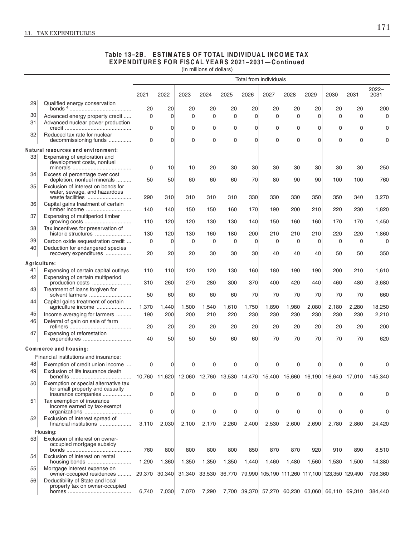|          | Total from individuals                                                                         |                  |                 |               |                |                 |                 |                                                |                 |               |                 |                                                                              |                         |
|----------|------------------------------------------------------------------------------------------------|------------------|-----------------|---------------|----------------|-----------------|-----------------|------------------------------------------------|-----------------|---------------|-----------------|------------------------------------------------------------------------------|-------------------------|
|          |                                                                                                | 2021             | 2022            | 2023          | 2024           | 2025            | 2026            | 2027                                           | 2028            | 2029          | 2030            | 2031                                                                         | $2022 -$<br>2031        |
| 29       | Qualified energy conservation                                                                  | 20               | 20              | 20            | 20             | 20              | 20              | 20                                             | 20              | 20            | 20              | 20                                                                           | 200                     |
| 30<br>31 | Advanced energy property credit<br>Advanced nuclear power production                           | $\mathbf 0$<br>0 | $\Omega$<br>0   | $\Omega$<br>0 | $\Omega$<br>0  | 0<br>0          | $\Omega$<br>0   | $\Omega$<br>$\Omega$                           | 0<br>0          | $\Omega$<br>0 | $\Omega$<br>0   | $\Omega$<br>$\Omega$                                                         | $\mathbf 0$<br>$\Omega$ |
| 32       | Reduced tax rate for nuclear<br>decommissioning funds                                          | $\mathbf 0$      | $\Omega$        | 0             | 0              | $\Omega$        | $\Omega$        | $\Omega$                                       | 0               | $\Omega$      | $\Omega$        | $\Omega$                                                                     | 0                       |
|          | Natural resources and environment:                                                             |                  |                 |               |                |                 |                 |                                                |                 |               |                 |                                                                              |                         |
| 33       | Expensing of exploration and<br>development costs, nonfuel                                     | 0                | 10              | 10            | 20             | 30              | 30              | 30                                             | 30              | 30            | 30              | 30                                                                           | 250                     |
| 34       | Excess of percentage over cost<br>depletion, nonfuel minerals                                  | 50               | 50              | 60            | 60             | 60              | 70              | 80                                             | 90              | 90            | 100             | 100                                                                          | 760                     |
| 35       | Exclusion of interest on bonds for<br>water, sewage, and hazardous<br>waste facilities         | 290              | 310             | 310           | 310            | 310             | 330             | 330                                            | 330             | 350           | 350             | 340                                                                          | 3,270                   |
| 36       | Capital gains treatment of certain<br>timber income                                            | 140              | 140             | 150           | 150            | 160             | 170             | 190                                            | 200             | 210           | 220             | 230                                                                          | 1,820                   |
| 37       | Expensing of multiperiod timber                                                                |                  |                 |               |                |                 |                 |                                                |                 |               |                 |                                                                              |                         |
| 38       | growing costs<br>Tax incentives for preservation of                                            | 110              | 120             | 120           | 130            | 130             | 140             | 150                                            | 160             | 160           | 170             | 170                                                                          | 1,450                   |
| 39       | historic structures                                                                            | 130<br>$\Omega$  | 120<br>$\Omega$ | 130<br>0      | 160            | 180<br>$\Omega$ | 200<br>$\Omega$ | 210                                            | 210<br>$\Omega$ | 210           | 220<br>$\Omega$ | 220                                                                          | 1,860                   |
| 40       | Carbon oxide sequestration credit<br>Deduction for endangered species<br>recovery expenditures | 20               | 20              | 20            | $\Omega$<br>30 | 30              | 30              | $\Omega$<br>40                                 | 40              | 0<br>40       | 50              | 0<br>50                                                                      | $\Omega$<br>350         |
|          | Agriculture:                                                                                   |                  |                 |               |                |                 |                 |                                                |                 |               |                 |                                                                              |                         |
| 41       | Expensing of certain capital outlays                                                           | 110              | 110             | 120           | 120            | 130             | 160             | 180                                            | 190             | 190           | 200             | 210                                                                          | 1,610                   |
| 42       | Expensing of certain multiperiod<br>production costs                                           | 310              | 260             | 270           | 280            | 300             | 370             | 400                                            | 420             | 440           | 460             | 480                                                                          | 3,680                   |
| 43       | Treatment of loans forgiven for<br>solvent farmers                                             | 50               | 60              | 60            | 60             | 60              | 70              | 70                                             | 70              | 70            | 70              | 70                                                                           | 660                     |
| 44       | Capital gains treatment of certain<br>agriculture income                                       | 1,370            | 1,440           | 1,500         | 1,540          | 1,610           | 1,750           | 1,890                                          | 1,980           | 2,080         | 2,180           | 2,280                                                                        | 18,250                  |
| 45       | Income averaging for farmers                                                                   | 190              | 200             | 200           | 210            | 220             | 230             | 230                                            | 230             | 230           | 230             | 230                                                                          | 2,210                   |
| 46       | Deferral of gain on sale of farm                                                               | 20               | 20              | 20            | 20             | 20              | 20              | 20                                             | 20              | 20            | 20              | 20                                                                           | 200                     |
| 47       | Expensing of reforestation<br>expenditures                                                     | 40               | 50              | 50            | 50             | 60              | 60              | 70                                             | 70              | 70            | 70              | 70                                                                           | 620                     |
|          | Commerce and housing:                                                                          |                  |                 |               |                |                 |                 |                                                |                 |               |                 |                                                                              |                         |
|          | Financial institutions and insurance:                                                          |                  |                 |               |                |                 |                 |                                                |                 |               |                 |                                                                              |                         |
| 48       | Exemption of credit union income                                                               | 0                | $\Omega$        | 0             | $\Omega$       | $\Omega$        | 0               | $\Omega$                                       | 0               | 0             | $\Omega$        | 0                                                                            | C                       |
| 49       | Exclusion of life insurance death                                                              |                  |                 |               |                |                 |                 |                                                |                 |               |                 |                                                                              |                         |
| 50       | Exemption or special alternative tax<br>for small property and casualty                        |                  |                 |               |                |                 |                 |                                                |                 |               |                 | 10,760 11,620 12,060 12,760 13,530 14,470 15,400 15,660 16,190 16,640 17,010 | 145,340                 |
| 51       | insurance companies<br>Tax exemption of insurance                                              | $\mathbf 0$      | $\Omega$        | $\Omega$      | $\Omega$       | $\mathbf{O}$    | 0               | $\Omega$                                       | $\Omega$        | $\Omega$      | $\Omega$        | $\Omega$                                                                     | $\Omega$                |
|          | income earned by tax-exempt<br>organizations                                                   | $\Omega$         | $\Omega$        | $\Omega$      | 0              | $\Omega$        | $\Omega$        | $\Omega$                                       | $\Omega$        | 0             | $\Omega$        | 0                                                                            | 0                       |
| 52       | Exclusion of interest spread of<br>financial institutions                                      | 3,110            | 2,030           | 2,100         | 2,170          | 2,260           | 2,400           | 2,530                                          | 2,600           | 2,690         | 2,780           | 2,860                                                                        | 24,420                  |
|          | Housing:                                                                                       |                  |                 |               |                |                 |                 |                                                |                 |               |                 |                                                                              |                         |
| 53       | Exclusion of interest on owner-<br>occupied mortgage subsidy                                   |                  |                 |               |                |                 |                 |                                                |                 |               |                 |                                                                              |                         |
| 54       | Exclusion of interest on rental                                                                | 760              | 800             | 800           | 800            | 800             | 850             | 870                                            | 870             | 920           | 910             | 890                                                                          | 8,510                   |
| 55       | housing bonds<br>Mortgage interest expense on                                                  | 1,290            | 1,360           | 1,350         | 1,350          | 1,350           | 1,440           | 1,460                                          | 1,480           | 1,560         | 1,530           | 1,500                                                                        | 14,380                  |
| 56       | owner-occupied residences<br>Deductibility of State and local                                  | 29,370           | 30,340          | 31,340        | 33,530         | 36,770          |                 | 79,990 105,190 111,260 117,100 123,350 129,490 |                 |               |                 |                                                                              | 798,360                 |
|          | property tax on owner-occupied                                                                 | 6,740            | 7,030           | 7,070         | 7,290          |                 |                 |                                                |                 |               |                 | 7,700 39,370 57,270 60,230 63,060 66,110 69,310                              | 384,440                 |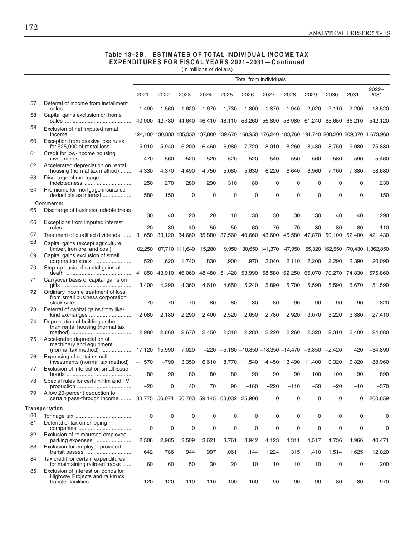|    | Total from individuals                                                                       |             |          |          |               |          |                                                                                         |          |          |                |             |          |                                                                                                   |
|----|----------------------------------------------------------------------------------------------|-------------|----------|----------|---------------|----------|-----------------------------------------------------------------------------------------|----------|----------|----------------|-------------|----------|---------------------------------------------------------------------------------------------------|
|    |                                                                                              | 2021        | 2022     | 2023     | 2024          | 2025     | 2026                                                                                    | 2027     | 2028     | 2029           | 2030        | 2031     | $2022 -$<br>2031                                                                                  |
| 57 | Deferral of income from installment                                                          | 1,490       | 1,560    | 1,620    | 1,670         | 1,730    | 1,800                                                                                   | 1,870    | 1,940    | 2,020          | 2,110       | 2,200    | 18,520                                                                                            |
| 58 | Capital gains exclusion on home                                                              | 40.900      | 42,730   | 44,640   | 46,410        | 48,110   | 53,260                                                                                  | 56,890   | 58,980   | 61,240         | 63.650      | 66,210   | 542,120                                                                                           |
| 59 | Exclusion of net imputed rental<br>income                                                    |             |          |          |               |          |                                                                                         |          |          |                |             |          | 124,100 130,880 135,350 137,800 139,670 168,950 176,240 183,760 191,740 200,200 209,370 1,673,960 |
| 60 | Exception from passive loss rules<br>for \$25,000 of rental loss                             | 5,910       | 5,940    | 6,200    | 6,460         | 6,980    | 7,720                                                                                   | 8,010    | 8,260    | 8,480          | 8.750       | 9,080    | 75,880                                                                                            |
| 61 | Credit for low-income housing<br>investments                                                 | 470         | 560      | 520      | 520           | 520      | 520                                                                                     | 540      | 550      | 560            | 580         | 590      | 5,460                                                                                             |
| 62 | Accelerated depreciation on rental<br>housing (normal tax method)                            | 4,330       | 4,370    | 4,490    | 4,750         | 5,080    | 5,630                                                                                   | 6,220    | 6,640    | 6,960          | 7,160       | 7,380    | 58,680                                                                                            |
| 63 | Discharge of mortgage<br>indebtedness                                                        | 250         | 270      | 280      | 290           | 310      | 80                                                                                      | 0        | 0        | $\mathbf 0$    | $\mathbf 0$ | 0        | 1,230                                                                                             |
| 64 | Premiums for mortgage insurance<br>deductible as interest                                    | 580         | 150      | $\Omega$ | $\Omega$      | $\Omega$ | $\Omega$                                                                                | $\Omega$ | $\Omega$ | $\overline{0}$ | $\Omega$    | $\Omega$ | 150                                                                                               |
|    | Commerce:                                                                                    |             |          |          |               |          |                                                                                         |          |          |                |             |          |                                                                                                   |
| 65 | Discharge of business indebtedness                                                           | 30          | 40       | 20       | 20            | 10       | 30                                                                                      | 30       | 30       | 30             | 40          | 40       | 290                                                                                               |
| 66 | Exceptions from imputed interest                                                             | 20          | 30       | 40       | 50            | 50       | 60                                                                                      | 70       | 70       | 80             | 80          | 80       | 110                                                                                               |
| 67 | Treatment of qualified dividends                                                             | 31,650      | 33.120   | 34.660   | 35,880        | 37,560   | 40,660                                                                                  | 43,600   | 45,580   | 47,870         | 50,100      | 52,400   | 421.430                                                                                           |
| 68 | Capital gains (except agriculture,<br>timber, iron ore, and coal)                            |             |          |          |               |          | 102,250 107,710 111,640 115,280 119,950 130,650 141,370 147,950 155,320 162,550 170,430 |          |          |                |             |          | 1,362,850                                                                                         |
| 69 | Capital gains exclusion of small<br>corporation stock                                        | 1,520       | 1,620    | 1,740    | 1,830         | 1,900    | 1,970                                                                                   | 2,040    | 2,110    | 2,200          | 2,290       | 2,390    | 20,090                                                                                            |
| 70 | Step-up basis of capital gains at                                                            | 41,850      | 43,910   | 46,060   | 48,480        | 51,420   | 53,990                                                                                  | 58,580   | 62,250   | 66.070         | 70,270      | 74,830   | 575,860                                                                                           |
| 71 | Carryover basis of capital gains on                                                          | 3,400       | 4,290    | 4,360    | 4,610         | 4,650    | 5,240                                                                                   | 5,890    | 5,700    | 5,590          | 5,590       | 5,670    | 51,590                                                                                            |
| 72 | Ordinary income treatment of loss<br>from small business corporation                         |             |          |          |               |          |                                                                                         |          |          |                |             |          |                                                                                                   |
| 73 | Deferral of capital gains from like-                                                         | 70          | 70       | 70       | 80            | 80       | 80                                                                                      | 80       | 90       | 90             | 90          | 90       | 820                                                                                               |
| 74 | kind exchanges<br>Depreciation of buildings other                                            | 2,080       | 2,180    | 2,290    | 2,400         | 2,520    | 2,650                                                                                   | 2,780    | 2,920    | 3,070          | 3,220       | 3,380    | 27,410                                                                                            |
| 75 | than rental housing (normal tax<br>Accelerated depreciation of                               | 2,980       | 2,860    | 2,670    | 2,450         | 2,310    | 2,280                                                                                   | 2,220    | 2,260    | 2,320          | 2,310       | 2,400    | 24,080                                                                                            |
|    | machinery and equipment<br>(normal tax method)                                               | 17,120      | 15,990   | 7,020    | $-220$        |          | $-5,160$ $-10,850$ $-18,350$ $-14,470$                                                  |          |          | $-6,850$       | $-2,420$    | 420      | $-34,890$                                                                                         |
| 76 | Expensing of certain small<br>investments (normal tax method)                                | $-1,570$    | $-790$   | 3,350    | 6,610         | 8,770    | 11,540                                                                                  | 14,450   | 13,490   | 11,400         | 10,320      | 9,820    | 88,960                                                                                            |
| 77 | Exclusion of interest on small issue                                                         | 80          | 90       | 80       | 80            | 80       | 90                                                                                      | 90       | 90       | 100            | 100         | 90       | 890                                                                                               |
| 78 | Special rules for certain film and TV                                                        | $-20$       | 0        | 40       | 70            | 90       | $-160$                                                                                  | $-220$   | $-110$   | $-50$          | $-20$       | $-10$    | $-370$                                                                                            |
| 79 | Allow 20-percent deduction to<br>certain pass-through income                                 | 33,775      | 56,071   |          | 56,703 59,145 |          | 63,032 25,908                                                                           | $\Omega$ | $\Omega$ | $\mathbf 0$    | $\mathbf 0$ | 0        | 260,859                                                                                           |
|    | Transportation:                                                                              |             |          |          |               |          |                                                                                         |          |          |                |             |          |                                                                                                   |
| 80 |                                                                                              | $\mathbf 0$ | 0        | $\Omega$ | $\Omega$      | 0        | $\Omega$                                                                                | $\Omega$ | $\Omega$ | $\mathbf 0$    | $\mathbf 0$ | $\Omega$ | 0                                                                                                 |
| 81 | Deferral of tax on shipping                                                                  | $\Omega$    | $\Omega$ | $\Omega$ | $\Omega$      | $\Omega$ | $\Omega$                                                                                | $\Omega$ | $\Omega$ | $\Omega$       | $\Omega$    | $\Omega$ | 0                                                                                                 |
| 82 | Exclusion of reimbursed employee                                                             |             |          |          |               |          |                                                                                         |          |          |                |             |          |                                                                                                   |
| 83 | parking expenses<br>Exclusion for employer-provided                                          | 2,508       | 2,985    | 3,509    | 3,621         | 3,761    | 3,942                                                                                   | 4,123    | 4,311    | 4,517          | 4,736       | 4,966    | 40,471                                                                                            |
|    | transit passes                                                                               | 642         | 786      | 944      | 997           | 1,061    | 1,144                                                                                   | 1,224    | 1,315    | 1,410          | 1,514       | 1,625    | 12,020                                                                                            |
| 84 | Tax credit for certain expenditures<br>for maintaining railroad tracks                       | 60          | 60       | 50       | 30            | 20       | 10                                                                                      | 10       | 10       | 10             | 0           | 0        | 200                                                                                               |
| 85 | Exclusion of interest on bonds for<br>Highway Projects and rail-truck<br>transfer facilities | 120         | 120      | 110      | 110           | 100      | 100                                                                                     | 90       | 90       | 90             | 80          | 80       | 970                                                                                               |
|    |                                                                                              |             |          |          |               |          |                                                                                         |          |          |                |             |          |                                                                                                   |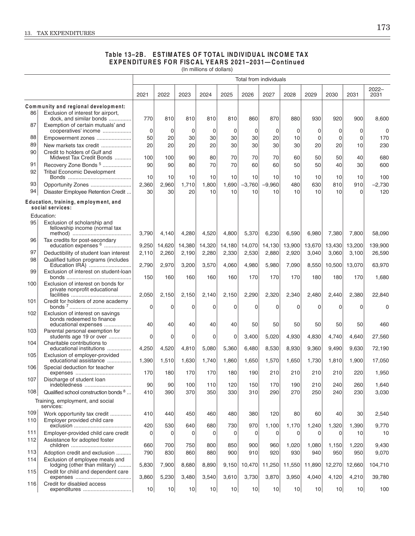|     |                                                                                    | Total from individuals |                 |                   |                      |                   |                 |                 |             |                 |             |             |               |
|-----|------------------------------------------------------------------------------------|------------------------|-----------------|-------------------|----------------------|-------------------|-----------------|-----------------|-------------|-----------------|-------------|-------------|---------------|
|     |                                                                                    | 2021                   | 2022            | 2023              | 2024                 | 2025              | 2026            | 2027            | 2028        | 2029            | 2030        | 2031        | 2022-<br>2031 |
|     | Community and regional development:                                                |                        |                 |                   |                      |                   |                 |                 |             |                 |             |             |               |
| 86  | Exclusion of interest for airport,<br>dock, and similar bonds                      | 770                    | 810             | 810               | 810                  | 810               | 860             | 870             | 880         | 930             | 920         | 900         | 8,600         |
| 87  | Exemption of certain mutuals' and<br>cooperatives' income                          | $\mathbf 0$            | $\Omega$        | $\mathbf 0$       | $\Omega$             | 0                 | 0               | $\Omega$        | $\Omega$    | $\Omega$        | $\Omega$    | 0           | $\Omega$      |
| 88  | Empowerment zones                                                                  | 50                     | 20              | 30                | 30                   | 30                | 30              | 20              | 10          | 0               | 0           | 0           | 170           |
| 89  | New markets tax credit                                                             | 20                     | 20              | 20                | 20                   | 30                | 30              | 30              | 30          | 20              | 20          | 10          | 230           |
| 90  | Credit to holders of Gulf and<br>Midwest Tax Credit Bonds                          | 100                    | 100             | 90                | 80                   | 70                | 70              | 70              | 60          | 50              | 50          | 40          | 680           |
| 91  | Recovery Zone Bonds <sup>5</sup>                                                   | 90                     | 90              | 80                | 70                   | 70                | 60              | 60              | 50          | 50              | 40          | 30          | 600           |
| 92  | <b>Tribal Economic Development</b>                                                 | 10                     | 10              | 10                | 10                   | 10                | 10              | 10              | 10          | 10              | 10          | 10          | 100           |
| 93  | Opportunity Zones                                                                  | 2,360                  | 2,960           | 1,710             | 1,800                | 1,690             | $-3,760$        | $-9,960$        | 480         | 630             | 810         | 910         | $-2,730$      |
| 94  | Disaster Employee Retention Credit                                                 | 30                     | 30              | 20                | 10                   | 10                | 10              | 10              | 10          | 10              | 10          | $\Omega$    | 120           |
|     | Education, training, employment, and<br>social services:                           |                        |                 |                   |                      |                   |                 |                 |             |                 |             |             |               |
|     | Education:                                                                         |                        |                 |                   |                      |                   |                 |                 |             |                 |             |             |               |
| 95  | Exclusion of scholarship and<br>fellowship income (normal tax                      | 3,790                  | 4,140           | 4,280             | 4,520                | 4,800             | 5,370           | 6,230           | 6,590       | 6,980           | 7,380       | 7,800       | 58,090        |
| 96  | Tax credits for post-secondary<br>education expenses <sup>6</sup>                  | 9,250                  | 14,620          | 14,380            | 14,320               | 14,180            | 14,070          | 14,130          | 13,900      | 13,670          | 13,430      | 13,200      | 139,900       |
| 97  | Deductibility of student loan interest                                             | 2,110                  | 2,260           | 2,190             | 2,280                | 2,330             | 2,530           | 2,880           | 2,920       | 3,040           | 3,060       | 3,100       | 26,590        |
| 98  | Qualified tuition programs (includes<br>Education IRA)                             | 2,790                  | 2,970           | 3,200             | 3,570                | 4,060             | 4,980           | 5.980           | 7,090       | 8.550           | 10.500      | 13,070      | 63,970        |
| 99  | Exclusion of interest on student-loan                                              | 150                    | 160             | 160               | 160                  | 160               | 170             | 170             | 170         | 180             | 180         | 170         | 1,680         |
| 100 | Exclusion of interest on bonds for<br>private nonprofit educational                | 2,050                  | 2,150           | 2,150             | 2,140                | 2,150             | 2,290           | 2,320           | 2,340       | 2,480           | 2,440       | 2,380       | 22,840        |
| 101 | Credit for holders of zone academy                                                 | $\mathbf 0$            | $\Omega$        | 0                 | $\Omega$             | 0                 | $\Omega$        | $\Omega$        | $\Omega$    | 0               | 0           |             | 0             |
| 102 | Exclusion of interest on savings<br>bonds redeemed to finance                      |                        |                 |                   |                      |                   |                 |                 |             |                 |             |             |               |
| 103 | educational expenses<br>Parental personal exemption for<br>students age 19 or over | 40<br>$\mathbf 0$      | 40<br>$\Omega$  | 40<br>$\mathbf 0$ | 40<br>$\overline{0}$ | 40<br>$\mathbf 0$ | 50<br>3,400     | 50<br>5,020     | 50<br>4,930 | 50<br>4,830     | 50<br>4,740 | 50<br>4,640 | 460<br>27,560 |
| 104 | Charitable contributions to<br>educational institutions                            | 4,250                  | 4,520           | 4,810             | 5,080                | 5,360             | 6,480           | 8,530           | 8,930       | 9,360           | 9,490       | 9,630       | 72,190        |
| 105 | Exclusion of employer-provided                                                     |                        |                 |                   |                      |                   |                 |                 |             |                 |             |             |               |
| 106 | educational assistance<br>Special deduction for teacher                            | 1,390                  | 1,510           | 1,630             | 1,740                | 1,860             | 1,650           | 1,570           | 1,650       | 1,730           | 1,810       | 1,900       | 17,050        |
| 107 | Discharge of student loan                                                          | 170                    | 180             | 170               | 170                  | 180               | 190             | 210             | 210         | 210             | 210         | 220         | 1,950         |
|     | indebtedness                                                                       | 90                     | 90              | 100               | 110                  | 120               | 150             | 170             | 190         | 210             | 240         | 260         | 1,640         |
| 108 | Qualified school construction bonds <sup>8</sup>                                   | 410                    | 390             | 370               | 350                  | 330               | 310             | 290             | 270         | 250             | 240         | 230         | 3,030         |
|     | Training, employment, and social<br>services:                                      |                        |                 |                   |                      |                   |                 |                 |             |                 |             |             |               |
| 109 | Work opportunity tax credit                                                        | 410                    | 440             | 450               | 460                  | 480               | 380             | 120             | 80          | 60              | 40          | 30          | 2,540         |
| 110 | Employer provided child care                                                       | 420                    | 530             | 640               | 680                  | 730               | 970             | 1,100           | 1,170       | 1,240           | 1,320       | 1,390       | 9,770         |
| 111 | Employer-provided child care credit                                                | 0                      | $\mathbf 0$     | 0                 | 0                    | $\mathbf 0$       | $\mathbf 0$     | $\Omega$        | $\Omega$    | $\Omega$        | $\Omega$    | 10          | 10            |
| 112 | Assistance for adopted foster                                                      |                        |                 |                   |                      |                   |                 |                 |             |                 |             |             |               |
| 113 |                                                                                    | 660                    | 700             | 750               | 800                  | 850               | 900             | 960             | 1,020       | 1,080           | 1,150       | 1,220       | 9,430         |
| 114 | Adoption credit and exclusion<br>Exclusion of employee meals and                   | 790                    | 830             | 860               | 880                  | 900               | 910             | 920             | 930         | 940             | 950         | 950         | 9,070         |
| 115 | lodging (other than military)<br>Credit for child and dependent care               | 5,830                  | 7,900           | 8,680             | 8,890                | 9,150             | 10,470          | 11,250          | 11,550      | 11,890          | 12,270      | 12,660      | 104,710       |
|     |                                                                                    | 3,860                  | 5,230           | 3,480             | 3,540                | 3,610             | 3,730           | 3,870           | 3,950       | 4,040           | 4,120       | 4,210       | 39,780        |
| 116 | Credit for disabled access<br>expenditures                                         | 10                     | 10 <sup>1</sup> | 10                | 10                   | 10                | 10 <sub>1</sub> | 10 <sub>1</sub> | 10          | 10 <sup>1</sup> | 10          | 10          | 100           |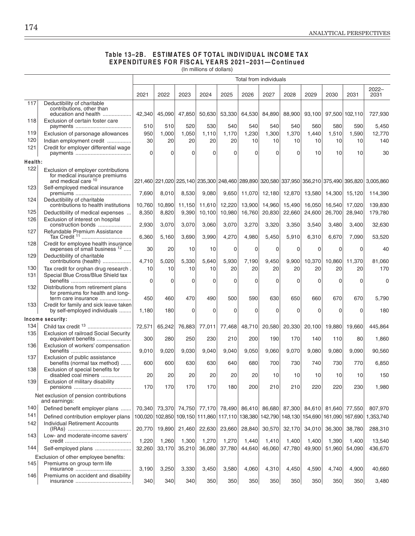|         |                                                                                                         | Total from individuals |          |             |          |                                                 |             |          |               |                                         |          |                |                                                                                                   |
|---------|---------------------------------------------------------------------------------------------------------|------------------------|----------|-------------|----------|-------------------------------------------------|-------------|----------|---------------|-----------------------------------------|----------|----------------|---------------------------------------------------------------------------------------------------|
|         |                                                                                                         | 2021                   | 2022     | 2023        | 2024     | 2025                                            | 2026        | 2027     | 2028          | 2029                                    | 2030     | 2031           | 2022-<br>2031                                                                                     |
| 117     | Deductibility of charitable                                                                             |                        |          |             |          |                                                 |             |          |               |                                         |          |                |                                                                                                   |
|         | contributions, other than<br>education and health                                                       | 42.340                 | 45.090   | 47.850      | 50,630   | 53,330                                          | 64.530      | 84,890   | 88,900        | 93,100                                  |          | 97,500 102,110 | 727,930                                                                                           |
| 118     | Exclusion of certain foster care                                                                        | 510                    | 510      | 520         | 530      | 540                                             | 540         | 540      | 540           | 560                                     | 580      | 590            | 5,450                                                                                             |
| 119     | Exclusion of parsonage allowances                                                                       | 950                    | 1,000    | 1,050       | 1,110    | 1,170                                           | 1,230       | 1,300    | 1,370         | 1,440                                   | 1,510    | 1,590          | 12,770                                                                                            |
| 120     | Indian employment credit                                                                                | 30                     | 20       | 20          | 20       | 20                                              | 10          | 10       | 10            | 10                                      | 10       | 10             | 140                                                                                               |
| 121     | Credit for employer differential wage                                                                   | $\Omega$               | $\Omega$ | $\Omega$    | $\Omega$ | $\Omega$                                        | 0           | $\Omega$ | $\Omega$      | 10                                      | 10       | 10             | 30                                                                                                |
| Health: |                                                                                                         |                        |          |             |          |                                                 |             |          |               |                                         |          |                |                                                                                                   |
| 122     | Exclusion of employer contributions<br>for medical insurance premiums<br>and medical care <sup>10</sup> |                        |          |             |          |                                                 |             |          |               |                                         |          |                | 221,460 221,020 225,140 235,300 248,460 289,890 320,580 337,950 356,210 375,490 395,820 3,005,860 |
| 123     | Self-employed medical insurance                                                                         | 7,690                  | 8,010    | 8,530       | 9,080    | 9,650                                           | 11,070      |          | 12,180 12,870 | 13,580                                  | 14,300   | 15,120         | 114,390                                                                                           |
| 124     | Deductibility of charitable<br>contributions to health institutions                                     | 10,760                 | 10,890   | 11,150      | 11,610   | 12,220                                          | 13,900      | 14,960   | 15,490        | 16,050                                  | 16,540   | 17,020         | 139,830                                                                                           |
| 125     | Deductibility of medical expenses                                                                       | 8.350                  | 8,820    | 9.390       | 10,100   | 10,980                                          | 16,760      | 20,830   | 22,660        | 24,600                                  | 26,700   | 28,940         | 179,780                                                                                           |
| 126     | Exclusion of interest on hospital<br>construction bonds                                                 | 2,930                  | 3,070    | 3,070       | 3,060    | 3,070                                           | 3,270       | 3,320    | 3,350         | 3,540                                   | 3,480    | 3,400          | 32,630                                                                                            |
| 127     | Refundable Premium Assistance<br>Tax Credit <sup>11</sup>                                               | 6,360                  | 5,160    | 3,690       | 3,990    | 4,270                                           | 4,980       | 5,450    | 5,910         | 6,310                                   | 6,670    | 7,090          | 53,520                                                                                            |
| 128     | Credit for employee health insurance<br>expenses of small business <sup>12</sup>                        | 30                     | 20       | 10          | 10       | 0                                               | $\mathbf 0$ | $\Omega$ | $\mathbf 0$   | $\Omega$                                | $\Omega$ | $\Omega$       | 40                                                                                                |
| 129     | Deductibility of charitable<br>contributions (health)                                                   | 4,710                  | 5,020    | 5,330       | 5,640    | 5,930                                           | 7,190       | 9,450    | 9,900         | 10,370                                  | 10.860   | 11,370         | 81,060                                                                                            |
| 130     | Tax credit for orphan drug research.                                                                    | 10                     | 10       | 10          | 10       | 20                                              | 20          | 20       | 20            | 20                                      | 20       | 20             | 170                                                                                               |
| 131     | Special Blue Cross/Blue Shield tax                                                                      | 0                      | 0        | 0           | 0        | $\Omega$                                        | 0           | $\Omega$ | 0             | $\Omega$                                | $\Omega$ | $\Omega$       | 0                                                                                                 |
| 132     | Distributions from retirement plans<br>for premiums for health and long-<br>term care insurance         | 450                    | 460      | 470         | 490      | 500                                             | 590         | 630      | 650           | 660                                     | 670      | 670            | 5,790                                                                                             |
| 133     | Credit for family and sick leave taken<br>by self-employed individuals                                  | 1,180                  | 180      | $\mathbf 0$ | $\Omega$ | $\mathbf 0$                                     | $\Omega$    | $\Omega$ | $\Omega$      | $\Omega$                                | $\Omega$ | $\Omega$       | 180                                                                                               |
|         | Income security:                                                                                        |                        |          |             |          |                                                 |             |          |               |                                         |          |                |                                                                                                   |
| 134     | Child tax credit <sup>13</sup>                                                                          | 72,571                 | 65,242   | 76,883      | 77,011   | 77,468                                          | 48,710      | 20,580   | 20,330        | 20,100                                  | 19,880   | 19,660         | 445,864                                                                                           |
| 135     | <b>Exclusion of railroad Social Security</b><br>equivalent benefits                                     | 300                    | 280      | 250         | 230      | 210                                             | 200         | 190      | 170           | 140                                     | 110      | 80             | 1,860                                                                                             |
| 136     | Exclusion of workers' compensation                                                                      | 9,010                  | 9,020    | 9,030       | 9,040    | 9,040                                           | 9,050       | 9,060    | 9,070         | 9,080                                   | 9,080    | 9,090          | 90,560                                                                                            |
| 137     | Exclusion of public assistance<br>benefits (normal tax method)                                          | 600                    | 600      | 630         | 630      | 640                                             | 680         | 700      | 730           | 740                                     | 730      | 770            | 6,850                                                                                             |
| 138     | Exclusion of special benefits for<br>disabled coal miners                                               | 20                     | 20       | 20          | 20       | 20                                              | 20          | 10       | 10            | 10                                      | 10       | 10             | 150                                                                                               |
| 139     | Exclusion of military disability                                                                        | 170                    | 170      | 170         | 170      | 180                                             | 200         | 210      | 210           | 220                                     | 220      | 230            | 1,980                                                                                             |
|         | Net exclusion of pension contributions<br>and earnings:                                                 |                        |          |             |          |                                                 |             |          |               |                                         |          |                |                                                                                                   |
| 140     | Defined benefit employer plans                                                                          |                        |          |             |          | 70,340 73,370 74,750 77,170 78,490 86,410       |             |          |               | 86,680 87,300 84,610                    |          | 81,640 77,550  | 807,970                                                                                           |
| 141     | Defined contribution employer plans                                                                     |                        |          |             |          | 100,020 102,850 109,150 111,860 117,110 138,380 |             |          |               | 142,790 148,130 154,690 161,090 167,690 |          |                | 1,353,740                                                                                         |
| 142     | Individual Retirement Accounts                                                                          | 20,770                 | 19,890   | 21,460      |          | 22,630 23,660                                   | 28,840      | 30,570   | 32,170        | 34,010                                  | 36,300   | 38,780         | 288,310                                                                                           |
| 143     | Low- and moderate-income savers'                                                                        | 1,220                  | 1,260    | 1,300       | 1,270    | 1,270                                           | 1,440       | 1,410    | 1,400         | 1,400                                   | 1,390    | 1,400          | 13,540                                                                                            |
| 144     | Self-employed plans                                                                                     | 32,260                 | 33.170   | 35,210      | 36,080   | 37,780                                          | 44,640      | 46,060   | 47,780        | 49,900                                  | 51,960   | 54,090         | 436,670                                                                                           |
| 145     | Exclusion of other employee benefits:<br>Premiums on group term life                                    |                        |          |             |          |                                                 |             |          |               |                                         |          |                |                                                                                                   |
|         |                                                                                                         | 3,190                  | 3,250    | 3,330       | 3,450    | 3,580                                           | 4,060       | 4,310    | 4,450         | 4,590                                   | 4,740    | 4,900          | 40,660                                                                                            |
| 146     | Premiums on accident and disability                                                                     | 340                    | 340      | 340         | 350      | 350                                             | 350         | 350      | 350           | 350                                     | 350      | 350            | 3,480                                                                                             |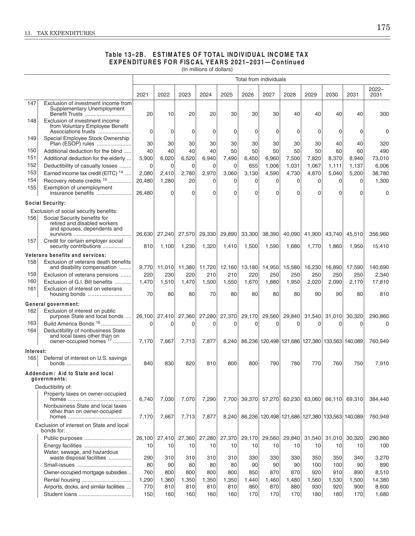|            | Total from individuals                                                                      |              |              |              |              |              |              |                                                      |              |              |                                    |              |                 |
|------------|---------------------------------------------------------------------------------------------|--------------|--------------|--------------|--------------|--------------|--------------|------------------------------------------------------|--------------|--------------|------------------------------------|--------------|-----------------|
|            |                                                                                             | 2021         | 2022         | 2023         | 2024         | 2025         | 2026         | 2027                                                 | 2028         | 2029         | 2030                               | 2031         | 2022-<br>2031   |
| 147        | Exclusion of investment income from<br>Supplementary Unemployment<br>Benefit Trusts         | 20           | 10           | 20           | 20           | 30           | 30           | 30                                                   | 40           | 40           | 40                                 | 40           | 300             |
| 148        | Exclusion of investment income<br>from Voluntary Employee Benefit<br>Associations trusts    | $\Omega$     | 0            | $\Omega$     | $\Omega$     | $\Omega$     | 0            | $\Omega$                                             | 0            | $\Omega$     | $\Omega$                           | O            | 0               |
| 149        | Special Employee Stock Ownership<br>Plan (ESOP) rules                                       | 30           | 30           | 30           | 30           | 30           | 30           | 30                                                   | 30           | 30           | 40                                 | 40           | 320             |
| 150        | Additional deduction for the blind                                                          | 40           | 40           | 40           | 40           | 50           | 50           | 50                                                   | 50           | 50           | 60                                 | 60           | 490             |
| 151        | Additional deduction for the elderly                                                        | 5,900        | 6,020        | 6,520        | 6.940        | 7,490        | 6,450        | 6,960                                                | 7,500        | 7,820        | 8,370                              | 8,940        | 73.010          |
| 152        | Deductibility of casualty losses                                                            | $\Omega$     | $\mathbf 0$  | $\mathbf 0$  | $\Omega$     | 0            | 655          | 1,006                                                | 1,031        | 1,067        | 1,111                              | 1,137        | 6,006           |
| 153        | Earned income tax credit (EITC) <sup>14</sup>                                               | 2,080        | 2,410        | 2,780        | 2,970        | 3,060        | 3,130        | 4,590                                                | 4,730        | 4,870        | 5,040                              | 5,200        | 38,780          |
| 154        | Recovery rebate credits <sup>15</sup>                                                       | 20,480       | 1,280        | 20           | $\Omega$     | 0            | 0            | $\Omega$                                             | $\Omega$     | $\Omega$     | 0                                  | 0            | 1,300           |
| 155        | Exemption of unemployment<br>insurance benefits                                             | 26,480       | $\Omega$     | $\mathbf 0$  | $\Omega$     | $\Omega$     | 0            | $\Omega$                                             | $\Omega$     | $\Omega$     | $\Omega$                           | $\Omega$     | 0               |
|            | <b>Social Security:</b>                                                                     |              |              |              |              |              |              |                                                      |              |              |                                    |              |                 |
|            | Exclusion of social security benefits:                                                      |              |              |              |              |              |              |                                                      |              |              |                                    |              |                 |
| 156        | Social Security benefits for<br>retired and disabled workers<br>and spouses, dependents and | 26,630       | 27,240       | 27,570       | 29,330       | 29,890       | 33,300       | 38,390                                               | 40,090       | 41.900       | 43,740                             | 45,510       | 356,960         |
| 157        | Credit for certain employer social<br>security contributions                                | 810          | 1,100        | 1,230        | 1,320        | 1,410        | 1,500        | 1,590                                                | 1,680        | 1,770        | 1,860                              | 1,950        | 15,410          |
|            | Veterans benefits and services:                                                             |              |              |              |              |              |              |                                                      |              |              |                                    |              |                 |
| 158        | Exclusion of veterans death benefits<br>and disability compensation                         | 9,770        | 11.010       | 11,380       | 11,720       | 12,160       | 13,180       | 14.950                                               | 15,580       | 16,230       | 16,890                             | 17,590       | 140,690         |
| 159        | Exclusion of veterans pensions                                                              | 220          | 230          | 220          | 210          | 210          | 220          | 250                                                  | 250          | 250          | 250                                | 250          | 2,340           |
| 160        | Exclusion of G.I. Bill benefits                                                             | 1,470        | 1,510        | 1,470        | 1,500        | 1,550        | 1,670        | 1,880                                                | 1,950        | 2,020        | 2,090                              | 2,170        | 17,810          |
| 161        | Exclusion of interest on veterans<br>housing bonds                                          | 70           | 80           | 80           | 70           | 80           | 80           | 80                                                   | 80           | 90           | 90                                 | 80           | 810             |
|            | General government:                                                                         |              |              |              |              |              |              |                                                      |              |              |                                    |              |                 |
| 162        | Exclusion of interest on public<br>purpose State and local bonds                            | 26,100       | 27,410       | 27,360       | 27,280       | 27,370       | 29,170       | 29,560                                               | 29,840       | 31,540       | 31,010                             | 30,320       | 290,860         |
| 163<br>164 | Build America Bonds <sup>16</sup><br>Deductibility of nonbusiness State                     | $\Omega$     | $\Omega$     | $\Omega$     | $\Omega$     | $\Omega$     | $\Omega$     | $\Omega$                                             | $\Omega$     | $\Omega$     | $\Omega$                           | 0            | $\Omega$        |
|            | and local taxes other than on<br>owner-occupied homes <sup>17</sup>                         | 7,170        | 7,667        | 7,713        | 7.877        |              |              | 8,240 86,236 120,498 121,686 127,380 133,563 140,089 |              |              |                                    |              | 760.949         |
| Interest:  |                                                                                             |              |              |              |              |              |              |                                                      |              |              |                                    |              |                 |
| 165        | Deferral of interest on U.S. savings                                                        | 840          | 830          | 820          | 810          | 800          | 800          | 790                                                  | 780          | 770          | 760                                | 750          | 7,910           |
|            | Addendum: Aid to State and local<br>governments:                                            |              |              |              |              |              |              |                                                      |              |              |                                    |              |                 |
|            | Deductibility of:                                                                           |              |              |              |              |              |              |                                                      |              |              |                                    |              |                 |
|            | Property taxes on owner-occupied                                                            | 6,740        | 7,030        | 7,070        | 7,290        | 7,700        | 39,370       |                                                      |              |              | 57,270 60,230 63,060 66,110 69,310 |              | 384,440         |
|            | Nonbusiness State and local taxes<br>other than on owner-occupied                           | 7,170        | 7,667        | 7,713        | 7,877        | 8,240        |              | 86,236 120,498 121,686 127,380 133,563 140,089       |              |              |                                    |              | 760,949         |
|            | Exclusion of interest on State and local<br>bonds for:                                      |              |              |              |              |              |              |                                                      |              |              |                                    |              |                 |
|            | Public purposes                                                                             | 26,100       | 27,410       | 27,360       | 27,280       | 27,370       | 29,170       | 29,560                                               | 29,840       | 31.540       | 31,010                             | 30,320       | 290,860         |
|            |                                                                                             | 10           | 10           | 10           | 10           | 10           | 10           | 10                                                   | 10           | 10           | 10                                 | 10           | 100             |
|            | Water, sewage, and hazardous                                                                |              |              |              |              |              |              |                                                      |              |              |                                    |              |                 |
|            | waste disposal facilities                                                                   | 290          | 310          | 310          | 310          | 310          | 330          | 330                                                  | 330          | 350          | 350                                | 340          | 3,270           |
|            |                                                                                             | 80           | 90           | 80           | 80           | 80           | 90           | 90                                                   | 90           | 100          | 100                                | 90           | 890             |
|            | Owner-occupied mortgage subsidies                                                           | 760          | 800          | 800          | 800          | 800          | 850          | 870                                                  | 870          | 920          | 910                                | 890          | 8,510           |
|            | Airports, docks, and similar facilities                                                     | 1,290<br>770 | 1,360<br>810 | 1,350<br>810 | 1,350<br>810 | 1,350<br>810 | 1,440<br>860 | 1,460<br>870                                         | 1,480<br>880 | 1,560<br>930 | 1,530<br>920                       | 1,500<br>900 | 14,380<br>8,600 |
|            |                                                                                             | 150          | 160          | 160          | 160          | 160          | 170          | 170                                                  | 170          | 180          | 180                                | 170          | 1,680           |
|            |                                                                                             |              |              |              |              |              |              |                                                      |              |              |                                    |              |                 |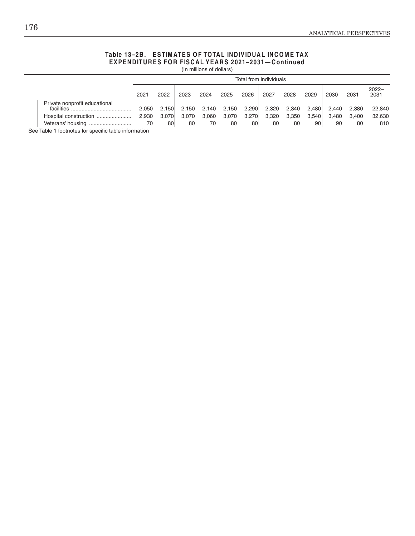(In millions of dollars)

|                               | Total from individuals |       |       |       |       |       |       |       |       |       |       |                  |
|-------------------------------|------------------------|-------|-------|-------|-------|-------|-------|-------|-------|-------|-------|------------------|
|                               | 2021                   | 2022  | 2023  | 2024  | 2025  | 2026  | 2027  | 2028  | 2029  | 2030  | 2031  | $2022 -$<br>2031 |
| Private nonprofit educational | 2,050                  | 2.150 | 2.150 | 2.140 | 2,150 | 2,290 | 2,320 | 2.340 | 2.480 | 2.440 | 2.380 | 22,840           |
| Hospital construction         | 2.930                  | 3.070 | 3.070 | 3,060 | 3,070 | 3,270 | 3.320 | 3.350 | 3.540 | 3.480 | 3.400 | 32,630           |
|                               | 70                     | 80    | 80    | 70    | 80    | 80    | 80    | 80    | 90    | 90    | 80    | 810              |

See Table 1 footnotes for specific table information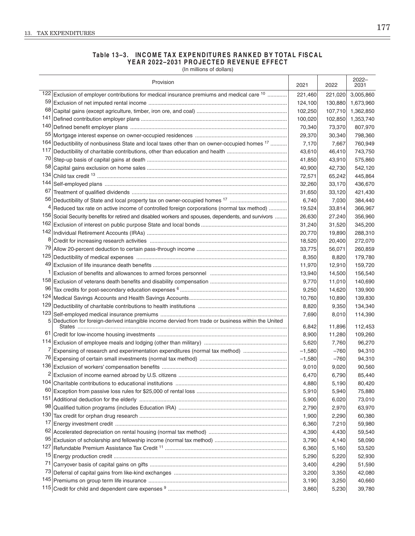# Table 13-3. INCOME TAX EXPENDITURES RANKED BY TOTAL FISCAL<br>YEAR 2022-2031 PROJECTED REVENUE EFFECT

|     | Provision                                                                                             | 2021           | 2022            | $2022 -$<br>2031 |
|-----|-------------------------------------------------------------------------------------------------------|----------------|-----------------|------------------|
|     | 122 Exclusion of employer contributions for medical insurance premiums and medical care <sup>10</sup> | 221,460        | 221,020         | 3,005,860        |
|     |                                                                                                       | 124,100        | 130,880         | 1,673,960        |
| 68  |                                                                                                       | 102,250        | 107,710         | 1,362,850        |
| 141 |                                                                                                       | 100,020        | 102,850         | 1,353,740        |
|     |                                                                                                       | 70,340         | 73,370          | 807,970          |
| 55  |                                                                                                       | 29,370         | 30,340          | 798,360          |
|     | 164 Deductibility of nonbusiness State and local taxes other than on owner-occupied homes 17          | 7.170          | 7,667           | 760,949          |
| 117 | Deductibility of charitable contributions, other than education and health                            | 43,610         | 46,410          | 743,750          |
| 70  |                                                                                                       | 41,850         | 43,910          | 575,860          |
| 58  |                                                                                                       | 40,900         | 42,730          | 542,120          |
|     |                                                                                                       | 72,571         | 65,242          | 445,864          |
|     |                                                                                                       | 32,260         | 33,170          | 436,670          |
| 67  |                                                                                                       | 31,650         | 33,120          | 421,430          |
|     |                                                                                                       | 6,740          | 7,030           | 384,440          |
| 4   | Reduced tax rate on active income of controlled foreign corporations (normal tax method)              | 19,524         | 33,814          | 366,967          |
| 156 | Social Security benefits for retired and disabled workers and spouses, dependents, and survivors      | 26,630         | 27,240          | 356,960          |
| 162 |                                                                                                       | 31.240         | 31,520          | 345,200          |
|     |                                                                                                       | 20.770         | 19,890          | 288,310          |
| 8   |                                                                                                       | 18,520         | 20,400          | 272,070          |
| 79  |                                                                                                       | 33,775         | 56,071          | 260,859          |
|     |                                                                                                       | 8.350          | 8,820           | 179,780          |
|     |                                                                                                       | 11,970         | 12,910          | 159,720          |
| 1   |                                                                                                       | 13,940         | 14,500          | 156,540          |
| 158 |                                                                                                       | 9,770          | 11,010          | 140,690          |
| 96  |                                                                                                       | 9,250          | 14,620          | 139,900          |
| 124 |                                                                                                       | 10,760         | 10,890          | 139,830          |
|     |                                                                                                       | 8,820          | 9,350           | 134,340          |
|     |                                                                                                       | 7,690          | 8,010           | 114,390          |
| 5   | Deduction for foreign-derived intangible income dervied from trade or business within the United      |                | 11,896          | 112,453          |
|     |                                                                                                       | 6,842<br>8,900 |                 | 109,260          |
|     |                                                                                                       | 5,620          | 11,280<br>7,760 | 96,270           |
| 7   | Expensing of research and experimentation expenditures (normal tax method)                            | $-1,580$       | $-760$          | 94,310           |
|     |                                                                                                       | $-1,580$       | $-760$          | 94,310           |
|     |                                                                                                       | 9,010          | 9,020           | 90,560           |
| 2   |                                                                                                       | 6,470          | 6,790           | 85,440           |
| 104 |                                                                                                       |                |                 | 80,420           |
| 60  |                                                                                                       | 4,880<br>5,910 | 5,190<br>5,940  | 75,880           |
| 151 |                                                                                                       | 5,900          | 6,020           | 73,010           |
| 98  |                                                                                                       | 2,790          | 2,970           | 63,970           |
| 130 |                                                                                                       | 1,900          | 2,290           | 60,380           |
| 17  |                                                                                                       | 6,360          | 7,210           | 59,980           |
| 62  |                                                                                                       | 4,390          | 4,430           | 59,540           |
| 95  |                                                                                                       |                |                 |                  |
| 127 |                                                                                                       | 3,790          | 4,140           | 58,090           |
| 15  |                                                                                                       | 6,360          | 5,160           | 53,520           |
| 71  |                                                                                                       | 5,290          | 5,220           | 52,930           |
| 73  |                                                                                                       | 3,400          | 4,290           | 51,590           |
| 145 |                                                                                                       | 3,200          | 3,350           | 42,080           |
|     |                                                                                                       | 3,190          | 3,250           | 40,660           |
|     |                                                                                                       | 3,860          | 5,230           | 39,780           |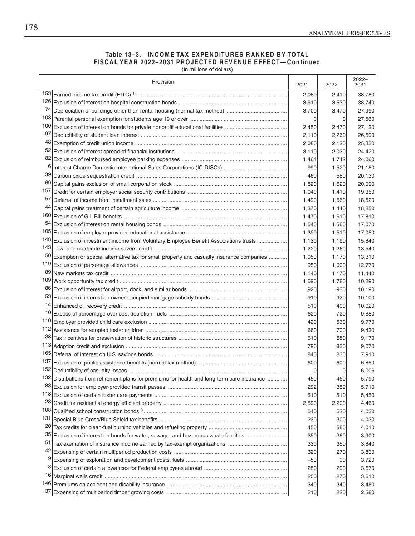# Table 13-3. INCOME TAX EXPENDITURES RANKED BY TOTAL FISCAL YEAR 2022-2031 PROJECTED REVENUE EFFECT-Continued

|     | Provision                                                                                | 2021  | 2022  | $2022 -$<br>2031 |
|-----|------------------------------------------------------------------------------------------|-------|-------|------------------|
|     |                                                                                          | 2,080 | 2,410 | 38,780           |
| 126 |                                                                                          | 3,510 | 3,530 | 38,740           |
| 74  |                                                                                          | 3,700 | 3,470 | 27,990           |
| 103 |                                                                                          | 0     | 0     | 27,560           |
| 100 |                                                                                          | 2,450 | 2,470 | 27,120           |
| 97  |                                                                                          | 2,110 | 2,260 | 26,590           |
| 48  |                                                                                          | 2,080 | 2,120 | 25,330           |
| 52  |                                                                                          | 3,110 | 2,030 | 24,420           |
| 82  |                                                                                          | 1,464 | 1,742 | 24,060           |
| 6   |                                                                                          | 990   | 1,520 | 21,180           |
| 39  |                                                                                          | 460   | 580   | 20,130           |
| 69  |                                                                                          | 1,520 | 1,620 | 20,090           |
| 157 |                                                                                          | 1,040 | 1,410 | 19,350           |
| 57  |                                                                                          | 1,490 | 1,560 | 18,520           |
| 44  |                                                                                          | 1,370 | 1,440 | 18,250           |
| 160 |                                                                                          | 1,470 | 1,510 | 17,810           |
| 54  |                                                                                          | 1,540 | 1,560 | 17,070           |
| 105 |                                                                                          | 1,390 | 1,510 | 17,050           |
| 148 | Exclusion of investment income from Voluntary Employee Benefit Associations trusts       | 1,130 | 1,190 | 15,840           |
| 143 |                                                                                          | 1,220 | 1,260 | 13,540           |
| 50  | Exemption or special alternative tax for small property and casualty insurance companies | 1,050 | 1,170 | 13,310           |
| 119 |                                                                                          | 950   | 1,000 | 12,770           |
| 89  |                                                                                          | 1,140 | 1,170 | 11,440           |
| 109 |                                                                                          | 1,690 | 1,780 | 10,290           |
| 86  |                                                                                          | 920   | 930   | 10,190           |
| 53  |                                                                                          | 910   | 920   | 10,100           |
| 14  |                                                                                          | 510   | 400   | 10,020           |
| 10  |                                                                                          | 620   | 720   | 9,880            |
| 110 |                                                                                          | 420   | 530   | 9,770            |
| 112 |                                                                                          | 660   | 700   | 9,430            |
| 38  |                                                                                          | 610   | 580   | 9,170            |
| 113 |                                                                                          | 790   | 830   | 9,070            |
| 165 |                                                                                          | 840   | 830   | 7,910            |
| 137 |                                                                                          | 600   | 600   | 6,850            |
| 152 |                                                                                          | 0     | 0     | 6,006            |
| 132 | Distributions from retirement plans for premiums for health and long-term care insurance | 450   | 460   | 5,790            |
| 83  |                                                                                          | 292   | 359   | 5,710            |
| 118 |                                                                                          | 510   | 510   | 5,450            |
| 28  |                                                                                          | 2,590 | 2,200 | 4,460            |
| 108 |                                                                                          | 540   | 520   | 4,030            |
| 131 |                                                                                          | 230   | 300   | 4,030            |
| 20  |                                                                                          | 450   | 580   | 4,010            |
| 35  | Exclusion of interest on bonds for water, sewage, and hazardous waste facilities         | 350   | 360   | 3,900            |
| 51  |                                                                                          | 330   | 350   | 3,840            |
| 42  |                                                                                          | 320   | 270   | 3,830            |
| 9   |                                                                                          | $-50$ | 90    | 3,720            |
| 3   |                                                                                          | 280   | 290   | 3,670            |
| 16  |                                                                                          | 250   | 270   | 3,610            |
|     |                                                                                          | 340   | 340   | 3,480            |
| 37  |                                                                                          | 210   | 220   | 2,580            |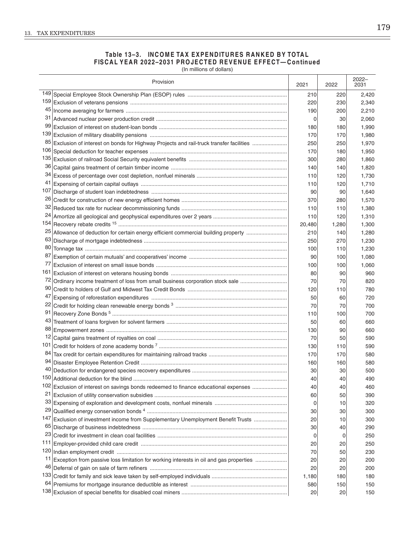# Table 13-3. INCOME TAX EXPENDITURES RANKED BY TOTAL FISCAL YEAR 2022-2031 PROJECTED REVENUE EFFECT-Continued

|          | Provision                                                                              | 2021            | 2022     | $2022 -$<br>2031 |
|----------|----------------------------------------------------------------------------------------|-----------------|----------|------------------|
|          |                                                                                        | 210             | 220      | 2,420            |
|          |                                                                                        | 220             | 230      | 2,340            |
| 45       |                                                                                        | 190             | 200      | 2,210            |
| 31       |                                                                                        | 0               | 30       | 2,060            |
| 99       |                                                                                        | 180             | 180      | 1,990            |
| 139      |                                                                                        | 170             | 170      | 1,980            |
| 85       | Exclusion of interest on bonds for Highway Projects and rail-truck transfer facilities | 250             | 250      | 1,970            |
| 106      |                                                                                        | 170             | 180      | 1,950            |
| 135      |                                                                                        | 300             | 280      | 1,860            |
| 36       |                                                                                        | 140             | 140      | 1,820            |
| 34       |                                                                                        | 110             | 120      | 1,730            |
| 41       |                                                                                        | 110             | 120      | 1,710            |
| 107      |                                                                                        | 90              | 90       | 1,640            |
| 26       |                                                                                        | 370             | 280      | 1,570            |
| 32       |                                                                                        | 110             | 110      | 1,380            |
| 24       |                                                                                        | 110             | 120      | 1,310            |
| 154      |                                                                                        | 20,480          | 1,280    | 1,300            |
| 25       | Allowance of deduction for certain energy efficient commercial building property       | 210             | 140      | 1,280            |
| 63       |                                                                                        | 250             | 270      | 1,230            |
| 80       |                                                                                        | 100             | 110      | 1,230            |
| 87       |                                                                                        | 90              | 100      | 1,080            |
| 77       |                                                                                        | 100             | 100      | 1,060            |
| 161      |                                                                                        | 80              | 90       | 960              |
| 72       | Ordinary income treatment of loss from small business corporation stock sale           | 70              | 70       | 820              |
| 90       |                                                                                        | 120             | 110      | 780              |
| 47       |                                                                                        | 50              | 60       | 720              |
| 22       |                                                                                        | 70              | 70       | 700              |
| 91       |                                                                                        | 110             | 100      | 700              |
| 43       |                                                                                        | 50              | 60       | 660              |
| 88       |                                                                                        | 130             | 90       | 660              |
| 12       |                                                                                        | 70              | 50       | 590              |
| 101      |                                                                                        | 130             | 110      | 590              |
| 84       |                                                                                        | 170             | 170      | 580              |
| 94<br>40 |                                                                                        | 160             | 160      | 580              |
| 150      |                                                                                        | 30              | 30       | 500              |
| 102      |                                                                                        | 40              | 40       | 490              |
| 21       | Exclusion of interest on savings bonds redeemed to finance educational expenses        | 40              | 40       | 460              |
| 33       |                                                                                        | 60              | 50       | 390              |
| 29       |                                                                                        | 0<br>30         | 10<br>30 | 320<br>300       |
| 147      | Exclusion of investment income from Supplementary Unemployment Benefit Trusts          | 20              | 10       | 300              |
| 65       |                                                                                        | 30              | 40       | 290              |
| 23       |                                                                                        | 0               | 0        | 250              |
| 111      |                                                                                        | 20              | 20       | 250              |
| 120      |                                                                                        | 70              | 50       | 230              |
| 11       | Exception from passive loss limitation for working interests in oil and gas properties | 20              | 20       | 200              |
| 46       |                                                                                        | 20              | 20       | 200              |
| 133      |                                                                                        | 1,180           | 180      | 180              |
| 64       |                                                                                        | 580             | 150      | 150              |
|          |                                                                                        | 20 <sub>2</sub> | 20       | 150              |
|          |                                                                                        |                 |          |                  |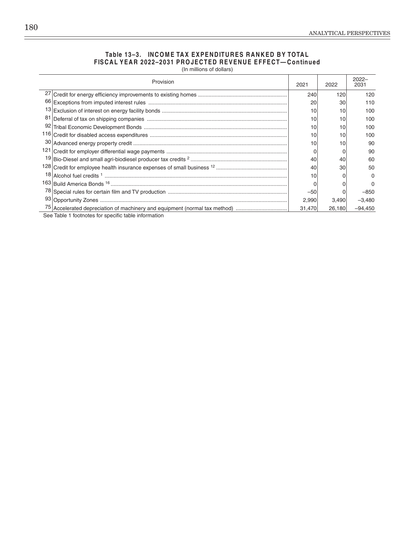# Table 13-3. INCOME TAX EXPENDITURES RANKED BY TOTAL FISCAL YEAR 2022-2031 PROJECTED REVENUE EFFECT-Continued

(In millions of dollars)

| Provision                                            |                                                                            | 2021     | 2022   | $2022 -$<br>2031 |  |
|------------------------------------------------------|----------------------------------------------------------------------------|----------|--------|------------------|--|
|                                                      |                                                                            | 240      | 120    | 120              |  |
|                                                      |                                                                            | 20       | 30     | 110              |  |
|                                                      |                                                                            | 10       | 10     | 100              |  |
|                                                      |                                                                            | 10       | 10     | 100              |  |
|                                                      |                                                                            | 10       | 10     | 100              |  |
|                                                      |                                                                            | 10       | 10     | 100              |  |
|                                                      |                                                                            | 10       | 10     | 90               |  |
|                                                      |                                                                            | $\Omega$ |        | 90               |  |
|                                                      |                                                                            | 40       | 40     | 60               |  |
|                                                      |                                                                            | 40       | 30     | 50               |  |
|                                                      |                                                                            | 10       |        | 0                |  |
|                                                      |                                                                            |          |        | ი                |  |
|                                                      |                                                                            | $-50$    |        | $-850$           |  |
|                                                      |                                                                            | 2,990    | 3,490  | $-3,480$         |  |
|                                                      | 75 Accelerated depreciation of machinery and equipment (normal tax method) | 31,470   | 26,180 | $-94.450$        |  |
| See Table 1 footnotes for specific table information |                                                                            |          |        |                  |  |

180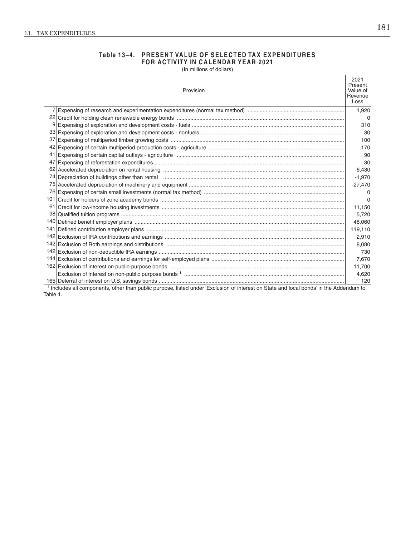### Table 13-4. PRESENT VALUE OF SELECTED TAX EXPENDITURES FOR ACTIVITY IN CALENDAR YEAR 2021

(In millions of dollars)

|                                                                                                                                                   | Provision | 2021<br>Present<br>Value of<br>Revenue<br>Loss |  |  |
|---------------------------------------------------------------------------------------------------------------------------------------------------|-----------|------------------------------------------------|--|--|
|                                                                                                                                                   |           | 1,920                                          |  |  |
|                                                                                                                                                   |           | $\Omega$                                       |  |  |
| 9                                                                                                                                                 |           | 310                                            |  |  |
|                                                                                                                                                   |           | 30                                             |  |  |
|                                                                                                                                                   |           | 100                                            |  |  |
|                                                                                                                                                   |           | 170                                            |  |  |
|                                                                                                                                                   |           | 90                                             |  |  |
|                                                                                                                                                   |           | 30                                             |  |  |
|                                                                                                                                                   |           | $-6,430$                                       |  |  |
|                                                                                                                                                   |           | $-1,970$                                       |  |  |
|                                                                                                                                                   |           | $-27,470$                                      |  |  |
|                                                                                                                                                   |           | 0                                              |  |  |
|                                                                                                                                                   |           | 0                                              |  |  |
|                                                                                                                                                   |           | 11,150                                         |  |  |
|                                                                                                                                                   |           | 5,720                                          |  |  |
|                                                                                                                                                   |           | 48,060                                         |  |  |
|                                                                                                                                                   |           | 119,110                                        |  |  |
|                                                                                                                                                   |           | 2,910                                          |  |  |
|                                                                                                                                                   |           | 8,080                                          |  |  |
|                                                                                                                                                   |           | 730                                            |  |  |
|                                                                                                                                                   |           | 7,670                                          |  |  |
|                                                                                                                                                   |           | 11,700                                         |  |  |
|                                                                                                                                                   |           | 4,620                                          |  |  |
|                                                                                                                                                   |           | 120                                            |  |  |
| <sup>1</sup> Includes all components, other than public purpose, listed under 'Exclusion of interest on State and local bonds' in the Addendum to |           |                                                |  |  |

nts, otr an public purpose, ripori  $\overline{c}$ Table 1.

 $\top$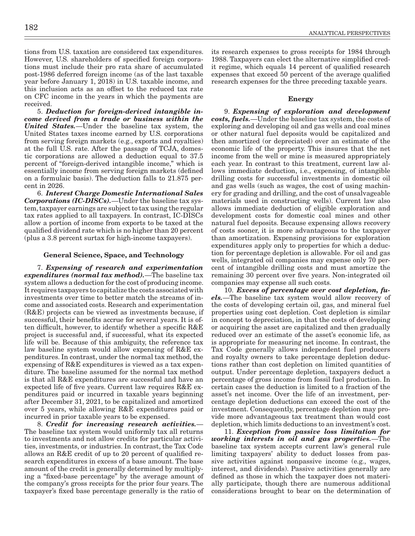tions from U.S. taxation are considered tax expenditures. However, U.S. shareholders of specified foreign corporations must include their pro rata share of accumulated post-1986 deferred foreign income (as of the last taxable year before January 1, 2018) in U.S. taxable income, and this inclusion acts as an offset to the reduced tax rate on CFC income in the years in which the payments are received.

5. *Deduction for foreign-derived intangible income derived from a trade or business within the United States.*—Under the baseline tax system, the United States taxes income earned by U.S. corporations from serving foreign markets (e.g., exports and royalties) at the full U.S. rate. After the passage of TCJA, domestic corporations are allowed a deduction equal to 37.5 percent of "foreign-derived intangible income," which is essentially income from serving foreign markets (defined on a formulaic basis). The deduction falls to 21.875 percent in 2026.

6. *Interest Charge Domestic International Sales Corporations (IC-DISCs).*—Under the baseline tax system, taxpayer earnings are subject to tax using the regular tax rates applied to all taxpayers. In contrast, IC-DISCs allow a portion of income from exports to be taxed at the qualified dividend rate which is no higher than 20 percent (plus a 3.8 percent surtax for high-income taxpayers).

#### General Science, Space, and Technology

7. *Expensing of research and experimentation expenditures (normal tax method).*—The baseline tax system allows a deduction for the cost of producing income. It requires taxpayers to capitalize the costs associated with investments over time to better match the streams of income and associated costs. Research and experimentation (R&E) projects can be viewed as investments because, if successful, their benefits accrue for several years. It is often difficult, however, to identify whether a specific R&E project is successful and, if successful, what its expected life will be. Because of this ambiguity, the reference tax law baseline system would allow expensing of R&E expenditures. In contrast, under the normal tax method, the expensing of R&E expenditures is viewed as a tax expenditure. The baseline assumed for the normal tax method is that all R&E expenditures are successful and have an expected life of five years. Current law requires R&E expenditures paid or incurred in taxable years beginning after December 31, 2021, to be capitalized and amortized over 5 years, while allowing R&E expenditures paid or incurred in prior taxable years to be expensed.

8. *Credit for increasing research activities.*— The baseline tax system would uniformly tax all returns to investments and not allow credits for particular activities, investments, or industries. In contrast, the Tax Code allows an R&E credit of up to 20 percent of qualified research expenditures in excess of a base amount. The base amount of the credit is generally determined by multiplying a "fixed-base percentage" by the average amount of the company's gross receipts for the prior four years. The taxpayer's fixed base percentage generally is the ratio of

ANALYTICAL PERSPECTIVES

its research expenses to gross receipts for 1984 through 1988. Taxpayers can elect the alternative simplified credit regime, which equals 14 percent of qualified research expenses that exceed 50 percent of the average qualified research expenses for the three preceding taxable years.

### Energy

9. *Expensing of exploration and development costs, fuels.*—Under the baseline tax system, the costs of exploring and developing oil and gas wells and coal mines or other natural fuel deposits would be capitalized and then amortized (or depreciated) over an estimate of the economic life of the property. This insures that the net income from the well or mine is measured appropriately each year. In contrast to this treatment, current law allows immediate deduction, i.e., expensing, of intangible drilling costs for successful investments in domestic oil and gas wells (such as wages, the cost of using machinery for grading and drilling, and the cost of unsalvageable materials used in constructing wells). Current law also allows immediate deduction of eligible exploration and development costs for domestic coal mines and other natural fuel deposits. Because expensing allows recovery of costs sooner, it is more advantageous to the taxpayer than amortization. Expensing provisions for exploration expenditures apply only to properties for which a deduction for percentage depletion is allowable. For oil and gas wells, integrated oil companies may expense only 70 percent of intangible drilling costs and must amortize the remaining 30 percent over five years. Non-integrated oil companies may expense all such costs.

10. *Excess of percentage over cost depletion, fuels.*—The baseline tax system would allow recovery of the costs of developing certain oil, gas, and mineral fuel properties using cost depletion. Cost depletion is similar in concept to depreciation, in that the costs of developing or acquiring the asset are capitalized and then gradually reduced over an estimate of the asset's economic life, as is appropriate for measuring net income. In contrast, the Tax Code generally allows independent fuel producers and royalty owners to take percentage depletion deductions rather than cost depletion on limited quantities of output. Under percentage depletion, taxpayers deduct a percentage of gross income from fossil fuel production. In certain cases the deduction is limited to a fraction of the asset's net income. Over the life of an investment, percentage depletion deductions can exceed the cost of the investment. Consequently, percentage depletion may provide more advantageous tax treatment than would cost depletion, which limits deductions to an investment's cost.

11. *Exception from passive loss limitation for working interests in oil and gas properties.*—The baseline tax system accepts current law's general rule limiting taxpayers' ability to deduct losses from passive activities against nonpassive income (e.g., wages, interest, and dividends). Passive activities generally are defined as those in which the taxpayer does not materially participate, though there are numerous additional considerations brought to bear on the determination of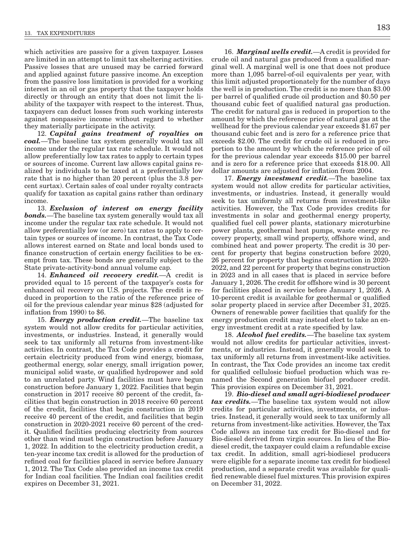which activities are passive for a given taxpayer. Losses are limited in an attempt to limit tax sheltering activities. Passive losses that are unused may be carried forward and applied against future passive income. An exception from the passive loss limitation is provided for a working interest in an oil or gas property that the taxpayer holds directly or through an entity that does not limit the liability of the taxpayer with respect to the interest. Thus, taxpayers can deduct losses from such working interests against nonpassive income without regard to whether they materially participate in the activity.

12. *Capital gains treatment of royalties on coal.*—The baseline tax system generally would tax all income under the regular tax rate schedule. It would not allow preferentially low tax rates to apply to certain types or sources of income. Current law allows capital gains realized by individuals to be taxed at a preferentially low rate that is no higher than 20 percent (plus the 3.8 percent surtax). Certain sales of coal under royalty contracts qualify for taxation as capital gains rather than ordinary income.

13. *Exclusion of interest on energy facility bonds.*—The baseline tax system generally would tax all income under the regular tax rate schedule. It would not allow preferentially low (or zero) tax rates to apply to certain types or sources of income. In contrast, the Tax Code allows interest earned on State and local bonds used to finance construction of certain energy facilities to be exempt from tax. These bonds are generally subject to the State private-activity-bond annual volume cap.

14. *Enhanced oil recovery credit.*—A credit is provided equal to 15 percent of the taxpayer's costs for enhanced oil recovery on U.S. projects. The credit is reduced in proportion to the ratio of the reference price of oil for the previous calendar year minus \$28 (adjusted for inflation from 1990) to \$6.

15. *Energy production credit.*—The baseline tax system would not allow credits for particular activities, investments, or industries. Instead, it generally would seek to tax uniformly all returns from investment-like activities. In contrast, the Tax Code provides a credit for certain electricity produced from wind energy, biomass, geothermal energy, solar energy, small irrigation power, municipal solid waste, or qualified hydropower and sold to an unrelated party. Wind facilities must have begun construction before January 1, 2022. Facilities that begin construction in 2017 receive 80 percent of the credit, facilities that begin construction in 2018 receive 60 percent of the credit, facilities that begin construction in 2019 receive 40 percent of the credit, and facilities that begin construction in 2020-2021 receive 60 percent of the credit. Qualified facilities producing electricity from sources other than wind must begin construction before January 1, 2022. In addition to the electricity production credit, a ten-year income tax credit is allowed for the production of refined coal for facilities placed in service before January 1, 2012. The Tax Code also provided an income tax credit for Indian coal facilities. The Indian coal facilities credit expires on December 31, 2021.

16. *Marginal wells credit.*—A credit is provided for crude oil and natural gas produced from a qualified marginal well. A marginal well is one that does not produce more than 1,095 barrel-of-oil equivalents per year, with this limit adjusted proportionately for the number of days the well is in production. The credit is no more than \$3.00 per barrel of qualified crude oil production and \$0.50 per thousand cubic feet of qualified natural gas production. The credit for natural gas is reduced in proportion to the amount by which the reference price of natural gas at the wellhead for the previous calendar year exceeds \$1.67 per thousand cubic feet and is zero for a reference price that exceeds \$2.00. The credit for crude oil is reduced in proportion to the amount by which the reference price of oil for the previous calendar year exceeds \$15.00 per barrel and is zero for a reference price that exceeds \$18.00. All dollar amounts are adjusted for inflation from 2004.

17. *Energy investment credit.*—The baseline tax system would not allow credits for particular activities, investments, or industries. Instead, it generally would seek to tax uniformly all returns from investment-like activities. However, the Tax Code provides credits for investments in solar and geothermal energy property, qualified fuel cell power plants, stationary microturbine power plants, geothermal heat pumps, waste energy recovery property, small wind property, offshore wind, and combined heat and power property. The credit is 30 percent for property that begins construction before 2020, 26 percent for property that begins construction in 2020- 2022, and 22 percent for property that begins construction in 2023 and in all cases that is placed in service before January 1, 2026. The credit for offshore wind is 30 percent for facilities placed in service before January 1, 2026. A 10-percent credit is available for geothermal or qualified solar property placed in service after December 31, 2025. Owners of renewable power facilities that qualify for the energy production credit may instead elect to take an energy investment credit at a rate specified by law.

18. *Alcohol fuel credits.*—The baseline tax system would not allow credits for particular activities, investments, or industries. Instead, it generally would seek to tax uniformly all returns from investment-like activities. In contrast, the Tax Code provides an income tax credit for qualified cellulosic biofuel production which was renamed the Second generation biofuel producer credit. This provision expires on December 31, 2021.

19. *Bio-diesel and small agri-biodiesel producer tax credits.*—The baseline tax system would not allow credits for particular activities, investments, or industries. Instead, it generally would seek to tax uniformly all returns from investment-like activities. However, the Tax Code allows an income tax credit for Bio-diesel and for Bio-diesel derived from virgin sources. In lieu of the Biodiesel credit, the taxpayer could claim a refundable excise tax credit. In addition, small agri-biodiesel producers were eligible for a separate income tax credit for biodiesel production, and a separate credit was available for qualified renewable diesel fuel mixtures. This provision expires on December 31, 2022.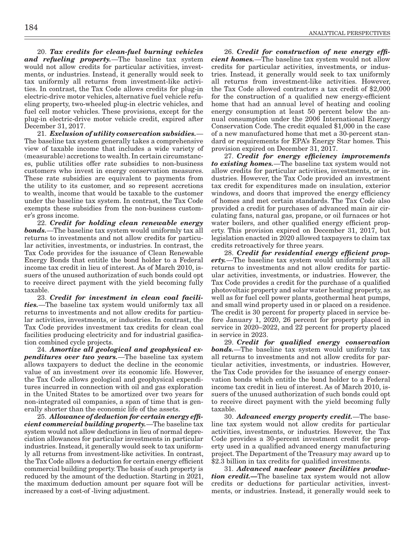20. *Tax credits for clean-fuel burning vehicles and refueling property.*—The baseline tax system would not allow credits for particular activities, investments, or industries. Instead, it generally would seek to tax uniformly all returns from investment-like activities. In contrast, the Tax Code allows credits for plug-in electric-drive motor vehicles, alternative fuel vehicle refueling property, two-wheeled plug-in electric vehicles, and fuel cell motor vehicles. These provisions, except for the plug-in electric-drive motor vehicle credit, expired after December 31, 2017.

21. *Exclusion of utility conservation subsidies.*— The baseline tax system generally takes a comprehensive view of taxable income that includes a wide variety of (measurable) accretions to wealth. In certain circumstances, public utilities offer rate subsidies to non-business customers who invest in energy conservation measures. These rate subsidies are equivalent to payments from the utility to its customer, and so represent accretions to wealth, income that would be taxable to the customer under the baseline tax system. In contrast, the Tax Code exempts these subsidies from the non-business customer's gross income.

22. *Credit for holding clean renewable energy bonds.*—The baseline tax system would uniformly tax all returns to investments and not allow credits for particular activities, investments, or industries. In contrast, the Tax Code provides for the issuance of Clean Renewable Energy Bonds that entitle the bond holder to a Federal income tax credit in lieu of interest. As of March 2010, issuers of the unused authorization of such bonds could opt to receive direct payment with the yield becoming fully taxable.

23. *Credit for investment in clean coal facilities.*—The baseline tax system would uniformly tax all returns to investments and not allow credits for particular activities, investments, or industries. In contrast, the Tax Code provides investment tax credits for clean coal facilities producing electricity and for industrial gasification combined cycle projects.

24. *Amortize all geological and geophysical expenditures over two years.*—The baseline tax system allows taxpayers to deduct the decline in the economic value of an investment over its economic life. However, the Tax Code allows geological and geophysical expenditures incurred in connection with oil and gas exploration in the United States to be amortized over two years for non-integrated oil companies, a span of time that is generally shorter than the economic life of the assets.

25. *Allowance of deduction for certain energy efficient commercial building property.*—The baseline tax system would not allow deductions in lieu of normal depreciation allowances for particular investments in particular industries. Instead, it generally would seek to tax uniformly all returns from investment-like activities. In contrast, the Tax Code allows a deduction for certain energy efficient commercial building property. The basis of such property is reduced by the amount of the deduction. Starting in 2021, the maximum deduction amount per square foot will be increased by a cost-of -living adjustment.

26. *Credit for construction of new energy efficient homes.*—The baseline tax system would not allow credits for particular activities, investments, or industries. Instead, it generally would seek to tax uniformly all returns from investment-like activities. However, the Tax Code allowed contractors a tax credit of \$2,000 for the construction of a qualified new energy-efficient home that had an annual level of heating and cooling energy consumption at least 50 percent below the annual consumption under the 2006 International Energy Conservation Code. The credit equaled \$1,000 in the case of a new manufactured home that met a 30-percent standard or requirements for EPA's Energy Star homes. This provision expired on December 31, 2017.

27. *Credit for energy efficiency improvements to existing homes.*—The baseline tax system would not allow credits for particular activities, investments, or industries. However, the Tax Code provided an investment tax credit for expenditures made on insulation, exterior windows, and doors that improved the energy efficiency of homes and met certain standards. The Tax Code also provided a credit for purchases of advanced main air circulating fans, natural gas, propane, or oil furnaces or hot water boilers, and other qualified energy efficient property. This provision expired on December 31, 2017, but legislation enacted in 2020 allowed taxpayers to claim tax credits retroactively for three years.

28. *Credit for residential energy efficient property.*—The baseline tax system would uniformly tax all returns to investments and not allow credits for particular activities, investments, or industries. However, the Tax Code provides a credit for the purchase of a qualified photovoltaic property and solar water heating property, as well as for fuel cell power plants, geothermal heat pumps, and small wind property used in or placed on a residence. The credit is 30 percent for property placed in service before January 1, 2020, 26 percent for property placed in service in 2020–2022, and 22 percent for property placed in service in 2023.

29. *Credit for qualified energy conservation bonds.*—The baseline tax system would uniformly tax all returns to investments and not allow credits for particular activities, investments, or industries. However, the Tax Code provides for the issuance of energy conservation bonds which entitle the bond holder to a Federal income tax credit in lieu of interest. As of March 2010, issuers of the unused authorization of such bonds could opt to receive direct payment with the yield becoming fully taxable.

30. *Advanced energy property credit.*—The baseline tax system would not allow credits for particular activities, investments, or industries. However, the Tax Code provides a 30-percent investment credit for property used in a qualified advanced energy manufacturing project. The Department of the Treasury may award up to \$2.3 billion in tax credits for qualified investments.

31. *Advanced nuclear power facilities production credit.—*The baseline tax system would not allow credits or deductions for particular activities, investments, or industries. Instead, it generally would seek to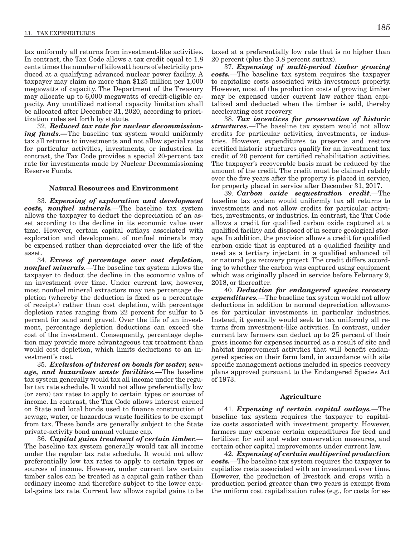tax uniformly all returns from investment-like activities. In contrast, the Tax Code allows a tax credit equal to 1.8 cents times the number of kilowatt hours of electricity produced at a qualifying advanced nuclear power facility. A taxpayer may claim no more than \$125 million per 1,000 megawatts of capacity. The Department of the Treasury may allocate up to 6,000 megawatts of credit-eligible capacity. Any unutilized national capacity limitation shall be allocated after December 31, 2020, according to prioritization rules set forth by statute.

32. *Reduced tax rate for nuclear decommissioning funds.—*The baseline tax system would uniformly tax all returns to investments and not allow special rates for particular activities, investments, or industries. In contrast, the Tax Code provides a special 20-percent tax rate for investments made by Nuclear Decommissioning Reserve Funds.

### Natural Resources and Environment

33. *Expensing of exploration and development costs, nonfuel minerals.*—The baseline tax system allows the taxpayer to deduct the depreciation of an asset according to the decline in its economic value over time. However, certain capital outlays associated with exploration and development of nonfuel minerals may be expensed rather than depreciated over the life of the asset.

34. *Excess of percentage over cost depletion, nonfuel minerals.*—The baseline tax system allows the taxpayer to deduct the decline in the economic value of an investment over time. Under current law, however, most nonfuel mineral extractors may use percentage depletion (whereby the deduction is fixed as a percentage of receipts) rather than cost depletion, with percentage depletion rates ranging from 22 percent for sulfur to 5 percent for sand and gravel. Over the life of an investment, percentage depletion deductions can exceed the cost of the investment. Consequently, percentage depletion may provide more advantageous tax treatment than would cost depletion, which limits deductions to an investment's cost.

35. *Exclusion of interest on bonds for water, sewage, and hazardous waste facilities.*—The baseline tax system generally would tax all income under the regular tax rate schedule. It would not allow preferentially low (or zero) tax rates to apply to certain types or sources of income. In contrast, the Tax Code allows interest earned on State and local bonds used to finance construction of sewage, water, or hazardous waste facilities to be exempt from tax. These bonds are generally subject to the State private-activity bond annual volume cap.

36. *Capital gains treatment of certain timber.*— The baseline tax system generally would tax all income under the regular tax rate schedule. It would not allow preferentially low tax rates to apply to certain types or sources of income. However, under current law certain timber sales can be treated as a capital gain rather than ordinary income and therefore subject to the lower capital-gains tax rate. Current law allows capital gains to be taxed at a preferentially low rate that is no higher than 20 percent (plus the 3.8 percent surtax).

37. *Expensing of multi-period timber growing costs.*—The baseline tax system requires the taxpayer to capitalize costs associated with investment property. However, most of the production costs of growing timber may be expensed under current law rather than capitalized and deducted when the timber is sold, thereby accelerating cost recovery.

38. *Tax incentives for preservation of historic structures.*—The baseline tax system would not allow credits for particular activities, investments, or industries. However, expenditures to preserve and restore certified historic structures qualify for an investment tax credit of 20 percent for certified rehabilitation activities. The taxpayer's recoverable basis must be reduced by the amount of the credit. The credit must be claimed ratably over the five years after the property is placed in service, for property placed in service after December 31, 2017.

39. *Carbon oxide sequestration credit*.—The baseline tax system would uniformly tax all returns to investments and not allow credits for particular activities, investments, or industries. In contrast, the Tax Code allows a credit for qualified carbon oxide captured at a qualified facility and disposed of in secure geological storage. In addition, the provision allows a credit for qualified carbon oxide that is captured at a qualified facility and used as a tertiary injectant in a qualified enhanced oil or natural gas recovery project. The credit differs according to whether the carbon was captured using equipment which was originally placed in service before February 9, 2018, or thereafter.

40. *Deduction for endangered species recovery expenditures.*—The baseline tax system would not allow deductions in addition to normal depreciation allowances for particular investments in particular industries. Instead, it generally would seek to tax uniformly all returns from investment-like activities. In contrast, under current law farmers can deduct up to 25 percent of their gross income for expenses incurred as a result of site and habitat improvement activities that will benefit endangered species on their farm land, in accordance with site specific management actions included in species recovery plans approved pursuant to the Endangered Species Act of 1973.

#### Agriculture

41. *Expensing of certain capital outlays.*—The baseline tax system requires the taxpayer to capitalize costs associated with investment property. However, farmers may expense certain expenditures for feed and fertilizer, for soil and water conservation measures, and certain other capital improvements under current law.

42. *Expensing of certain multiperiod production costs.*—The baseline tax system requires the taxpayer to capitalize costs associated with an investment over time. However, the production of livestock and crops with a production period greater than two years is exempt from the uniform cost capitalization rules (e.g., for costs for es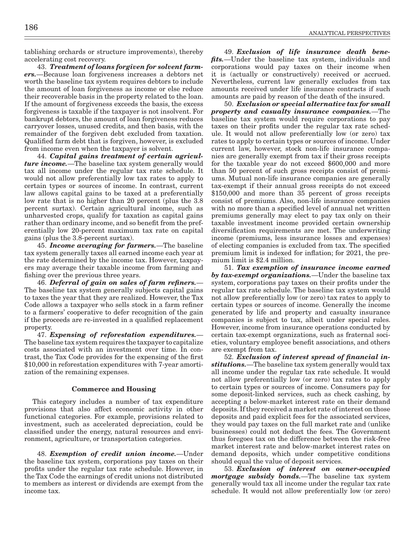tablishing orchards or structure improvements), thereby accelerating cost recovery.

43. *Treatment of loans forgiven for solvent farmers.*—Because loan forgiveness increases a debtors net worth the baseline tax system requires debtors to include the amount of loan forgiveness as income or else reduce their recoverable basis in the property related to the loan. If the amount of forgiveness exceeds the basis, the excess forgiveness is taxable if the taxpayer is not insolvent. For bankrupt debtors, the amount of loan forgiveness reduces carryover losses, unused credits, and then basis, with the remainder of the forgiven debt excluded from taxation. Qualified farm debt that is forgiven, however, is excluded from income even when the taxpayer is solvent.

44. *Capital gains treatment of certain agriculture income.*—The baseline tax system generally would tax all income under the regular tax rate schedule. It would not allow preferentially low tax rates to apply to certain types or sources of income. In contrast, current law allows capital gains to be taxed at a preferentially low rate that is no higher than 20 percent (plus the 3.8 percent surtax). Certain agricultural income, such as unharvested crops, qualify for taxation as capital gains rather than ordinary income, and so benefit from the preferentially low 20-percent maximum tax rate on capital gains (plus the 3.8-percent surtax).

45. *Income averaging for farmers.*—The baseline tax system generally taxes all earned income each year at the rate determined by the income tax. However, taxpayers may average their taxable income from farming and fishing over the previous three years.

46. *Deferral of gain on sales of farm refiners.*— The baseline tax system generally subjects capital gains to taxes the year that they are realized. However, the Tax Code allows a taxpayer who sells stock in a farm refiner to a farmers' cooperative to defer recognition of the gain if the proceeds are re-invested in a qualified replacement property.

47. *Expensing of reforestation expenditures.*— The baseline tax system requires the taxpayer to capitalize costs associated with an investment over time. In contrast, the Tax Code provides for the expensing of the first \$10,000 in reforestation expenditures with 7-year amortization of the remaining expenses.

#### Commerce and Housing

This category includes a number of tax expenditure provisions that also affect economic activity in other functional categories. For example, provisions related to investment, such as accelerated depreciation, could be classified under the energy, natural resources and environment, agriculture, or transportation categories.

48. *Exemption of credit union income.*—Under the baseline tax system, corporations pay taxes on their profits under the regular tax rate schedule. However, in the Tax Code the earnings of credit unions not distributed to members as interest or dividends are exempt from the income tax.

49. *Exclusion of life insurance death benefits.*—Under the baseline tax system, individuals and corporations would pay taxes on their income when it is (actually or constructively) received or accrued. Nevertheless, current law generally excludes from tax amounts received under life insurance contracts if such amounts are paid by reason of the death of the insured.

50. *Exclusion or special alternative tax for small property and casualty insurance companies.*—The baseline tax system would require corporations to pay taxes on their profits under the regular tax rate schedule. It would not allow preferentially low (or zero) tax rates to apply to certain types or sources of income. Under current law, however, stock non-life insurance companies are generally exempt from tax if their gross receipts for the taxable year do not exceed \$600,000 and more than 50 percent of such gross receipts consist of premiums. Mutual non-life insurance companies are generally tax-exempt if their annual gross receipts do not exceed \$150,000 and more than 35 percent of gross receipts consist of premiums. Also, non-life insurance companies with no more than a specified level of annual net written premiums generally may elect to pay tax only on their taxable investment income provided certain ownership diversification requirements are met. The underwriting income (premiums, less insurance losses and expenses) of electing companies is excluded from tax. The specified premium limit is indexed for inflation; for 2021, the premium limit is \$2.4 million.

51. *Tax exemption of insurance income earned by tax-exempt organizations.*—Under the baseline tax system, corporations pay taxes on their profits under the regular tax rate schedule. The baseline tax system would not allow preferentially low (or zero) tax rates to apply to certain types or sources of income. Generally the income generated by life and property and casualty insurance companies is subject to tax, albeit under special rules. However, income from insurance operations conducted by certain tax-exempt organizations, such as fraternal societies, voluntary employee benefit associations, and others are exempt from tax.

52. *Exclusion of interest spread of financial institutions.*—The baseline tax system generally would tax all income under the regular tax rate schedule. It would not allow preferentially low (or zero) tax rates to apply to certain types or sources of income. Consumers pay for some deposit-linked services, such as check cashing, by accepting a below-market interest rate on their demand deposits. If they received a market rate of interest on those deposits and paid explicit fees for the associated services, they would pay taxes on the full market rate and (unlike businesses) could not deduct the fees. The Government thus foregoes tax on the difference between the risk-free market interest rate and below-market interest rates on demand deposits, which under competitive conditions should equal the value of deposit services.

53. *Exclusion of interest on owner-occupied mortgage subsidy bonds.*—The baseline tax system generally would tax all income under the regular tax rate schedule. It would not allow preferentially low (or zero)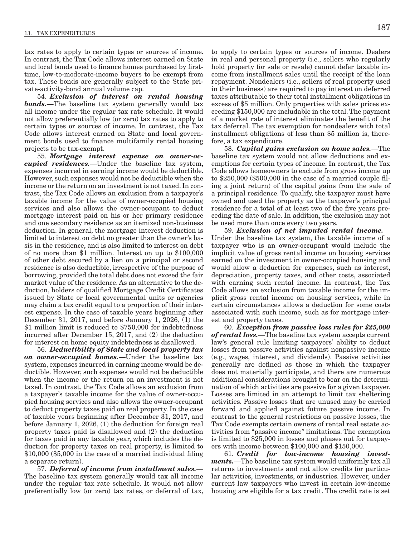tax rates to apply to certain types or sources of income. In contrast, the Tax Code allows interest earned on State and local bonds used to finance homes purchased by firsttime, low-to-moderate-income buyers to be exempt from tax. These bonds are generally subject to the State private-activity-bond annual volume cap.

54. *Exclusion of interest on rental housing bonds.*—The baseline tax system generally would tax all income under the regular tax rate schedule. It would not allow preferentially low (or zero) tax rates to apply to certain types or sources of income. In contrast, the Tax Code allows interest earned on State and local government bonds used to finance multifamily rental housing projects to be tax-exempt.

55. *Mortgage interest expense on owner-occupied residences.*—Under the baseline tax system, expenses incurred in earning income would be deductible. However, such expenses would not be deductible when the income or the return on an investment is not taxed. In contrast, the Tax Code allows an exclusion from a taxpayer's taxable income for the value of owner-occupied housing services and also allows the owner-occupant to deduct mortgage interest paid on his or her primary residence and one secondary residence as an itemized non-business deduction. In general, the mortgage interest deduction is limited to interest on debt no greater than the owner's basis in the residence, and is also limited to interest on debt of no more than \$1 million. Interest on up to \$100,000 of other debt secured by a lien on a principal or second residence is also deductible, irrespective of the purpose of borrowing, provided the total debt does not exceed the fair market value of the residence. As an alternative to the deduction, holders of qualified Mortgage Credit Certificates issued by State or local governmental units or agencies may claim a tax credit equal to a proportion of their interest expense. In the case of taxable years beginning after December 31, 2017, and before January 1, 2026, (1) the \$1 million limit is reduced to \$750,000 for indebtedness incurred after December 15, 2017, and (2) the deduction for interest on home equity indebtedness is disallowed.

56. *Deductibility of State and local property tax on owner-occupied homes.*—Under the baseline tax system, expenses incurred in earning income would be deductible. However, such expenses would not be deductible when the income or the return on an investment is not taxed. In contrast, the Tax Code allows an exclusion from a taxpayer's taxable income for the value of owner-occupied housing services and also allows the owner-occupant to deduct property taxes paid on real property. In the case of taxable years beginning after December 31, 2017, and before January 1, 2026, (1) the deduction for foreign real property taxes paid is disallowed and (2) the deduction for taxes paid in any taxable year, which includes the deduction for property taxes on real property, is limited to \$10,000 (\$5,000 in the case of a married individual filing a separate return).

57. *Deferral of income from installment sales.*— The baseline tax system generally would tax all income under the regular tax rate schedule. It would not allow preferentially low (or zero) tax rates, or deferral of tax,

to apply to certain types or sources of income. Dealers in real and personal property (i.e., sellers who regularly hold property for sale or resale) cannot defer taxable income from installment sales until the receipt of the loan repayment. Nondealers (i.e., sellers of real property used in their business) are required to pay interest on deferred taxes attributable to their total installment obligations in excess of \$5 million. Only properties with sales prices exceeding \$150,000 are includable in the total. The payment of a market rate of interest eliminates the benefit of the tax deferral. The tax exemption for nondealers with total installment obligations of less than \$5 million is, therefore, a tax expenditure.

58. *Capital gains exclusion on home sales.*—The baseline tax system would not allow deductions and exemptions for certain types of income. In contrast, the Tax Code allows homeowners to exclude from gross income up to \$250,000 (\$500,000 in the case of a married couple filing a joint return) of the capital gains from the sale of a principal residence. To qualify, the taxpayer must have owned and used the property as the taxpayer's principal residence for a total of at least two of the five years preceding the date of sale. In addition, the exclusion may not be used more than once every two years.

59. *Exclusion of net imputed rental income.*— Under the baseline tax system, the taxable income of a taxpayer who is an owner-occupant would include the implicit value of gross rental income on housing services earned on the investment in owner-occupied housing and would allow a deduction for expenses, such as interest, depreciation, property taxes, and other costs, associated with earning such rental income. In contrast, the Tax Code allows an exclusion from taxable income for the implicit gross rental income on housing services, while in certain circumstances allows a deduction for some costs associated with such income, such as for mortgage interest and property taxes.

60. *Exception from passive loss rules for \$25,000 of rental loss.*—The baseline tax system accepts current law's general rule limiting taxpayers' ability to deduct losses from passive activities against nonpassive income (e.g., wages, interest, and dividends). Passive activities generally are defined as those in which the taxpayer does not materially participate, and there are numerous additional considerations brought to bear on the determination of which activities are passive for a given taxpayer. Losses are limited in an attempt to limit tax sheltering activities. Passive losses that are unused may be carried forward and applied against future passive income. In contrast to the general restrictions on passive losses, the Tax Code exempts certain owners of rental real estate activities from "passive income" limitations. The exemption is limited to \$25,000 in losses and phases out for taxpayers with income between \$100,000 and \$150,000.

61. *Credit for low-income housing investments.*—The baseline tax system would uniformly tax all returns to investments and not allow credits for particular activities, investments, or industries. However, under current law taxpayers who invest in certain low-income housing are eligible for a tax credit. The credit rate is set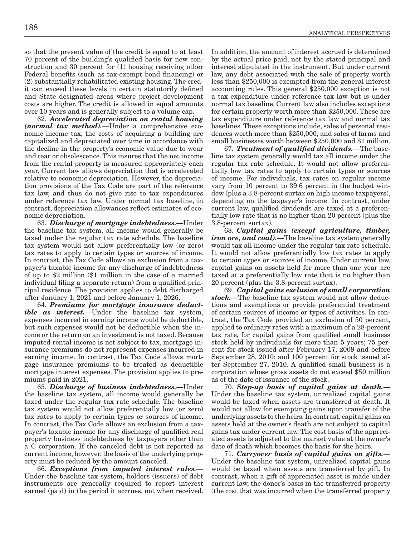so that the present value of the credit is equal to at least 70 percent of the building's qualified basis for new construction and 30 percent for  $(1)$  housing receiving other Federal benefits (such as tax-exempt bond financing) or (2) substantially rehabilitated existing housing. The credit can exceed these levels in certain statutorily defined and State designated areas where project development costs are higher. The credit is allowed in equal amounts over 10 years and is generally subject to a volume cap.

62. *Accelerated depreciation on rental housing (normal tax method).*—Under a comprehensive economic income tax, the costs of acquiring a building are capitalized and depreciated over time in accordance with the decline in the property's economic value due to wear and tear or obsolescence. This insures that the net income from the rental property is measured appropriately each year. Current law allows depreciation that is accelerated relative to economic depreciation. However, the depreciation provisions of the Tax Code are part of the reference tax law, and thus do not give rise to tax expenditures under reference tax law. Under normal tax baseline, in contrast, depreciation allowances reflect estimates of economic depreciation.

63. *Discharge of mortgage indebtedness.—*Under the baseline tax system, all income would generally be taxed under the regular tax rate schedule. The baseline tax system would not allow preferentially low (or zero) tax rates to apply to certain types or sources of income. In contrast, the Tax Code allows an exclusion from a taxpayer's taxable income for any discharge of indebtedness of up to \$2 million (\$1 million in the case of a married individual filing a separate return) from a qualified principal residence. The provision applies to debt discharged after January 1, 2021 and before January 1, 2026.

64. *Premiums for mortgage insurance deductible as interest.*—Under the baseline tax system, expenses incurred in earning income would be deductible, but such expenses would not be deductible when the income or the return on an investment is not taxed. Because imputed rental income is not subject to tax, mortgage insurance premiums do not represent expenses incurred in earning income. In contrast, the Tax Code allows mortgage insurance premiums to be treated as deductible mortgage interest expenses. The provision applies to premiums paid in 2021.

65. *Discharge of business indebtedness.*—Under the baseline tax system, all income would generally be taxed under the regular tax rate schedule. The baseline tax system would not allow preferentially low (or zero) tax rates to apply to certain types or sources of income. In contrast, the Tax Code allows an exclusion from a taxpayer's taxable income for any discharge of qualified real property business indebtedness by taxpayers other than a C corporation. If the canceled debt is not reported as current income, however, the basis of the underlying property must be reduced by the amount canceled.

66. *Exceptions from imputed interest rules.*— Under the baseline tax system, holders (issuers) of debt instruments are generally required to report interest earned (paid) in the period it accrues, not when received.

In addition, the amount of interest accrued is determined by the actual price paid, not by the stated principal and interest stipulated in the instrument. But under current law, any debt associated with the sale of property worth less than \$250,000 is exempted from the general interest accounting rules. This general \$250,000 exception is not a tax expenditure under reference tax law but is under normal tax baseline. Current law also includes exceptions for certain property worth more than \$250,000. These are tax expenditure under reference tax law and normal tax baselines. These exceptions include, sales of personal residences worth more than \$250,000, and sales of farms and small businesses worth between \$250,000 and \$1 million.

67. *Treatment of qualified dividends.*—The baseline tax system generally would tax all income under the regular tax rate schedule. It would not allow preferentially low tax rates to apply to certain types or sources of income. For individuals, tax rates on regular income vary from 10 percent to 39.6 percent in the budget window (plus a 3.8-percent surtax on high income taxpayers), depending on the taxpayer's income. In contrast, under current law, qualified dividends are taxed at a preferentially low rate that is no higher than 20 percent (plus the 3.8-percent surtax).

68. *Capital gains (except agriculture, timber, iron ore, and coal*).—The baseline tax system generally would tax all income under the regular tax rate schedule. It would not allow preferentially low tax rates to apply to certain types or sources of income. Under current law, capital gains on assets held for more than one year are taxed at a preferentially low rate that is no higher than 20 percent (plus the 3.8-percent surtax).

69. *Capital gains exclusion of small corporation stock.*—The baseline tax system would not allow deductions and exemptions or provide preferential treatment of certain sources of income or types of activities. In contrast, the Tax Code provided an exclusion of 50 percent, applied to ordinary rates with a maximum of a 28-percent tax rate, for capital gains from qualified small business stock held by individuals for more than 5 years; 75 percent for stock issued after February 17, 2009 and before September 28, 2010; and 100 percent for stock issued after September 27, 2010. A qualified small business is a corporation whose gross assets do not exceed \$50 million as of the date of issuance of the stock.

70. *Step-up basis of capital gains at death.*— Under the baseline tax system, unrealized capital gains would be taxed when assets are transferred at death. It would not allow for exempting gains upon transfer of the underlying assets to the heirs. In contrast, capital gains on assets held at the owner's death are not subject to capital gains tax under current law. The cost basis of the appreciated assets is adjusted to the market value at the owner's date of death which becomes the basis for the heirs.

71. *Carryover basis of capital gains on gifts.*— Under the baseline tax system, unrealized capital gains would be taxed when assets are transferred by gift. In contrast, when a gift of appreciated asset is made under current law, the donor's basis in the transferred property (the cost that was incurred when the transferred property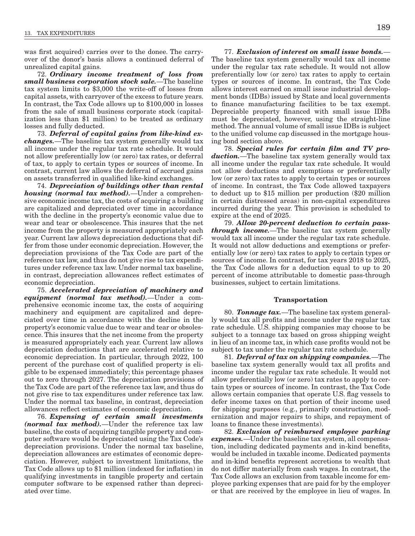was first acquired) carries over to the donee. The carryover of the donor's basis allows a continued deferral of unrealized capital gains.

72. *Ordinary income treatment of loss from small business corporation stock sale.*—The baseline tax system limits to \$3,000 the write-off of losses from capital assets, with carryover of the excess to future years. In contrast, the Tax Code allows up to \$100,000 in losses from the sale of small business corporate stock (capitalization less than \$1 million) to be treated as ordinary losses and fully deducted.

73. *Deferral of capital gains from like-kind exchanges.*—The baseline tax system generally would tax all income under the regular tax rate schedule. It would not allow preferentially low (or zero) tax rates, or deferral of tax, to apply to certain types or sources of income. In contrast, current law allows the deferral of accrued gains on assets transferred in qualified like-kind exchanges.

74. *Depreciation of buildings other than rental housing (normal tax method).*—Under a comprehensive economic income tax, the costs of acquiring a building are capitalized and depreciated over time in accordance with the decline in the property's economic value due to wear and tear or obsolescence. This insures that the net income from the property is measured appropriately each year. Current law allows depreciation deductions that differ from those under economic depreciation. However, the depreciation provisions of the Tax Code are part of the reference tax law, and thus do not give rise to tax expenditures under reference tax law. Under normal tax baseline, in contrast, depreciation allowances reflect estimates of economic depreciation.

75. *Accelerated depreciation of machinery and equipment (normal tax method).*—Under a comprehensive economic income tax, the costs of acquiring machinery and equipment are capitalized and depreciated over time in accordance with the decline in the property's economic value due to wear and tear or obsolescence. This insures that the net income from the property is measured appropriately each year. Current law allows depreciation deductions that are accelerated relative to economic depreciation. In particular, through 2022, 100 percent of the purchase cost of qualified property is eligible to be expensed immediately; this percentage phases out to zero through 2027. The depreciation provisions of the Tax Code are part of the reference tax law, and thus do not give rise to tax expenditures under reference tax law. Under the normal tax baseline, in contrast, depreciation allowances reflect estimates of economic depreciation.

76. *Expensing of certain small investments (normal tax method).*—Under the reference tax law baseline, the costs of acquiring tangible property and computer software would be depreciated using the Tax Code's depreciation provisions. Under the normal tax baseline, depreciation allowances are estimates of economic depreciation. However, subject to investment limitations, the Tax Code allows up to \$1 million (indexed for inflation) in qualifying investments in tangible property and certain computer software to be expensed rather than depreciated over time.

77. *Exclusion of interest on small issue bonds.*— The baseline tax system generally would tax all income under the regular tax rate schedule. It would not allow preferentially low (or zero) tax rates to apply to certain types or sources of income. In contrast, the Tax Code allows interest earned on small issue industrial development bonds (IDBs) issued by State and local governments to finance manufacturing facilities to be tax exempt. Depreciable property financed with small issue IDBs must be depreciated, however, using the straight-line method. The annual volume of small issue IDBs is subject to the unified volume cap discussed in the mortgage housing bond section above.

78. *Special rules for certain film and TV production.*—The baseline tax system generally would tax all income under the regular tax rate schedule. It would not allow deductions and exemptions or preferentially low (or zero) tax rates to apply to certain types or sources of income. In contrast, the Tax Code allowed taxpayers to deduct up to \$15 million per production (\$20 million in certain distressed areas) in non-capital expenditures incurred during the year. This provision is scheduled to expire at the end of 2025.

79. *Allow 20-percent deduction to certain passthrough income.*—The baseline tax system generally would tax all income under the regular tax rate schedule. It would not allow deductions and exemptions or preferentially low (or zero) tax rates to apply to certain types or sources of income. In contrast, for tax years 2018 to 2025, the Tax Code allows for a deduction equal to up to 20 percent of income attributable to domestic pass-through businesses, subject to certain limitations.

#### Transportation

80. *Tonnage tax.*—The baseline tax system generally would tax all profits and income under the regular tax rate schedule. U.S. shipping companies may choose to be subject to a tonnage tax based on gross shipping weight in lieu of an income tax, in which case profits would not be subject to tax under the regular tax rate schedule.

81. *Deferral of tax on shipping companies.*—The baseline tax system generally would tax all profits and income under the regular tax rate schedule. It would not allow preferentially low (or zero) tax rates to apply to certain types or sources of income. In contrast, the Tax Code allows certain companies that operate U.S. flag vessels to defer income taxes on that portion of their income used for shipping purposes (e.g., primarily construction, modernization and major repairs to ships, and repayment of loans to finance these investments).

82. *Exclusion of reimbursed employee parking expenses.*—Under the baseline tax system, all compensation, including dedicated payments and in-kind benefits, would be included in taxable income. Dedicated payments and in-kind benefits represent accretions to wealth that do not differ materially from cash wages. In contrast, the Tax Code allows an exclusion from taxable income for employee parking expenses that are paid for by the employer or that are received by the employee in lieu of wages. In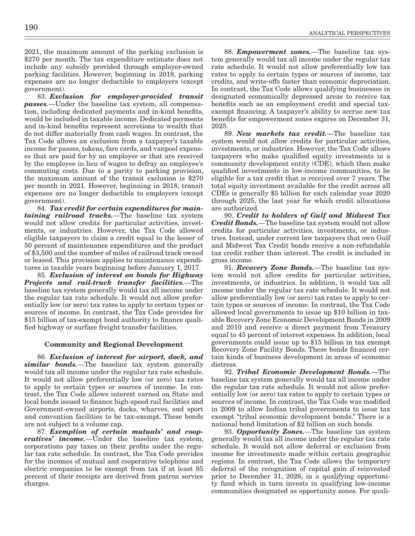2021, the maximum amount of the parking exclusion is \$270 per month. The tax expenditure estimate does not include any subsidy provided through employer-owned parking facilities. However, beginning in 2018, parking expenses are no longer deductible to employers (except government).

83. *Exclusion for employer-provided transit passes.*—Under the baseline tax system, all compensation, including dedicated payments and in-kind benefits, would be included in taxable income. Dedicated payments and in-kind benefits represent accretions to wealth that do not differ materially from cash wages. In contrast, the Tax Code allows an exclusion from a taxpayer's taxable income for passes, tokens, fare cards, and vanpool expenses that are paid for by an employer or that are received by the employee in lieu of wages to defray an employee's commuting costs. Due to a parity to parking provision, the maximum amount of the transit exclusion is \$270 per month in 2021. However, beginning in 2018, transit expenses are no longer deductible to employers (except government).

84. *Tax credit for certain expenditures for maintaining railroad tracks.*—The baseline tax system would not allow credits for particular activities, investments, or industries. However, the Tax Code allowed eligible taxpayers to claim a credit equal to the lesser of 50 percent of maintenance expenditures and the product of \$3,500 and the number of miles of railroad track owned or leased. This provision applies to maintenance expenditures in taxable years beginning before January 1, 2017.

85. *Exclusion of interest on bonds for Highway Projects and rail-truck transfer facilities.*—The baseline tax system generally would tax all income under the regular tax rate schedule. It would not allow preferentially low (or zero) tax rates to apply to certain types or sources of income. In contrast, the Tax Code provides for \$15 billion of tax-exempt bond authority to finance qualified highway or surface freight transfer facilities.

### Community and Regional Development

86. *Exclusion of interest for airport, dock, and similar bonds.*—The baseline tax system generally would tax all income under the regular tax rate schedule. It would not allow preferentially low (or zero) tax rates to apply to certain types or sources of income. In contrast, the Tax Code allows interest earned on State and local bonds issued to finance high-speed rail facilities and Government-owned airports, docks, wharves, and sport and convention facilities to be tax-exempt. These bonds are not subject to a volume cap.

87. *Exemption of certain mutuals' and cooperatives' income.*—Under the baseline tax system, corporations pay taxes on their profits under the regular tax rate schedule. In contrast, the Tax Code provides for the incomes of mutual and cooperative telephone and electric companies to be exempt from tax if at least 85 percent of their receipts are derived from patron service charges.

88. *Empowerment zones.*—The baseline tax system generally would tax all income under the regular tax rate schedule. It would not allow preferentially low tax rates to apply to certain types or sources of income, tax credits, and write-offs faster than economic depreciation. In contrast, the Tax Code allows qualifying businesses in designated economically depressed areas to receive tax benefits such as an employment credit and special taxexempt financing. A taxpayer's ability to accrue new tax benefits for empowerment zones expires on December 31, 2025.

89. *New markets tax credit.*—The baseline tax system would not allow credits for particular activities, investments, or industries. However, the Tax Code allows taxpayers who make qualified equity investments in a community development entity (CDE), which then make qualified investments in low-income communities, to be eligible for a tax credit that is received over 7 years. The total equity investment available for the credit across all CDEs is generally \$5 billion for each calendar year 2020 through 2025, the last year for which credit allocations are authorized.

90. *Credit to holders of Gulf and Midwest Tax Credit Bonds.*—The baseline tax system would not allow credits for particular activities, investments, or industries. Instead, under current law taxpayers that own Gulf and Midwest Tax Credit bonds receive a non-refundable tax credit rather than interest. The credit is included in gross income.

91. *Recovery Zone Bonds.*—The baseline tax system would not allow credits for particular activities, investments, or industries. In addition, it would tax all income under the regular tax rate schedule. It would not allow preferentially low (or zero) tax rates to apply to certain types or sources of income. In contrast, the Tax Code allowed local governments to issue up \$10 billion in taxable Recovery Zone Economic Development Bonds in 2009 and 2010 and receive a direct payment from Treasury equal to 45 percent of interest expenses. In addition, local governments could issue up to \$15 billion in tax exempt Recovery Zone Facility Bonds. These bonds financed certain kinds of business development in areas of economic distress.

92. *Tribal Economic Development Bonds.*—The baseline tax system generally would tax all income under the regular tax rate schedule. It would not allow preferentially low (or zero) tax rates to apply to certain types or sources of income. In contrast, the Tax Code was modified in 2009 to allow Indian tribal governments to issue tax exempt "tribal economic development bonds." There is a national bond limitation of \$2 billion on such bonds.

93. *Opportunity Zones.*—The baseline tax system generally would tax all income under the regular tax rate schedule. It would not allow deferral or exclusion from income for investments made within certain geographic regions. In contrast, the Tax Code allows the temporary deferral of the recognition of capital gain if reinvested prior to December 31, 2026, in a qualifying opportunity fund which in turn invests in qualifying low-income communities designated as opportunity zones. For quali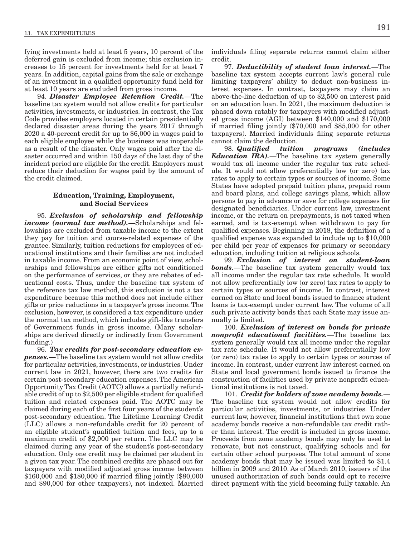fying investments held at least 5 years, 10 percent of the deferred gain is excluded from income; this exclusion increases to 15 percent for investments held for at least 7 years. In addition, capital gains from the sale or exchange of an investment in a qualified opportunity fund held for at least 10 years are excluded from gross income.

94. *Disaster Employee Retention Credit.*—The baseline tax system would not allow credits for particular activities, investments, or industries. In contrast, the Tax Code provides employers located in certain presidentially declared disaster areas during the years 2017 through 2020 a 40-percent credit for up to \$6,000 in wages paid to each eligible employee while the business was inoperable as a result of the disaster. Only wages paid after the disaster occurred and within 150 days of the last day of the incident period are eligible for the credit. Employers must reduce their deduction for wages paid by the amount of the credit claimed.

### Education, Training, Employment, and Social Services

95. *Exclusion of scholarship and fellowship income (normal tax method).*—Scholarships and fellowships are excluded from taxable income to the extent they pay for tuition and course-related expenses of the grantee. Similarly, tuition reductions for employees of educational institutions and their families are not included in taxable income. From an economic point of view, scholarships and fellowships are either gifts not conditioned on the performance of services, or they are rebates of educational costs. Thus, under the baseline tax system of the reference tax law method, this exclusion is not a tax expenditure because this method does not include either gifts or price reductions in a taxpayer's gross income. The exclusion, however, is considered a tax expenditure under the normal tax method, which includes gift-like transfers of Government funds in gross income. (Many scholarships are derived directly or indirectly from Government funding.)

96. *Tax credits for post-secondary education expenses.*—The baseline tax system would not allow credits for particular activities, investments, or industries. Under current law in 2021, however, there are two credits for certain post-secondary education expenses. The American Opportunity Tax Credit (AOTC) allows a partially refundable credit of up to \$2,500 per eligible student for qualified tuition and related expenses paid. The AOTC may be claimed during each of the first four years of the student's post-secondary education. The Lifetime Learning Credit (LLC) allows a non-refundable credit for 20 percent of an eligible student's qualified tuition and fees, up to a maximum credit of \$2,000 per return. The LLC may be claimed during any year of the student's post-secondary education. Only one credit may be claimed per student in a given tax year. The combined credits are phased out for taxpayers with modified adjusted gross income between \$160,000 and \$180,000 if married filing jointly (\$80,000 and \$90,000 for other taxpayers), not indexed. Married

individuals filing separate returns cannot claim either credit.

97. *Deductibility of student loan interest.*—The baseline tax system accepts current law's general rule limiting taxpayers' ability to deduct non-business interest expenses. In contrast, taxpayers may claim an above-the-line deduction of up to \$2,500 on interest paid on an education loan. In 2021, the maximum deduction is phased down ratably for taxpayers with modified adjusted gross income (AGI) between \$140,000 and \$170,000 if married filing jointly (\$70,000 and \$85,000 for other taxpayers). Married individuals filing separate returns cannot claim the deduction.

98. *Qualified tuition programs (includes Education IRA).*—The baseline tax system generally would tax all income under the regular tax rate schedule. It would not allow preferentially low (or zero) tax rates to apply to certain types or sources of income. Some States have adopted prepaid tuition plans, prepaid room and board plans, and college savings plans, which allow persons to pay in advance or save for college expenses for designated beneficiaries. Under current law, investment income, or the return on prepayments, is not taxed when earned, and is tax-exempt when withdrawn to pay for qualified expenses. Beginning in 2018, the definition of a qualified expense was expanded to include up to \$10,000 per child per year of expenses for primary or secondary education, including tuition at religious schools.

99. *Exclusion of interest on student-loan bonds.*—The baseline tax system generally would tax all income under the regular tax rate schedule. It would not allow preferentially low (or zero) tax rates to apply to certain types or sources of income. In contrast, interest earned on State and local bonds issued to finance student loans is tax-exempt under current law. The volume of all such private activity bonds that each State may issue annually is limited.

100. *Exclusion of interest on bonds for private nonprofit educational facilities.*—The baseline tax system generally would tax all income under the regular tax rate schedule. It would not allow preferentially low (or zero) tax rates to apply to certain types or sources of income. In contrast, under current law interest earned on State and local government bonds issued to finance the construction of facilities used by private nonprofit educational institutions is not taxed.

101. *Credit for holders of zone academy bonds.*— The baseline tax system would not allow credits for particular activities, investments, or industries. Under current law, however, financial institutions that own zone academy bonds receive a non-refundable tax credit rather than interest. The credit is included in gross income. Proceeds from zone academy bonds may only be used to renovate, but not construct, qualifying schools and for certain other school purposes. The total amount of zone academy bonds that may be issued was limited to \$1.4 billion in 2009 and 2010. As of March 2010, issuers of the unused authorization of such bonds could opt to receive direct payment with the yield becoming fully taxable. An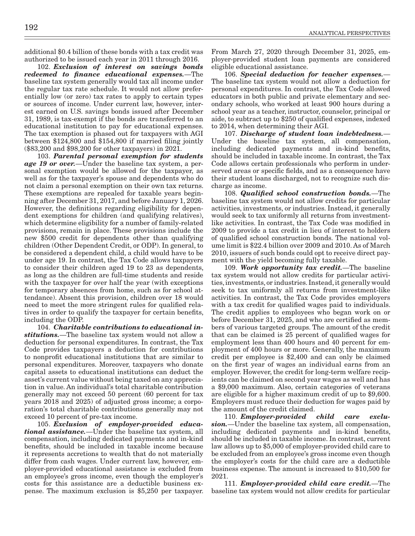additional \$0.4 billion of these bonds with a tax credit was authorized to be issued each year in 2011 through 2016.

102. *Exclusion of interest on savings bonds redeemed to finance educational expenses.*—The baseline tax system generally would tax all income under the regular tax rate schedule. It would not allow preferentially low (or zero) tax rates to apply to certain types or sources of income. Under current law, however, interest earned on U.S. savings bonds issued after December 31, 1989, is tax-exempt if the bonds are transferred to an educational institution to pay for educational expenses. The tax exemption is phased out for taxpayers with AGI between \$124,800 and \$154,800 if married filing jointly (\$83,200 and \$98,200 for other taxpayers) in 2021.

103. *Parental personal exemption for students age 19 or over.*—Under the baseline tax system, a personal exemption would be allowed for the taxpayer, as well as for the taxpayer's spouse and dependents who do not claim a personal exemption on their own tax returns. These exemptions are repealed for taxable years beginning after December 31, 2017, and before January 1, 2026. However, the definitions regarding eligibility for dependent exemptions for children (and qualifying relatives), which determine eligibility for a number of family-related provisions, remain in place. These provisions include the new \$500 credit for dependents other than qualifying children (Other Dependent Credit, or ODP). In general, to be considered a dependent child, a child would have to be under age 19. In contrast, the Tax Code allows taxpayers to consider their children aged 19 to 23 as dependents, as long as the children are full-time students and reside with the taxpayer for over half the year (with exceptions for temporary absences from home, such as for school attendance). Absent this provision, children over 18 would need to meet the more stringent rules for qualified relatives in order to qualify the taxpayer for certain benefits, including the ODP.

104. *Charitable contributions to educational institutions.*—The baseline tax system would not allow a deduction for personal expenditures. In contrast, the Tax Code provides taxpayers a deduction for contributions to nonprofit educational institutions that are similar to personal expenditures. Moreover, taxpayers who donate capital assets to educational institutions can deduct the asset's current value without being taxed on any appreciation in value. An individual's total charitable contribution generally may not exceed 50 percent (60 percent for tax years 2018 and 2025) of adjusted gross income; a corporation's total charitable contributions generally may not exceed 10 percent of pre-tax income.

105. *Exclusion of employer-provided educational assistance.*—Under the baseline tax system, all compensation, including dedicated payments and in-kind benefits, should be included in taxable income because it represents accretions to wealth that do not materially differ from cash wages. Under current law, however, employer-provided educational assistance is excluded from an employee's gross income, even though the employer's costs for this assistance are a deductible business expense. The maximum exclusion is \$5,250 per taxpayer.

From March 27, 2020 through December 31, 2025, employer-provided student loan payments are considered eligible educational assistance.

106. *Special deduction for teacher expenses.*— The baseline tax system would not allow a deduction for personal expenditures. In contrast, the Tax Code allowed educators in both public and private elementary and secondary schools, who worked at least 900 hours during a school year as a teacher, instructor, counselor, principal or aide, to subtract up to \$250 of qualified expenses, indexed to 2014, when determining their AGI.

107. *Discharge of student loan indebtedness.*— Under the baseline tax system, all compensation, including dedicated payments and in-kind benefits, should be included in taxable income. In contrast, the Tax Code allows certain professionals who perform in underserved areas or specific fields, and as a consequence have their student loans discharged, not to recognize such discharge as income.

108. *Qualified school construction bonds.*—The baseline tax system would not allow credits for particular activities, investments, or industries. Instead, it generally would seek to tax uniformly all returns from investmentlike activities. In contrast, the Tax Code was modified in 2009 to provide a tax credit in lieu of interest to holders of qualified school construction bonds. The national volume limit is \$22.4 billion over 2009 and 2010. As of March 2010, issuers of such bonds could opt to receive direct payment with the yield becoming fully taxable.

109. *Work opportunity tax credit.*—The baseline tax system would not allow credits for particular activities, investments, or industries. Instead, it generally would seek to tax uniformly all returns from investment-like activities. In contrast, the Tax Code provides employers with a tax credit for qualified wages paid to individuals. The credit applies to employees who began work on or before December 31, 2025, and who are certified as members of various targeted groups. The amount of the credit that can be claimed is 25 percent of qualified wages for employment less than 400 hours and 40 percent for employment of 400 hours or more. Generally, the maximum credit per employee is \$2,400 and can only be claimed on the first year of wages an individual earns from an employer. However, the credit for long-term welfare recipients can be claimed on second year wages as well and has a \$9,000 maximum. Also, certain categories of veterans are eligible for a higher maximum credit of up to \$9,600. Employers must reduce their deduction for wages paid by the amount of the credit claimed.

110. *Employer-provided child care exclusion.*—Under the baseline tax system, all compensation, including dedicated payments and in-kind benefits, should be included in taxable income. In contrast, current law allows up to \$5,000 of employer-provided child care to be excluded from an employee's gross income even though the employer's costs for the child care are a deductible business expense. The amount is increased to \$10,500 for 2021.

111. *Employer-provided child care credit.*—The baseline tax system would not allow credits for particular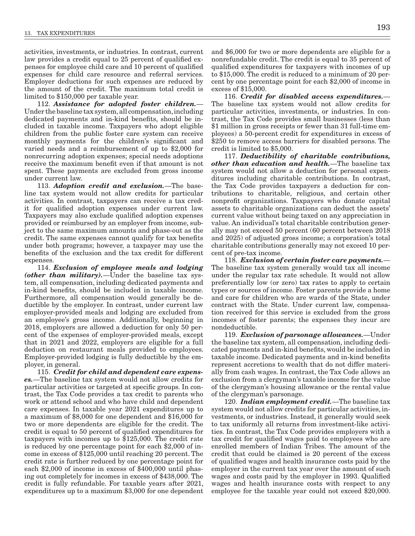activities, investments, or industries. In contrast, current law provides a credit equal to 25 percent of qualified expenses for employee child care and 10 percent of qualified expenses for child care resource and referral services. Employer deductions for such expenses are reduced by the amount of the credit. The maximum total credit is limited to \$150,000 per taxable year.

112. *Assistance for adopted foster children.*— Under the baseline tax system, all compensation, including dedicated payments and in-kind benefits, should be included in taxable income. Taxpayers who adopt eligible children from the public foster care system can receive monthly payments for the children's significant and varied needs and a reimbursement of up to \$2,000 for nonrecurring adoption expenses; special needs adoptions receive the maximum benefit even if that amount is not spent. These payments are excluded from gross income under current law.

113. *Adoption credit and exclusion.*—The baseline tax system would not allow credits for particular activities. In contrast, taxpayers can receive a tax credit for qualified adoption expenses under current law. Taxpayers may also exclude qualified adoption expenses provided or reimbursed by an employer from income, subject to the same maximum amounts and phase-out as the credit. The same expenses cannot qualify for tax benefits under both programs; however, a taxpayer may use the benefits of the exclusion and the tax credit for different expenses.

114. *Exclusion of employee meals and lodging (other than military).*—Under the baseline tax system, all compensation, including dedicated payments and in-kind benefits, should be included in taxable income. Furthermore, all compensation would generally be deductible by the employer. In contrast, under current law employer-provided meals and lodging are excluded from an employee's gross income. Additionally, beginning in 2018, employers are allowed a deduction for only 50 percent of the expenses of employer-provided meals, except that in 2021 and 2022, employers are eligible for a full deduction on restaurant meals provided to employees. Employer-provided lodging is fully deductible by the employer, in general.

115. *Credit for child and dependent care expenses.*—The baseline tax system would not allow credits for particular activities or targeted at specific groups. In contrast, the Tax Code provides a tax credit to parents who work or attend school and who have child and dependent care expenses. In taxable year 2021 expenditures up to a maximum of \$8,000 for one dependent and \$16,000 for two or more dependents are eligible for the credit. The credit is equal to 50 percent of qualified expenditures for taxpayers with incomes up to \$125,000. The credit rate is reduced by one percentage point for each \$2,000 of income in excess of \$125,000 until reaching 20 percent. The credit rate is further reduced by one percentage point for each \$2,000 of income in excess of \$400,000 until phasing out completely for incomes in excess of \$438,000. The credit is fully refundable. For taxable years after 2021, expenditures up to a maximum \$3,000 for one dependent

and \$6,000 for two or more dependents are eligible for a nonrefundable credit. The credit is equal to 35 percent of qualified expenditures for taxpayers with incomes of up to \$15,000. The credit is reduced to a minimum of 20 percent by one percentage point for each \$2,000 of income in excess of \$15,000.

116. *Credit for disabled access expenditures.*— The baseline tax system would not allow credits for particular activities, investments, or industries. In contrast, the Tax Code provides small businesses (less than \$1 million in gross receipts or fewer than 31 full-time employees) a 50-percent credit for expenditures in excess of \$250 to remove access barriers for disabled persons. The credit is limited to \$5,000.

117. *Deductibility of charitable contributions, other than education and health.*—The baseline tax system would not allow a deduction for personal expenditures including charitable contributions. In contrast, the Tax Code provides taxpayers a deduction for contributions to charitable, religious, and certain other nonprofit organizations. Taxpayers who donate capital assets to charitable organizations can deduct the assets' current value without being taxed on any appreciation in value. An individual's total charitable contribution generally may not exceed 50 percent (60 percent between 2018 and 2025) of adjusted gross income; a corporation's total charitable contributions generally may not exceed 10 percent of pre-tax income.

118. *Exclusion of certain foster care payments.*— The baseline tax system generally would tax all income under the regular tax rate schedule. It would not allow preferentially low (or zero) tax rates to apply to certain types or sources of income. Foster parents provide a home and care for children who are wards of the State, under contract with the State. Under current law, compensation received for this service is excluded from the gross incomes of foster parents; the expenses they incur are nondeductible.

119. *Exclusion of parsonage allowances.*—Under the baseline tax system, all compensation, including dedicated payments and in-kind benefits, would be included in taxable income. Dedicated payments and in-kind benefits represent accretions to wealth that do not differ materially from cash wages. In contrast, the Tax Code allows an exclusion from a clergyman's taxable income for the value of the clergyman's housing allowance or the rental value of the clergyman's parsonage.

120. *Indian employment credit.*—The baseline tax system would not allow credits for particular activities, investments, or industries. Instead, it generally would seek to tax uniformly all returns from investment-like activities. In contrast, the Tax Code provides employers with a tax credit for qualified wages paid to employees who are enrolled members of Indian Tribes. The amount of the credit that could be claimed is 20 percent of the excess of qualified wages and health insurance costs paid by the employer in the current tax year over the amount of such wages and costs paid by the employer in 1993. Qualified wages and health insurance costs with respect to any employee for the taxable year could not exceed \$20,000.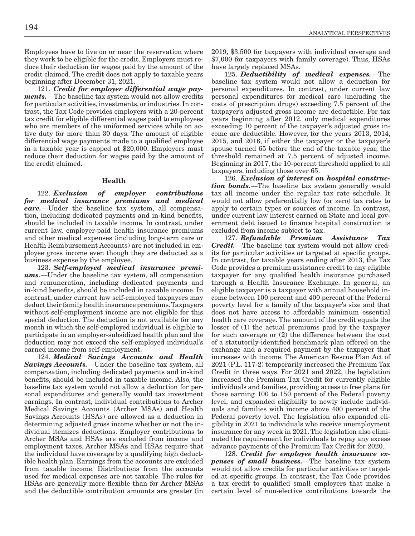Employees have to live on or near the reservation where they work to be eligible for the credit. Employers must reduce their deduction for wages paid by the amount of the credit claimed. The credit does not apply to taxable years beginning after December 31, 2021.

121. *Credit for employer differential wage payments.*—The baseline tax system would not allow credits for particular activities, investments, or industries. In contrast, the Tax Code provides employers with a 20-percent tax credit for eligible differential wages paid to employees who are members of the uniformed services while on active duty for more than 30 days. The amount of eligible differential wage payments made to a qualified employee in a taxable year is capped at \$20,000. Employers must reduce their deduction for wages paid by the amount of the credit claimed.

#### Health

122. *Exclusion of employer contributions for medical insurance premiums and medical care.*—Under the baseline tax system, all compensation, including dedicated payments and in-kind benefits, should be included in taxable income. In contrast, under current law, employer-paid health insurance premiums and other medical expenses (including long-term care or Health Reimbursement Accounts) are not included in employee gross income even though they are deducted as a business expense by the employee.

123. *Self-employed medical insurance premiums.*—Under the baseline tax system, all compensation and remuneration, including dedicated payments and in-kind benefits, should be included in taxable income. In contrast, under current law self-employed taxpayers may deduct their family health insurance premiums. Taxpayers without self-employment income are not eligible for this special deduction. The deduction is not available for any month in which the self-employed individual is eligible to participate in an employer-subsidized health plan and the deduction may not exceed the self-employed individual's earned income from self-employment.

124. *Medical Savings Accounts and Health Savings Accounts.*—Under the baseline tax system, all compensation, including dedicated payments and in-kind benefits, should be included in taxable income. Also, the baseline tax system would not allow a deduction for personal expenditures and generally would tax investment earnings. In contrast, individual contributions to Archer Medical Savings Accounts (Archer MSAs) and Health Savings Accounts (HSAs) are allowed as a deduction in determining adjusted gross income whether or not the individual itemizes deductions. Employer contributions to Archer MSAs and HSAs are excluded from income and employment taxes. Archer MSAs and HSAs require that the individual have coverage by a qualifying high deductible health plan. Earnings from the accounts are excluded from taxable income. Distributions from the accounts used for medical expenses are not taxable. The rules for HSAs are generally more flexible than for Archer MSAs and the deductible contribution amounts are greater (in

2019, \$3,500 for taxpayers with individual coverage and \$7,000 for taxpayers with family coverage). Thus, HSAs have largely replaced MSAs.

125. *Deductibility of medical expenses.*—The baseline tax system would not allow a deduction for personal expenditures. In contrast, under current law personal expenditures for medical care (including the costs of prescription drugs) exceeding 7.5 percent of the taxpayer's adjusted gross income are deductible. For tax years beginning after 2012, only medical expenditures exceeding 10 percent of the taxpayer's adjusted gross income are deductible. However, for the years 2013, 2014, 2015, and 2016, if either the taxpayer or the taxpayer's spouse turned 65 before the end of the taxable year, the threshold remained at 7.5 percent of adjusted income. Beginning in 2017, the 10-percent threshold applied to all taxpayers, including those over 65.

126. *Exclusion of interest on hospital construction bonds.*—The baseline tax system generally would tax all income under the regular tax rate schedule. It would not allow preferentially low (or zero) tax rates to apply to certain types or sources of income. In contrast, under current law interest earned on State and local government debt issued to finance hospital construction is excluded from income subject to tax.

127. *Refundable Premium Assistance Tax Credit.*—The baseline tax system would not allow credits for particular activities or targeted at specific groups. In contrast, for taxable years ending after 2013, the Tax Code provides a premium assistance credit to any eligible taxpayer for any qualified health insurance purchased through a Health Insurance Exchange. In general, an eligible taxpayer is a taxpayer with annual household income between 100 percent and 400 percent of the Federal poverty level for a family of the taxpayer's size and that does not have access to affordable minimum essential health care coverage. The amount of the credit equals the lesser of (1) the actual premiums paid by the taxpayer for such coverage or (2) the difference between the cost of a statutorily-identified benchmark plan offered on the exchange and a required payment by the taxpayer that increases with income. The American Rescue Plan Act of 2021 (P.L. 117-2) temporarily increased the Premium Tax Credit in three ways. For 2021 and 2022, the legislation increased the Premium Tax Credit for currently eligible individuals and families, providing access to free plans for those earning 100 to 150 percent of the Federal poverty level, and expanded eligibility to newly include individuals and families with income above 400 percent of the Federal poverty level. The legislation also expanded eligibility in 2021 to individuals who receive unemployment insurance for any week in 2021. The legislation also eliminated the requirement for individuals to repay any excess advance payments of the Premium Tax Credit for 2020.

128. *Credit for employee health insurance expenses of small business.*—The baseline tax system would not allow credits for particular activities or targeted at specific groups. In contrast, the Tax Code provides a tax credit to qualified small employers that make a certain level of non-elective contributions towards the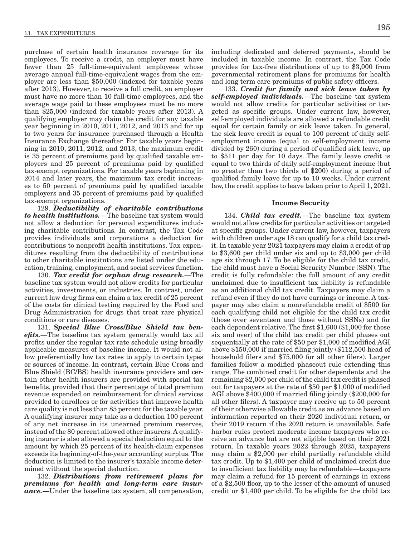purchase of certain health insurance coverage for its employees. To receive a credit, an employer must have fewer than 25 full-time-equivalent employees whose average annual full-time-equivalent wages from the employer are less than \$50,000 (indexed for taxable years after 2013). However, to receive a full credit, an employer must have no more than 10 full-time employees, and the average wage paid to these employees must be no more than \$25,000 (indexed for taxable years after 2013). A qualifying employer may claim the credit for any taxable year beginning in 2010, 2011, 2012, and 2013 and for up to two years for insurance purchased through a Health Insurance Exchange thereafter. For taxable years beginning in 2010, 2011, 2012, and 2013, the maximum credit is 35 percent of premiums paid by qualified taxable employers and 25 percent of premiums paid by qualified tax-exempt organizations. For taxable years beginning in 2014 and later years, the maximum tax credit increases to 50 percent of premiums paid by qualified taxable employers and 35 percent of premiums paid by qualified tax-exempt organizations.

129. *Deductibility of charitable contributions to health institutions.*—The baseline tax system would not allow a deduction for personal expenditures including charitable contributions. In contrast, the Tax Code provides individuals and corporations a deduction for contributions to nonprofit health institutions. Tax expenditures resulting from the deductibility of contributions to other charitable institutions are listed under the education, training, employment, and social services function.

130. *Tax credit for orphan drug research.*—The baseline tax system would not allow credits for particular activities, investments, or industries. In contrast, under current law drug firms can claim a tax credit of 25 percent of the costs for clinical testing required by the Food and Drug Administration for drugs that treat rare physical conditions or rare diseases.

131. *Special Blue Cross/Blue Shield tax benefits.*—The baseline tax system generally would tax all profits under the regular tax rate schedule using broadly applicable measures of baseline income. It would not allow preferentially low tax rates to apply to certain types or sources of income. In contrast, certain Blue Cross and Blue Shield (BC/BS) health insurance providers and certain other health insurers are provided with special tax benefits, provided that their percentage of total premium revenue expended on reimbursement for clinical services provided to enrollees or for activities that improve health care quality is not less than 85 percent for the taxable year. A qualifying insurer may take as a deduction 100 percent of any net increase in its unearned premium reserves, instead of the 80 percent allowed other insurers. A qualifying insurer is also allowed a special deduction equal to the amount by which 25 percent of its health-claim expenses exceeds its beginning-of-the-year accounting surplus. The deduction is limited to the insurer's taxable income determined without the special deduction.

132. *Distributions from retirement plans for premiums for health and long-term care insurance.*—Under the baseline tax system, all compensation, including dedicated and deferred payments, should be included in taxable income. In contrast, the Tax Code provides for tax-free distributions of up to \$3,000 from governmental retirement plans for premiums for health and long term care premiums of public safety officers.

133. *Credit for family and sick leave taken by self-employed individuals.*—The baseline tax system would not allow credits for particular activities or targeted as specific groups. Under current law, however, self-employed individuals are allowed a refundable credit equal for certain family or sick leave taken. In general, the sick leave credit is equal to 100 percent of daily selfemployment income (equal to self-employment income divided by 260) during a period of qualified sick leave, up to \$511 per day for 10 days. The family leave credit is equal to two thirds of daily self-employment income (but no greater than two thirds of \$200) during a period of qualified family leave for up to 10 weeks. Under current law, the credit applies to leave taken prior to April 1, 2021.

#### Income Security

134. *Child tax credit.*—The baseline tax system would not allow credits for particular activities or targeted at specific groups. Under current law, however, taxpayers with children under age 18 can qualify for a child tax credit. In taxable year 2021 taxpayers may claim a credit of up to \$3,600 per child under six and up to \$3,000 per child age six through 17. To be eligible for the child tax credit, the child must have a Social Security Number (SSN). The credit is fully refundable: the full amount of any credit unclaimed due to insufficient tax liability is refundable as an additional child tax credit. Taxpayers may claim a refund even if they do not have earnings or income. A taxpayer may also claim a nonrefundable credit of \$500 for each qualifying child not eligible for the child tax credit (those over seventeen and those without SSNs) and for each dependent relative. The first \$1,600 (\$1,000 for those six and over) of the child tax credit per child phases out sequentially at the rate of \$50 per \$1,000 of modified AGI above \$150,000 if married filing jointly (\$112,500 head of household filers and \$75,000 for all other filers). Larger families follow a modified phaseout rule extending this range. The combined credit for other dependents and the remaining \$2,000 per child of the child tax credit is phased out for taxpayers at the rate of \$50 per \$1,000 of modified AGI above \$400,000 if married filing jointly (\$200,000 for all other filers). A taxpayer may receive up to 50 percent of their otherwise allowable credit as an advance based on information reported on their 2020 individual return, or their 2019 return if the 2020 return is unavailable. Safe harbor rules protect moderate income taxpayers who receive an advance but are not eligible based on their 2021 return. In taxable years 2022 through 2025, taxpayers may claim a \$2,000 per child partially refundable child tax credit. Up to \$1,400 per child of unclaimed credit due to insufficient tax liability may be refundable—taxpayers may claim a refund for 15 percent of earnings in excess of a \$2,500 floor, up to the lesser of the amount of unused credit or \$1,400 per child. To be eligible for the child tax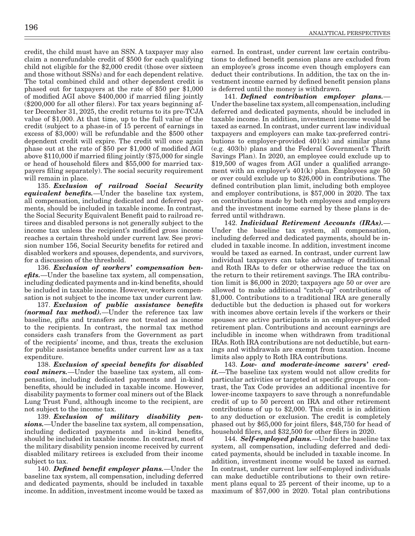credit, the child must have an SSN. A taxpayer may also claim a nonrefundable credit of \$500 for each qualifying child not eligible for the \$2,000 credit (those over sixteen and those without SSNs) and for each dependent relative. The total combined child and other dependent credit is phased out for taxpayers at the rate of \$50 per \$1,000 of modified AGI above \$400,000 if married filing jointly (\$200,000 for all other filers). For tax years beginning after December 31, 2025, the credit returns to its pre-TCJA value of \$1,000. At that time, up to the full value of the credit (subject to a phase-in of 15 percent of earnings in excess of \$3,000) will be refundable and the \$500 other dependent credit will expire. The credit will once again phase out at the rate of \$50 per \$1,000 of modified AGI above \$110,000 if married filing jointly (\$75,000 for single or head of household filers and \$55,000 for married taxpayers filing separately). The social security requirement will remain in place.

135. *Exclusion of railroad Social Security equivalent benefits.*—Under the baseline tax system, all compensation, including dedicated and deferred payments, should be included in taxable income. In contrast, the Social Security Equivalent Benefit paid to railroad retirees and disabled persons is not generally subject to the income tax unless the recipient's modified gross income reaches a certain threshold under current law. See provision number 156, Social Security benefits for retired and disabled workers and spouses, dependents, and survivors, for a discussion of the threshold.

136. *Exclusion of workers' compensation benefits.*—Under the baseline tax system, all compensation, including dedicated payments and in-kind benefits, should be included in taxable income. However, workers compensation is not subject to the income tax under current law.

137. *Exclusion of public assistance benefits (normal tax method).*—Under the reference tax law baseline, gifts and transfers are not treated as income to the recipients. In contrast, the normal tax method considers cash transfers from the Government as part of the recipients' income, and thus, treats the exclusion for public assistance benefits under current law as a tax expenditure.

138. *Exclusion of special benefits for disabled coal miners.*—Under the baseline tax system, all compensation, including dedicated payments and in-kind benefits, should be included in taxable income. However, disability payments to former coal miners out of the Black Lung Trust Fund, although income to the recipient, are not subject to the income tax.

139. *Exclusion of military disability pensions.*—Under the baseline tax system, all compensation, including dedicated payments and in-kind benefits, should be included in taxable income. In contrast, most of the military disability pension income received by current disabled military retirees is excluded from their income subject to tax.

140. *Defined benefit employer plans.*—Under the baseline tax system, all compensation, including deferred and dedicated payments, should be included in taxable income. In addition, investment income would be taxed as

earned. In contrast, under current law certain contributions to defined benefit pension plans are excluded from an employee's gross income even though employers can deduct their contributions. In addition, the tax on the investment income earned by defined benefit pension plans is deferred until the money is withdrawn.

141. *Defined contribution employer plans.*— Under the baseline tax system, all compensation, including deferred and dedicated payments, should be included in taxable income. In addition, investment income would be taxed as earned. In contrast, under current law individual taxpayers and employers can make tax-preferred contributions to employer-provided 401(k) and similar plans (e.g. 403(b) plans and the Federal Government's Thrift Savings Plan). In 2020, an employee could exclude up to \$19,500 of wages from AGI under a qualified arrangement with an employer's 401(k) plan. Employees age 50 or over could exclude up to \$26,000 in contributions. The defined contribution plan limit, including both employee and employer contributions, is \$57,000 in 2020. The tax on contributions made by both employees and employers and the investment income earned by these plans is deferred until withdrawn.

142. *Individual Retirement Accounts (IRAs).*— Under the baseline tax system, all compensation, including deferred and dedicated payments, should be included in taxable income. In addition, investment income would be taxed as earned. In contrast, under current law individual taxpayers can take advantage of traditional and Roth IRAs to defer or otherwise reduce the tax on the return to their retirement savings. The IRA contribution limit is \$6,000 in 2020; taxpayers age 50 or over are allowed to make additional "catch-up'' contributions of \$1,000. Contributions to a traditional IRA are generally deductible but the deduction is phased out for workers with incomes above certain levels if the workers or their spouses are active participants in an employer-provided retirement plan. Contributions and account earnings are includible in income when withdrawn from traditional IRAs. Roth IRA contributions are not deductible, but earnings and withdrawals are exempt from taxation. Income limits also apply to Roth IRA contributions.

143. *Low- and moderate-income savers' credit.*—The baseline tax system would not allow credits for particular activities or targeted at specific groups. In contrast, the Tax Code provides an additional incentive for lower-income taxpayers to save through a nonrefundable credit of up to 50 percent on IRA and other retirement contributions of up to \$2,000. This credit is in addition to any deduction or exclusion. The credit is completely phased out by \$65,000 for joint filers, \$48,750 for head of household filers, and \$32,500 for other filers in 2020.

144. *Self-employed plans.*—Under the baseline tax system, all compensation, including deferred and dedicated payments, should be included in taxable income. In addition, investment income would be taxed as earned. In contrast, under current law self-employed individuals can make deductible contributions to their own retirement plans equal to 25 percent of their income, up to a maximum of \$57,000 in 2020. Total plan contributions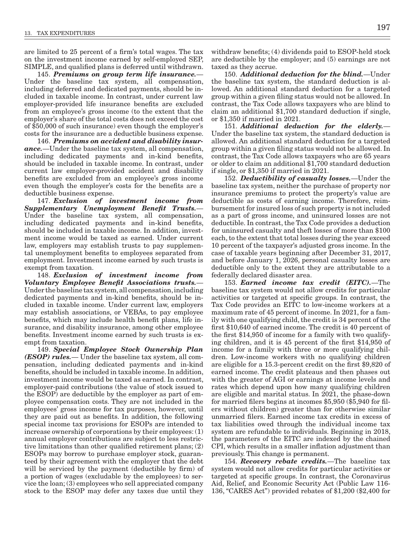are limited to 25 percent of a firm's total wages. The tax on the investment income earned by self-employed SEP, SIMPLE, and qualified plans is deferred until withdrawn.

145. *Premiums on group term life insurance.*— Under the baseline tax system, all compensation, including deferred and dedicated payments, should be included in taxable income. In contrast, under current law employer-provided life insurance benefits are excluded from an employee's gross income (to the extent that the employer's share of the total costs does not exceed the cost of \$50,000 of such insurance) even though the employer's costs for the insurance are a deductible business expense.

146. *Premiums on accident and disability insurance.*—Under the baseline tax system, all compensation, including dedicated payments and in-kind benefits, should be included in taxable income. In contrast, under current law employer-provided accident and disability benefits are excluded from an employee's gross income even though the employer's costs for the benefits are a deductible business expense.

147. *Exclusion of investment income from Supplementary Unemployment Benefit Trusts.*— Under the baseline tax system, all compensation, including dedicated payments and in-kind benefits, should be included in taxable income. In addition, investment income would be taxed as earned. Under current law, employers may establish trusts to pay supplemental unemployment benefits to employees separated from employment. Investment income earned by such trusts is exempt from taxation.

148. *Exclusion of investment income from Voluntary Employee Benefit Associations trusts.*— Under the baseline tax system, all compensation, including dedicated payments and in-kind benefits, should be included in taxable income. Under current law, employers may establish associations, or VEBAs, to pay employee benefits, which may include health benefit plans, life insurance, and disability insurance, among other employee benefits. Investment income earned by such trusts is exempt from taxation.

149. *Special Employee Stock Ownership Plan (ESOP) rules.*— Under the baseline tax system, all compensation, including dedicated payments and in-kind benefits, should be included in taxable income. In addition, investment income would be taxed as earned. In contrast, employer-paid contributions (the value of stock issued to the ESOP) are deductible by the employer as part of employee compensation costs. They are not included in the employees' gross income for tax purposes, however, until they are paid out as benefits. In addition, the following special income tax provisions for ESOPs are intended to increase ownership of corporations by their employees: (1) annual employer contributions are subject to less restrictive limitations than other qualified retirement plans; (2) ESOPs may borrow to purchase employer stock, guaranteed by their agreement with the employer that the debt will be serviced by the payment (deductible by firm) of a portion of wages (excludable by the employees) to service the loan; (3) employees who sell appreciated company stock to the ESOP may defer any taxes due until they

withdraw benefits; (4) dividends paid to ESOP-held stock are deductible by the employer; and (5) earnings are not taxed as they accrue.

150. *Additional deduction for the blind.*—Under the baseline tax system, the standard deduction is allowed. An additional standard deduction for a targeted group within a given filing status would not be allowed. In contrast, the Tax Code allows taxpayers who are blind to claim an additional \$1,700 standard deduction if single, or \$1,350 if married in 2021.

151. *Additional deduction for the elderly.*— Under the baseline tax system, the standard deduction is allowed. An additional standard deduction for a targeted group within a given filing status would not be allowed. In contrast, the Tax Code allows taxpayers who are 65 years or older to claim an additional \$1,700 standard deduction if single, or \$1,350 if married in 2021.

152. *Deductibility of casualty losses.*—Under the baseline tax system, neither the purchase of property nor insurance premiums to protect the property's value are deductible as costs of earning income. Therefore, reimbursement for insured loss of such property is not included as a part of gross income, and uninsured losses are not deductible. In contrast, the Tax Code provides a deduction for uninsured casualty and theft losses of more than \$100 each, to the extent that total losses during the year exceed 10 percent of the taxpayer's adjusted gross income. In the case of taxable years beginning after December 31, 2017, and before January 1, 2026, personal casualty losses are deductible only to the extent they are attributable to a federally declared disaster area.

153. *Earned income tax credit (EITC).*—The baseline tax system would not allow credits for particular activities or targeted at specific groups. In contrast, the Tax Code provides an EITC to low-income workers at a maximum rate of 45 percent of income. In 2021, for a family with one qualifying child, the credit is 34 percent of the first \$10,640 of earned income. The credit is 40 percent of the first \$14,950 of income for a family with two qualifying children, and it is 45 percent of the first \$14,950 of income for a family with three or more qualifying children. Low-income workers with no qualifying children are eligible for a 15.3-percent credit on the first \$9,820 of earned income. The credit plateaus and then phases out with the greater of AGI or earnings at income levels and rates which depend upon how many qualifying children are eligible and marital status. In 2021, the phase-down for married filers begins at incomes \$5,950 (\$5,940 for filers without children) greater than for otherwise similar unmarried filers. Earned income tax credits in excess of tax liabilities owed through the individual income tax system are refundable to individuals. Beginning in 2018, the parameters of the EITC are indexed by the chained CPI, which results in a smaller inflation adjustment than previously. This change is permanent.

154. *Recovery rebate credits.*—The baseline tax system would not allow credits for particular activities or targeted at specific groups. In contrast, the Coronavirus Aid, Relief, and Economic Security Act (Public Law 116- 136, "CARES Act") provided rebates of \$1,200 (\$2,400 for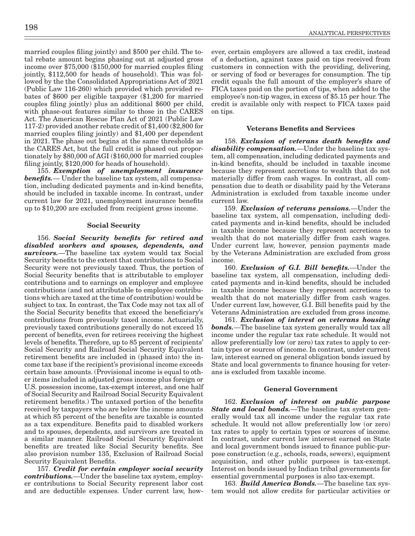married couples filing jointly) and \$500 per child. The total rebate amount begins phasing out at adjusted gross income over \$75,000 (\$150,000 for married couples filing jointly, \$112,500 for heads of household). This was followed by the the Consolidated Appropriations Act of 2021 (Public Law 116-260) which provided which provided rebates of \$600 per eligible taxpayer (\$1,200 for married couples filing jointly) plus an additional \$600 per child, with phase-out features similar to those in the CARES Act. The American Rescue Plan Act of 2021 (Public Law 117-2) provided another rebate credit of \$1,400 (\$2,800 for married couples filing jointly) and \$1,400 per dependent in 2021. The phase out begins at the same thresholds as the CARES Act, but the full credit is phased out proportionately by \$80,000 of AGI (\$160,000 for married couples filing jointly, \$120,000 for heads of household).

155. *Exemption of unemployment insurance*  **benefits.**— Under the baseline tax system, all compensation, including dedicated payments and in-kind benefits, should be included in taxable income. In contrast, under current law for 2021, unemployment insurance benefits up to \$10,200 are excluded from recipient gross income.

#### Social Security

156. *Social Security benefits for retired and disabled workers and spouses, dependents, and survivors.*—The baseline tax system would tax Social Security benefits to the extent that contributions to Social Security were not previously taxed. Thus, the portion of Social Security benefits that is attributable to employer contributions and to earnings on employer and employee contributions (and not attributable to employee contributions which are taxed at the time of contribution) would be subject to tax. In contrast, the Tax Code may not tax all of the Social Security benefits that exceed the beneficiary's contributions from previously taxed income. Actuarially, previously taxed contributions generally do not exceed 15 percent of benefits, even for retirees receiving the highest levels of benefits. Therefore, up to 85 percent of recipients' Social Security and Railroad Social Security Equivalent retirement benefits are included in (phased into) the income tax base if the recipient's provisional income exceeds certain base amounts. (Provisional income is equal to other items included in adjusted gross income plus foreign or U.S. possession income, tax-exempt interest, and one half of Social Security and Railroad Social Security Equivalent retirement benefits.) The untaxed portion of the benefits received by taxpayers who are below the income amounts at which 85 percent of the benefits are taxable is counted as a tax expenditure. Benefits paid to disabled workers and to spouses, dependents, and survivors are treated in a similar manner. Railroad Social Security Equivalent benefits are treated like Social Security benefits. See also provision number 135, Exclusion of Railroad Social Security Equivalent Benefits.

157. *Credit for certain employer social security contributions.*—Under the baseline tax system, employer contributions to Social Security represent labor cost and are deductible expenses. Under current law, however, certain employers are allowed a tax credit, instead of a deduction, against taxes paid on tips received from customers in connection with the providing, delivering, or serving of food or beverages for consumption. The tip credit equals the full amount of the employer's share of FICA taxes paid on the portion of tips, when added to the employee's non-tip wages, in excess of \$5.15 per hour. The credit is available only with respect to FICA taxes paid on tips.

#### Veterans Benefits and Services

158. *Exclusion of veterans death benefits and disability compensation.*—Under the baseline tax system, all compensation, including dedicated payments and in-kind benefits, should be included in taxable income because they represent accretions to wealth that do not materially differ from cash wages. In contrast, all compensation due to death or disability paid by the Veterans Administration is excluded from taxable income under current law.

159. *Exclusion of veterans pensions.*—Under the baseline tax system, all compensation, including dedicated payments and in-kind benefits, should be included in taxable income because they represent accretions to wealth that do not materially differ from cash wages. Under current law, however, pension payments made by the Veterans Administration are excluded from gross income.

160. *Exclusion of G.I. Bill benefits.*—Under the baseline tax system, all compensation, including dedicated payments and in-kind benefits, should be included in taxable income because they represent accretions to wealth that do not materially differ from cash wages. Under current law, however, G.I. Bill benefits paid by the Veterans Administration are excluded from gross income.

161. *Exclusion of interest on veterans housing bonds.*—The baseline tax system generally would tax all income under the regular tax rate schedule. It would not allow preferentially low (or zero) tax rates to apply to certain types or sources of income. In contrast, under current law, interest earned on general obligation bonds issued by State and local governments to finance housing for veterans is excluded from taxable income.

### General Government

162. *Exclusion of interest on public purpose State and local bonds.*—The baseline tax system generally would tax all income under the regular tax rate schedule. It would not allow preferentially low (or zero) tax rates to apply to certain types or sources of income. In contrast, under current law interest earned on State and local government bonds issued to finance public-purpose construction (e.g., schools, roads, sewers), equipment acquisition, and other public purposes is tax-exempt. Interest on bonds issued by Indian tribal governments for essential governmental purposes is also tax-exempt.

163. *Build America Bonds.*—The baseline tax system would not allow credits for particular activities or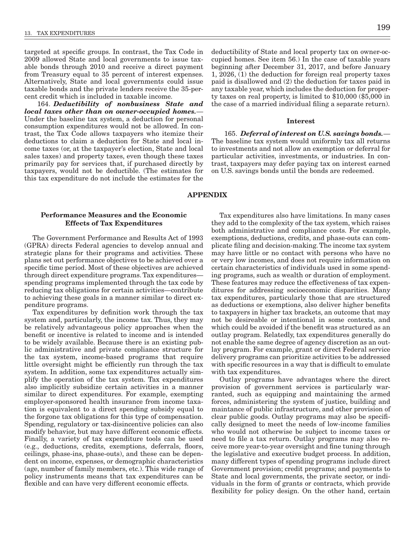targeted at specific groups. In contrast, the Tax Code in 2009 allowed State and local governments to issue taxable bonds through 2010 and receive a direct payment from Treasury equal to 35 percent of interest expenses. Alternatively, State and local governments could issue taxable bonds and the private lenders receive the 35-percent credit which is included in taxable income.

164. *Deductibility of nonbusiness State and local taxes other than on owner-occupied homes.*— Under the baseline tax system, a deduction for personal consumption expenditures would not be allowed. In contrast, the Tax Code allows taxpayers who itemize their deductions to claim a deduction for State and local income taxes (or, at the taxpayer's election, State and local sales taxes) and property taxes, even though these taxes primarily pay for services that, if purchased directly by taxpayers, would not be deductible. (The estimates for this tax expenditure do not include the estimates for the

deductibility of State and local property tax on owner-occupied homes. See item 56.) In the case of taxable years beginning after December 31, 2017, and before January 1, 2026, (1) the deduction for foreign real property taxes paid is disallowed and (2) the deduction for taxes paid in any taxable year, which includes the deduction for property taxes on real property, is limited to \$10,000 (\$5,000 in the case of a married individual filing a separate return).

#### Interest

165. *Deferral of interest on U.S. savings bonds.*— The baseline tax system would uniformly tax all returns to investments and not allow an exemption or deferral for particular activities, investments, or industries. In contrast, taxpayers may defer paying tax on interest earned on U.S. savings bonds until the bonds are redeemed.

#### APPENDIX

### Performance Measures and the Economic Effects of Tax Expenditures

The Government Performance and Results Act of 1993 (GPRA) directs Federal agencies to develop annual and strategic plans for their programs and activities. These plans set out performance objectives to be achieved over a specific time period. Most of these objectives are achieved through direct expenditure programs. Tax expenditures spending programs implemented through the tax code by reducing tax obligations for certain activities—contribute to achieving these goals in a manner similar to direct expenditure programs.

Tax expenditures by definition work through the tax system and, particularly, the income tax. Thus, they may be relatively advantageous policy approaches when the benefit or incentive is related to income and is intended to be widely available. Because there is an existing public administrative and private compliance structure for the tax system, income-based programs that require little oversight might be efficiently run through the tax system. In addition, some tax expenditures actually simplify the operation of the tax system. Tax expenditures also implicitly subsidize certain activities in a manner similar to direct expenditures. For example, exempting employer-sponsored health insurance from income taxation is equivalent to a direct spending subsidy equal to the forgone tax obligations for this type of compensation. Spending, regulatory or tax-disincentive policies can also modify behavior, but may have different economic effects. Finally, a variety of tax expenditure tools can be used (e.g., deductions, credits, exemptions, deferrals, floors, ceilings, phase-ins, phase-outs), and these can be dependent on income, expenses, or demographic characteristics (age, number of family members, etc.). This wide range of policy instruments means that tax expenditures can be flexible and can have very different economic effects.

Tax expenditures also have limitations. In many cases they add to the complexity of the tax system, which raises both administrative and compliance costs. For example, exemptions, deductions, credits, and phase-outs can complicate filing and decision-making. The income tax system may have little or no contact with persons who have no or very low incomes, and does not require information on certain characteristics of individuals used in some spending programs, such as wealth or duration of employment. These features may reduce the effectiveness of tax expenditures for addressing socioeconomic disparities. Many tax expenditures, particularly those that are structured as deductions or exemptions, also deliver higher benefits to taxpayers in higher tax brackets, an outcome that may not be desireable or intentional in some contexts, and which could be avoided if the benefit was structured as an outlay program. Relatedly, tax expenditures generally do not enable the same degree of agency discretion as an outlay program. For example, grant or direct Federal service delivery programs can prioritize activities to be addressed with specific resources in a way that is difficult to emulate with tax expenditures.

Outlay programs have advantages where the direct provision of government services is particularly warranted, such as equipping and maintaining the armed forces, administering the system of justice, building and maintance of public infrastructure, and other provision of clear public goods. Outlay programs may also be specifically designed to meet the needs of low-income families who would not otherwise be subject to income taxes or need to file a tax return. Outlay programs may also receive more year-to-year oversight and fine tuning through the legislative and executive budget process. In addition, many different types of spending programs include direct Government provision; credit programs; and payments to State and local governments, the private sector, or individuals in the form of grants or contracts, which provide flexibility for policy design. On the other hand, certain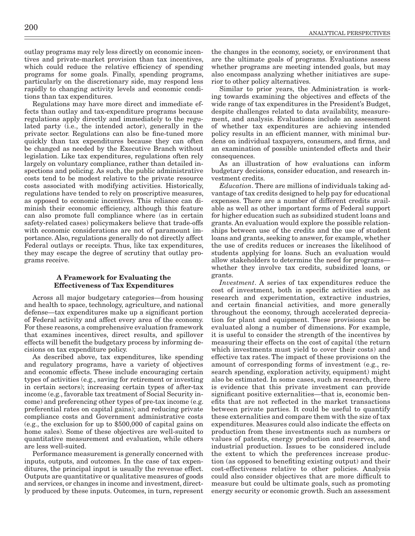outlay programs may rely less directly on economic incentives and private-market provision than tax incentives, which could reduce the relative efficiency of spending programs for some goals. Finally, spending programs, particularly on the discretionary side, may respond less rapidly to changing activity levels and economic conditions than tax expenditures.

Regulations may have more direct and immediate effects than outlay and tax-expenditure programs because regulations apply directly and immediately to the regulated party (i.e., the intended actor), generally in the private sector. Regulations can also be fine-tuned more quickly than tax expenditures because they can often be changed as needed by the Executive Branch without legislation. Like tax expenditures, regulations often rely largely on voluntary compliance, rather than detailed inspections and policing. As such, the public administrative costs tend to be modest relative to the private resource costs associated with modifying activities. Historically, regulations have tended to rely on proscriptive measures, as opposed to economic incentives. This reliance can diminish their economic efficiency, although this feature can also promote full compliance where (as in certain safety-related cases) policymakers believe that trade-offs with economic considerations are not of paramount importance. Also, regulations generally do not directly affect Federal outlays or receipts. Thus, like tax expenditures, they may escape the degree of scrutiny that outlay programs receive.

### A Framework for Evaluating the Effectiveness of Tax Expenditures

Across all major budgetary categories—from housing and health to space, technology, agriculture, and national defense—tax expenditures make up a significant portion of Federal activity and affect every area of the economy. For these reasons, a comprehensive evaluation framework that examines incentives, direct results, and spillover effects will benefit the budgetary process by informing decisions on tax expenditure policy.

As described above, tax expenditures, like spending and regulatory programs, have a variety of objectives and economic effects. These include encouraging certain types of activities (e.g., saving for retirement or investing in certain sectors); increasing certain types of after-tax income (e.g., favorable tax treatment of Social Security income) and preferencing other types of pre-tax income (e.g. preferential rates on capital gains); and reducing private compliance costs and Government administrative costs (e.g., the exclusion for up to \$500,000 of capital gains on home sales). Some of these objectives are well-suited to quantitative measurement and evaluation, while others are less well-suited.

Performance measurement is generally concerned with inputs, outputs, and outcomes. In the case of tax expenditures, the principal input is usually the revenue effect. Outputs are quantitative or qualitative measures of goods and services, or changes in income and investment, directly produced by these inputs. Outcomes, in turn, represent

the changes in the economy, society, or environment that are the ultimate goals of programs. Evaluations assess whether programs are meeting intended goals, but may also encompass analyzing whether initiatives are superior to other policy alternatives.

Similar to prior years, the Administration is working towards examining the objectives and effects of the wide range of tax expenditures in the President's Budget, despite challenges related to data availability, measurement, and analysis. Evaluations include an assessment of whether tax expenditures are achieving intended policy results in an efficient manner, with minimal burdens on individual taxpayers, consumers, and firms, and an examination of possible unintended effects and their consequences.

As an illustration of how evaluations can inform budgetary decisions, consider education, and research investment credits.

*Education*. There are millions of individuals taking advantage of tax credits designed to help pay for educational expenses. There are a number of different credits available as well as other important forms of Federal support for higher education such as subsidized student loans and grants. An evaluation would explore the possible relationships between use of the credits and the use of student loans and grants, seeking to answer, for example, whether the use of credits reduces or increases the likelihood of students applying for loans. Such an evaluation would allow stakeholders to determine the need for programs whether they involve tax credits, subsidized loans, or grants.

*Investment*. A series of tax expenditures reduce the cost of investment, both in specific activities such as research and experimentation, extractive industries, and certain financial activities, and more generally throughout the economy, through accelerated depreciation for plant and equipment. These provisions can be evaluated along a number of dimensions. For example, it is useful to consider the strength of the incentives by measuring their effects on the cost of capital (the return which investments must yield to cover their costs) and effective tax rates. The impact of these provisions on the amount of corresponding forms of investment (e.g., research spending, exploration activity, equipment) might also be estimated. In some cases, such as research, there is evidence that this private investment can provide significant positive externalities—that is, economic benefits that are not reflected in the market transactions between private parties. It could be useful to quantify these externalities and compare them with the size of tax expenditures. Measures could also indicate the effects on production from these investments such as numbers or values of patents, energy production and reserves, and industrial production. Issues to be considered include the extent to which the preferences increase production (as opposed to benefiting existing output) and their cost-effectiveness relative to other policies. Analysis could also consider objectives that are more difficult to measure but could be ultimate goals, such as promoting energy security or economic growth. Such an assessment